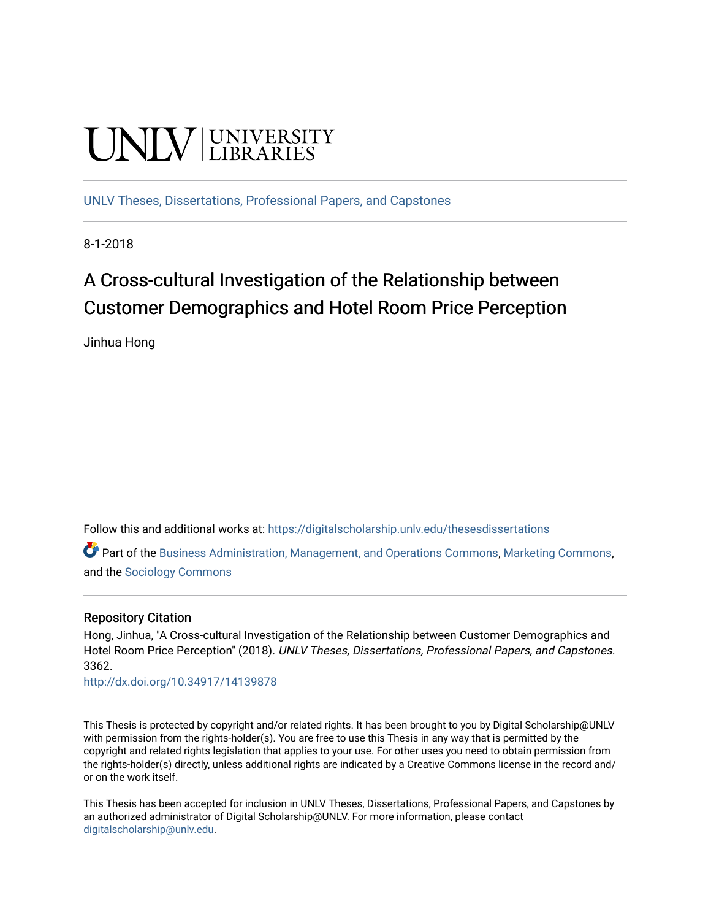# **UNIVERSITY**

[UNLV Theses, Dissertations, Professional Papers, and Capstones](https://digitalscholarship.unlv.edu/thesesdissertations)

8-1-2018

# A Cross-cultural Investigation of the Relationship between Customer Demographics and Hotel Room Price Perception

Jinhua Hong

Follow this and additional works at: [https://digitalscholarship.unlv.edu/thesesdissertations](https://digitalscholarship.unlv.edu/thesesdissertations?utm_source=digitalscholarship.unlv.edu%2Fthesesdissertations%2F3362&utm_medium=PDF&utm_campaign=PDFCoverPages)

Part of the [Business Administration, Management, and Operations Commons](http://network.bepress.com/hgg/discipline/623?utm_source=digitalscholarship.unlv.edu%2Fthesesdissertations%2F3362&utm_medium=PDF&utm_campaign=PDFCoverPages), [Marketing Commons](http://network.bepress.com/hgg/discipline/638?utm_source=digitalscholarship.unlv.edu%2Fthesesdissertations%2F3362&utm_medium=PDF&utm_campaign=PDFCoverPages), and the [Sociology Commons](http://network.bepress.com/hgg/discipline/416?utm_source=digitalscholarship.unlv.edu%2Fthesesdissertations%2F3362&utm_medium=PDF&utm_campaign=PDFCoverPages) 

### Repository Citation

Hong, Jinhua, "A Cross-cultural Investigation of the Relationship between Customer Demographics and Hotel Room Price Perception" (2018). UNLV Theses, Dissertations, Professional Papers, and Capstones. 3362.

<http://dx.doi.org/10.34917/14139878>

This Thesis is protected by copyright and/or related rights. It has been brought to you by Digital Scholarship@UNLV with permission from the rights-holder(s). You are free to use this Thesis in any way that is permitted by the copyright and related rights legislation that applies to your use. For other uses you need to obtain permission from the rights-holder(s) directly, unless additional rights are indicated by a Creative Commons license in the record and/ or on the work itself.

This Thesis has been accepted for inclusion in UNLV Theses, Dissertations, Professional Papers, and Capstones by an authorized administrator of Digital Scholarship@UNLV. For more information, please contact [digitalscholarship@unlv.edu](mailto:digitalscholarship@unlv.edu).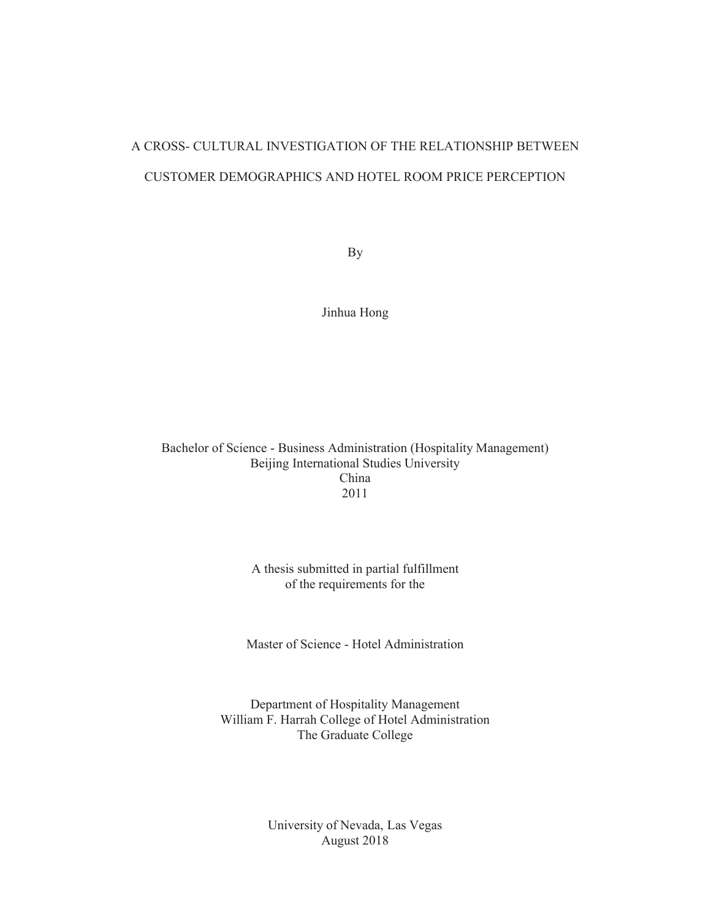# A CROSS- CULTURAL INVESTIGATION OF THE RELATIONSHIP BETWEEN CUSTOMER DEMOGRAPHICS AND HOTEL ROOM PRICE PERCEPTION

By

Jinhua Hong

Bachelor of Science - Business Administration (Hospitality Management) Beijing International Studies University China 2011

#### A thesis submitted in partial fulfillment of the requirements for the

Master of Science - Hotel Administration

Department of Hospitality Management William F. Harrah College of Hotel Administration The Graduate College

> University of Nevada, Las Vegas August 2018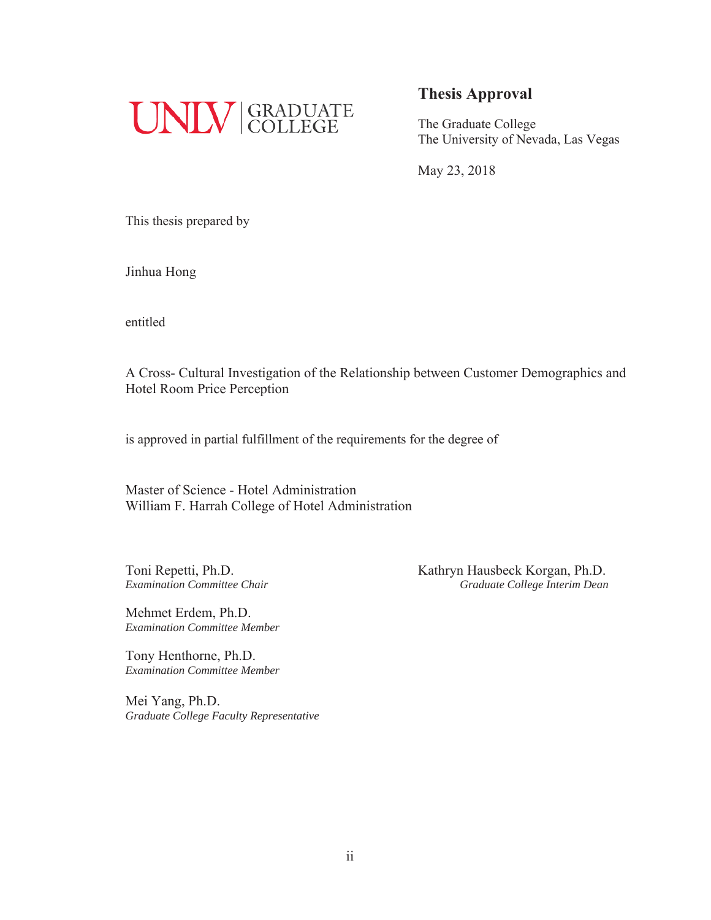

## **Thesis Approval**

The Graduate College The University of Nevada, Las Vegas

May 23, 2018

This thesis prepared by

Jinhua Hong

entitled

A Cross- Cultural Investigation of the Relationship between Customer Demographics and Hotel Room Price Perception

is approved in partial fulfillment of the requirements for the degree of

Master of Science - Hotel Administration William F. Harrah College of Hotel Administration

Toni Repetti, Ph.D. Kathryn Hausbeck Korgan, Ph.D. *Examination Committee Chair* **Graduate College Interim Dean Graduate College Interim Dean** 

Mehmet Erdem, Ph.D. *Examination Committee Member* 

Tony Henthorne, Ph.D. *Examination Committee Member* 

Mei Yang, Ph.D. *Graduate College Faculty Representative*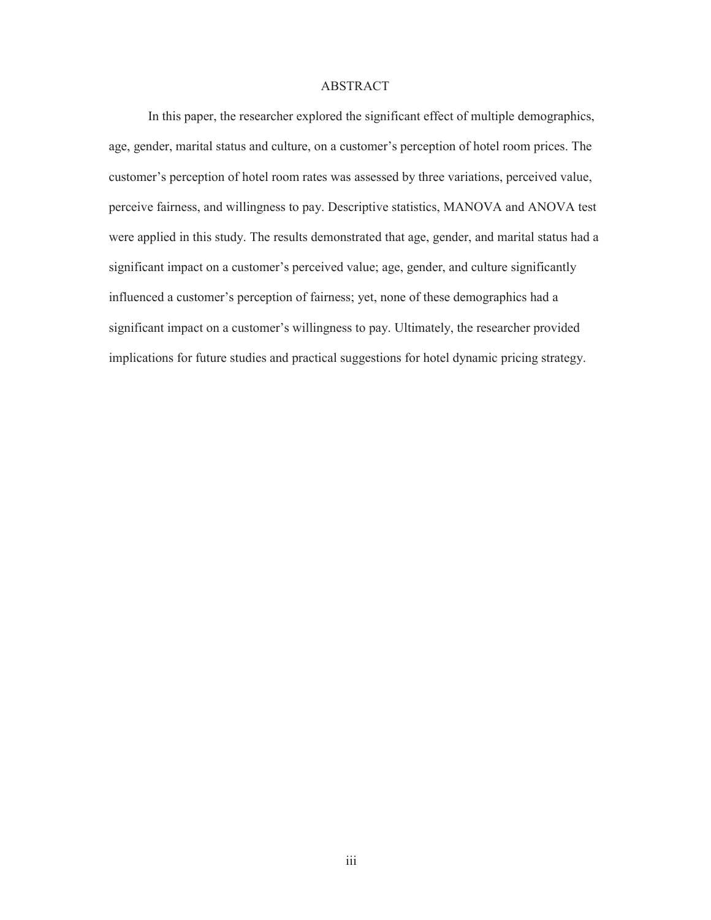#### ABSTRACT

In this paper, the researcher explored the significant effect of multiple demographics, age, gender, marital status and culture, on a customer's perception of hotel room prices. The customer's perception of hotel room rates was assessed by three variations, perceived value, perceive fairness, and willingness to pay. Descriptive statistics, MANOVA and ANOVA test were applied in this study. The results demonstrated that age, gender, and marital status had a significant impact on a customer's perceived value; age, gender, and culture significantly influenced a customer's perception of fairness; yet, none of these demographics had a significant impact on a customer's willingness to pay. Ultimately, the researcher provided implications for future studies and practical suggestions for hotel dynamic pricing strategy.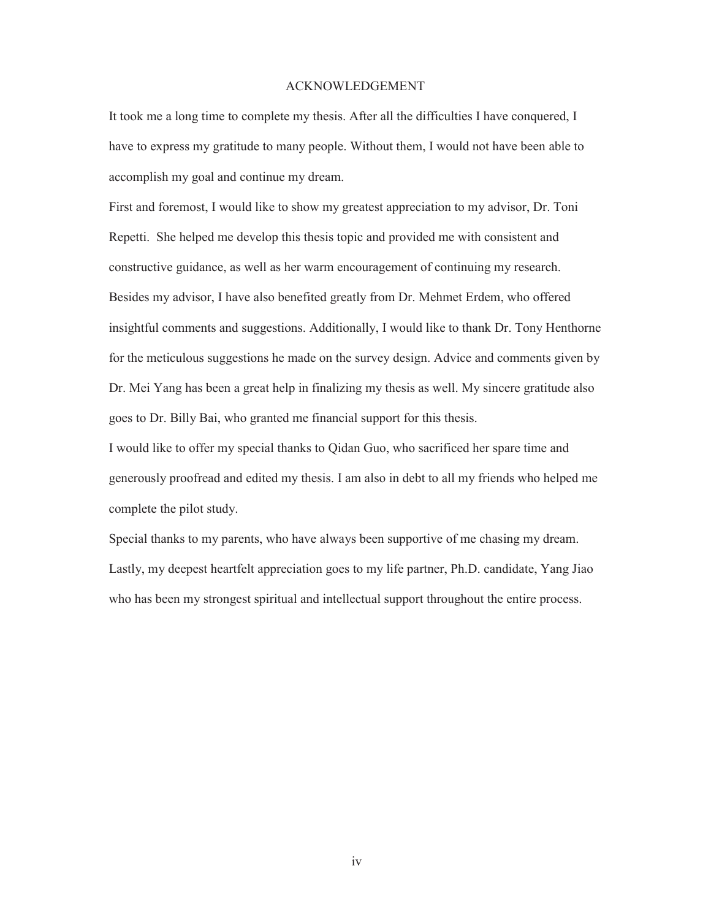#### ACKNOWLEDGEMENT

It took me a long time to complete my thesis. After all the difficulties I have conquered, I have to express my gratitude to many people. Without them, I would not have been able to accomplish my goal and continue my dream.

First and foremost, I would like to show my greatest appreciation to my advisor, Dr. Toni Repetti. She helped me develop this thesis topic and provided me with consistent and constructive guidance, as well as her warm encouragement of continuing my research. Besides my advisor, I have also benefited greatly from Dr. Mehmet Erdem, who offered insightful comments and suggestions. Additionally, I would like to thank Dr. Tony Henthorne for the meticulous suggestions he made on the survey design. Advice and comments given by Dr. Mei Yang has been a great help in finalizing my thesis as well. My sincere gratitude also goes to Dr. Billy Bai, who granted me financial support for this thesis.

I would like to offer my special thanks to Qidan Guo, who sacrificed her spare time and generously proofread and edited my thesis. I am also in debt to all my friends who helped me complete the pilot study.

Special thanks to my parents, who have always been supportive of me chasing my dream. Lastly, my deepest heartfelt appreciation goes to my life partner, Ph.D. candidate, Yang Jiao who has been my strongest spiritual and intellectual support throughout the entire process.

iv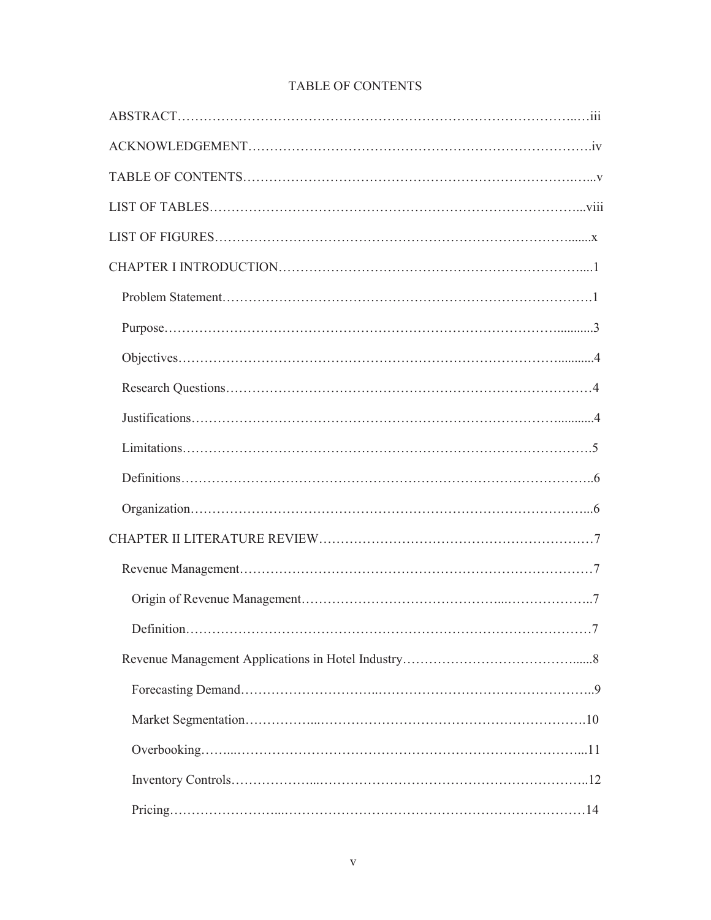| Definition<br>$\ldots 7$ |
|--------------------------|
|                          |
|                          |
|                          |
|                          |
|                          |
|                          |

# TABLE OF CONTENTS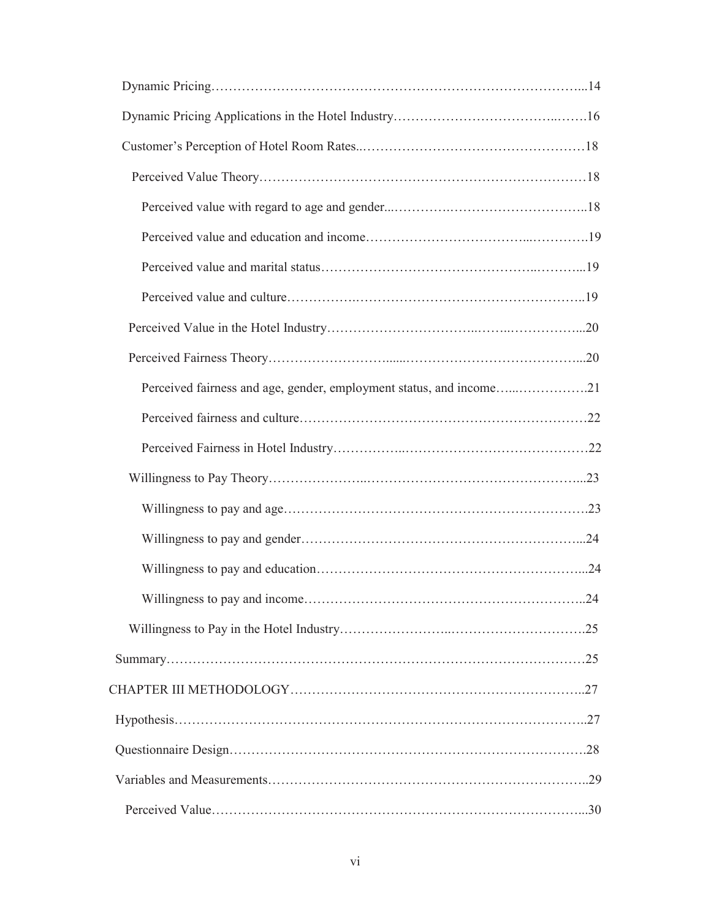| Perceived fairness and age, gender, employment status, and income21 |
|---------------------------------------------------------------------|
|                                                                     |
|                                                                     |
|                                                                     |
|                                                                     |
|                                                                     |
|                                                                     |
|                                                                     |
|                                                                     |
|                                                                     |
|                                                                     |
|                                                                     |
|                                                                     |
|                                                                     |
|                                                                     |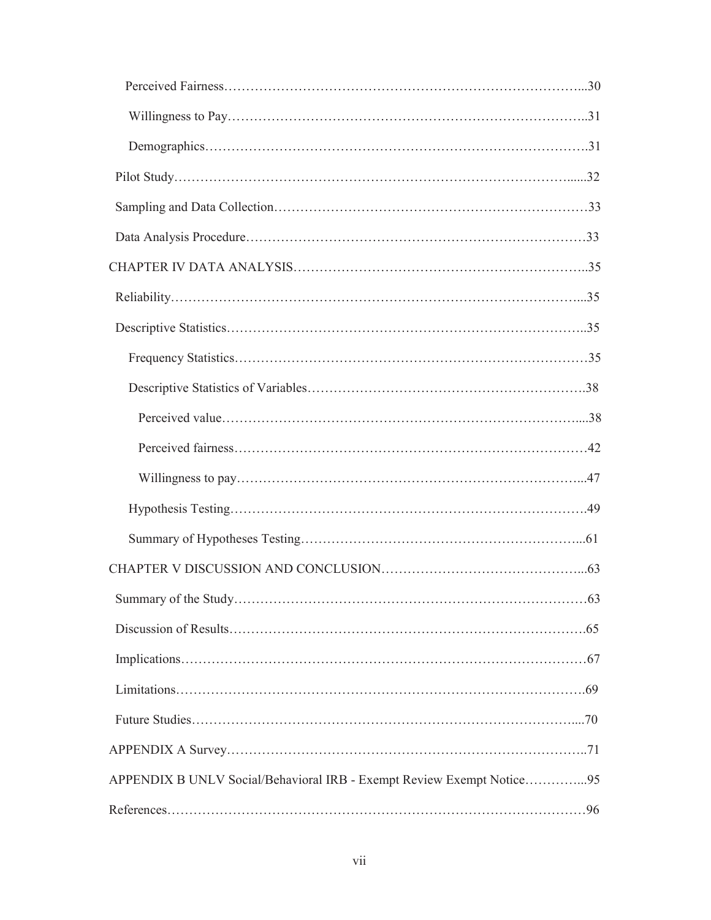| APPENDIX B UNLV Social/Behavioral IRB - Exempt Review Exempt Notice95 |  |
|-----------------------------------------------------------------------|--|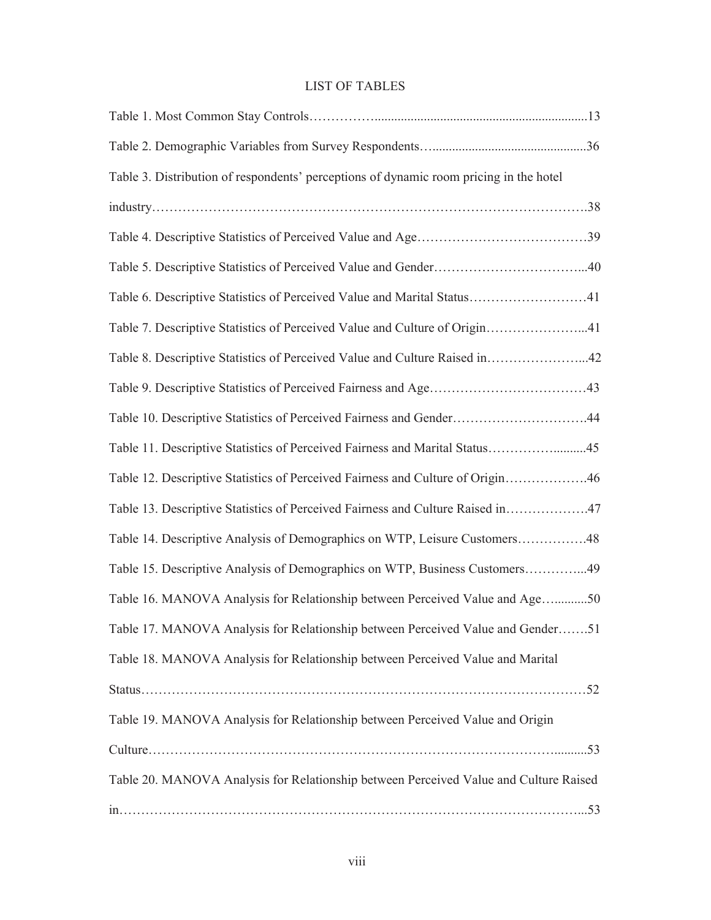# LIST OF TABLES

| Table 3. Distribution of respondents' perceptions of dynamic room pricing in the hotel |
|----------------------------------------------------------------------------------------|
|                                                                                        |
|                                                                                        |
|                                                                                        |
| Table 6. Descriptive Statistics of Perceived Value and Marital Status41                |
| Table 7. Descriptive Statistics of Perceived Value and Culture of Origin41             |
| Table 8. Descriptive Statistics of Perceived Value and Culture Raised in42             |
|                                                                                        |
| Table 10. Descriptive Statistics of Perceived Fairness and Gender44                    |
| Table 11. Descriptive Statistics of Perceived Fairness and Marital Status45            |
| Table 12. Descriptive Statistics of Perceived Fairness and Culture of Origin46         |
| Table 13. Descriptive Statistics of Perceived Fairness and Culture Raised in47         |
| Table 14. Descriptive Analysis of Demographics on WTP, Leisure Customers48             |
| Table 15. Descriptive Analysis of Demographics on WTP, Business Customers49            |
| Table 16. MANOVA Analysis for Relationship between Perceived Value and Age50           |
| Table 17. MANOVA Analysis for Relationship between Perceived Value and Gender51        |
| Table 18. MANOVA Analysis for Relationship between Perceived Value and Marital         |
|                                                                                        |
| Table 19. MANOVA Analysis for Relationship between Perceived Value and Origin          |
|                                                                                        |
| Table 20. MANOVA Analysis for Relationship between Perceived Value and Culture Raised  |
|                                                                                        |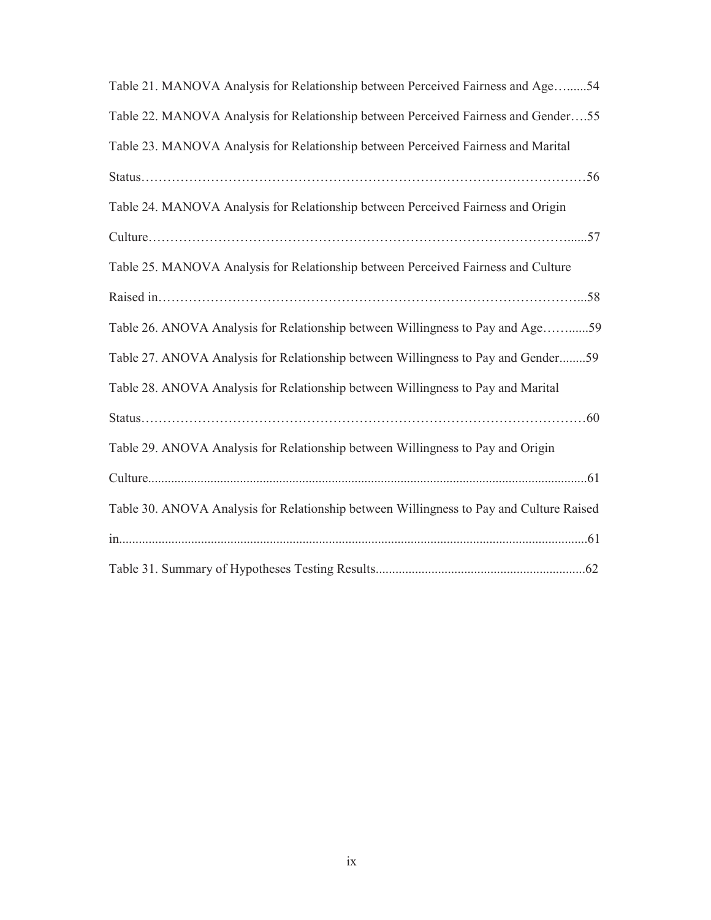| Table 21. MANOVA Analysis for Relationship between Perceived Fairness and Age54         |
|-----------------------------------------------------------------------------------------|
| Table 22. MANOVA Analysis for Relationship between Perceived Fairness and Gender55      |
| Table 23. MANOVA Analysis for Relationship between Perceived Fairness and Marital       |
|                                                                                         |
| Table 24. MANOVA Analysis for Relationship between Perceived Fairness and Origin        |
|                                                                                         |
| Table 25. MANOVA Analysis for Relationship between Perceived Fairness and Culture       |
|                                                                                         |
| Table 26. ANOVA Analysis for Relationship between Willingness to Pay and Age59          |
| Table 27. ANOVA Analysis for Relationship between Willingness to Pay and Gender59       |
| Table 28. ANOVA Analysis for Relationship between Willingness to Pay and Marital        |
|                                                                                         |
| Table 29. ANOVA Analysis for Relationship between Willingness to Pay and Origin         |
|                                                                                         |
| Table 30. ANOVA Analysis for Relationship between Willingness to Pay and Culture Raised |
|                                                                                         |
|                                                                                         |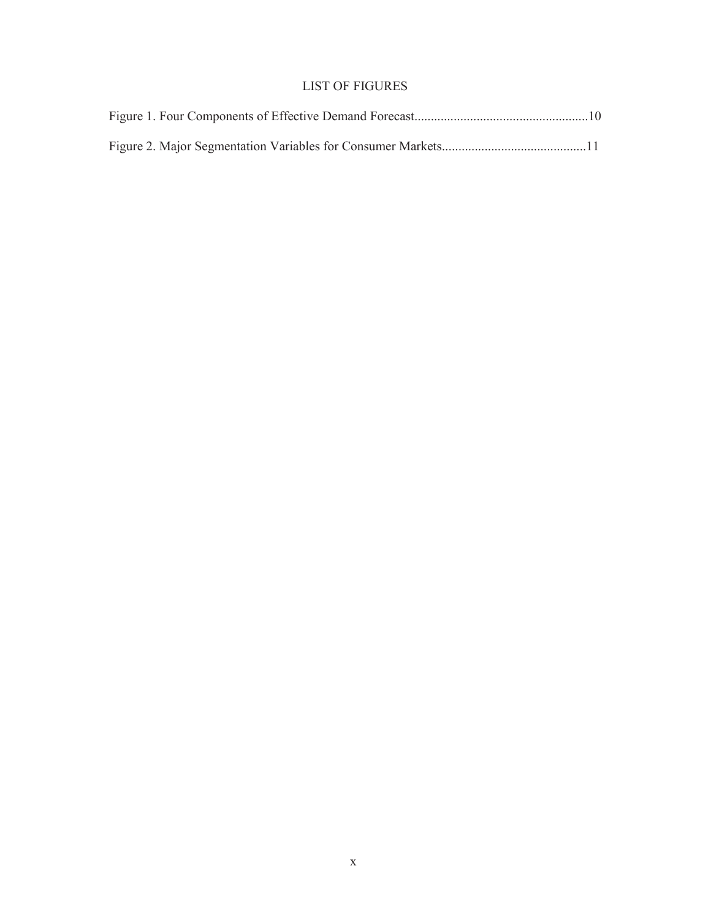# LIST OF FIGURES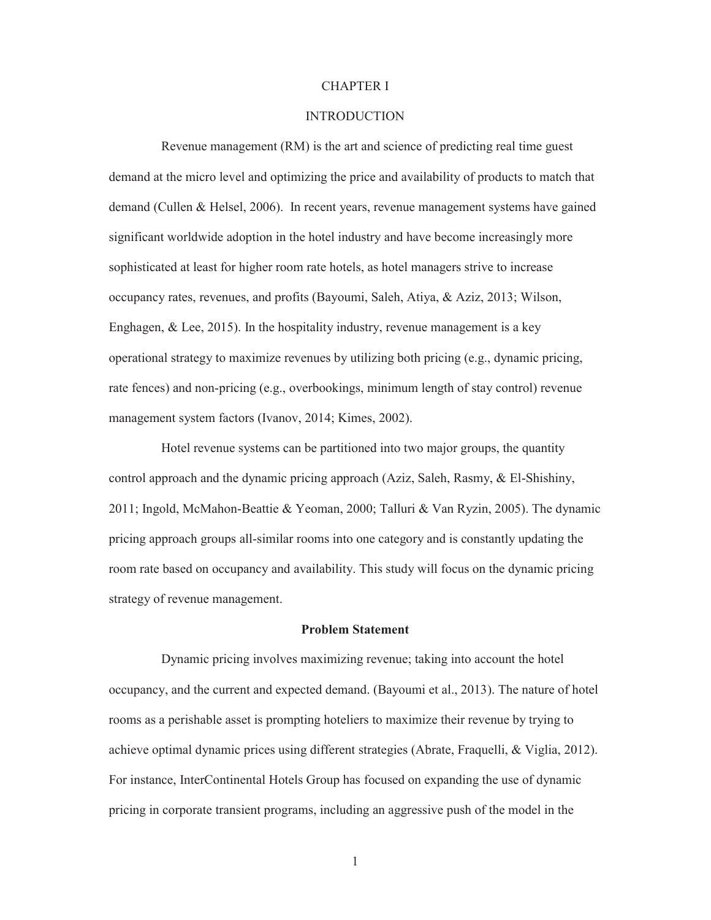#### CHAPTER I

#### **INTRODUCTION**

Revenue management (RM) is the art and science of predicting real time guest demand at the micro level and optimizing the price and availability of products to match that demand (Cullen & Helsel, 2006). In recent years, revenue management systems have gained significant worldwide adoption in the hotel industry and have become increasingly more sophisticated at least for higher room rate hotels, as hotel managers strive to increase occupancy rates, revenues, and profits (Bayoumi, Saleh, Atiya, & Aziz, 2013; Wilson, Enghagen, & Lee, 2015). In the hospitality industry, revenue management is a key operational strategy to maximize revenues by utilizing both pricing (e.g., dynamic pricing, rate fences) and non-pricing (e.g., overbookings, minimum length of stay control) revenue management system factors (Ivanov, 2014; Kimes, 2002).

Hotel revenue systems can be partitioned into two major groups, the quantity control approach and the dynamic pricing approach (Aziz, Saleh, Rasmy, & El-Shishiny, 2011; Ingold, McMahon-Beattie & Yeoman, 2000; Talluri & Van Ryzin, 2005). The dynamic pricing approach groups all-similar rooms into one category and is constantly updating the room rate based on occupancy and availability. This study will focus on the dynamic pricing strategy of revenue management.

#### **Problem Statement**

Dynamic pricing involves maximizing revenue; taking into account the hotel occupancy, and the current and expected demand. (Bayoumi et al., 2013). The nature of hotel rooms as a perishable asset is prompting hoteliers to maximize their revenue by trying to achieve optimal dynamic prices using different strategies (Abrate, Fraquelli, & Viglia, 2012). For instance, InterContinental Hotels Group has focused on expanding the use of dynamic pricing in corporate transient programs, including an aggressive push of the model in the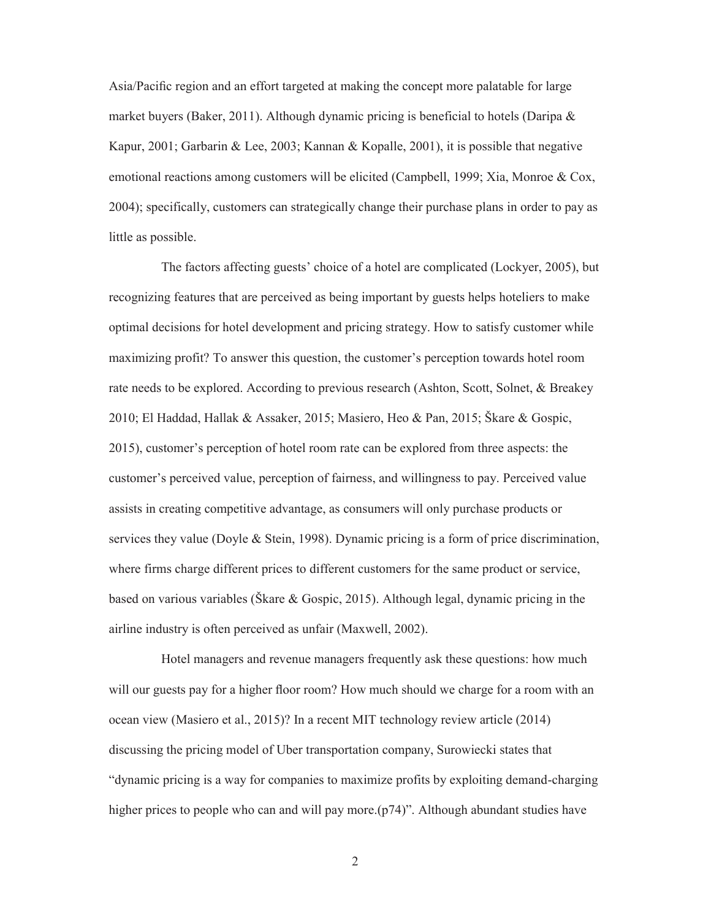Asia/Pacific region and an effort targeted at making the concept more palatable for large market buyers (Baker, 2011). Although dynamic pricing is beneficial to hotels (Daripa  $\&$ Kapur, 2001; Garbarin & Lee, 2003; Kannan & Kopalle, 2001), it is possible that negative emotional reactions among customers will be elicited (Campbell, 1999; Xia, Monroe & Cox, 2004); specifically, customers can strategically change their purchase plans in order to pay as little as possible.

The factors affecting guests' choice of a hotel are complicated (Lockyer, 2005), but recognizing features that are perceived as being important by guests helps hoteliers to make optimal decisions for hotel development and pricing strategy. How to satisfy customer while maximizing profit? To answer this question, the customer's perception towards hotel room rate needs to be explored. According to previous research (Ashton, Scott, Solnet, & Breakey 2010; El Haddad, Hallak & Assaker, 2015; Masiero, Heo & Pan, 2015; Škare & Gospic, 2015), customer's perception of hotel room rate can be explored from three aspects: the customer's perceived value, perception of fairness, and willingness to pay. Perceived value assists in creating competitive advantage, as consumers will only purchase products or services they value (Doyle & Stein, 1998). Dynamic pricing is a form of price discrimination, where firms charge different prices to different customers for the same product or service, based on various variables (Škare & Gospic, 2015). Although legal, dynamic pricing in the airline industry is often perceived as unfair (Maxwell, 2002).

Hotel managers and revenue managers frequently ask these questions: how much will our guests pay for a higher floor room? How much should we charge for a room with an ocean view (Masiero et al., 2015)? In a recent MIT technology review article (2014) discussing the pricing model of Uber transportation company, Surowiecki states that "dynamic pricing is a way for companies to maximize profits by exploiting demand-charging higher prices to people who can and will pay more.(p74)". Although abundant studies have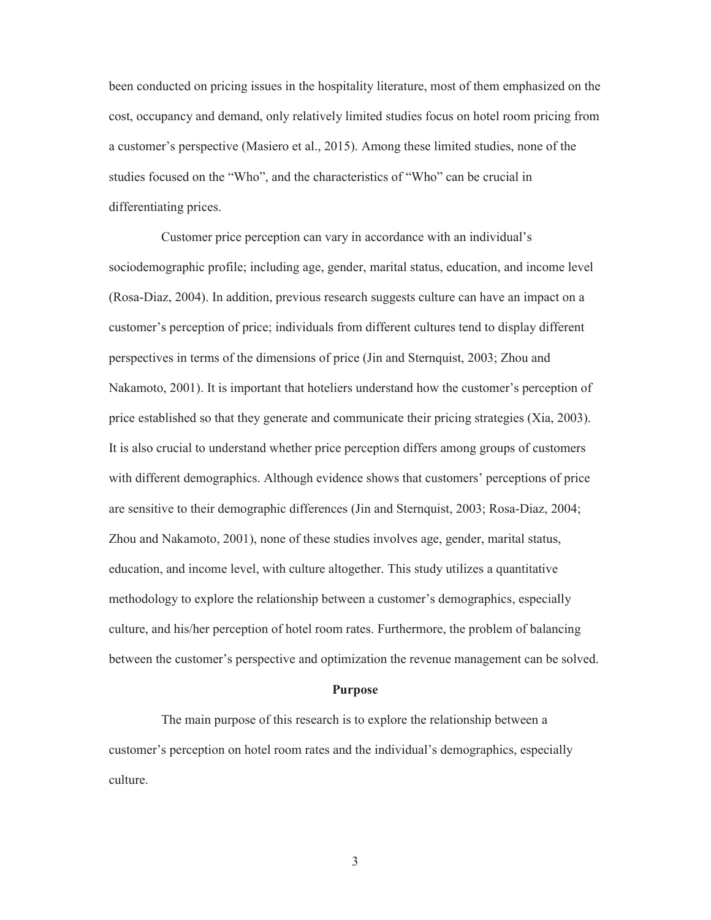been conducted on pricing issues in the hospitality literature, most of them emphasized on the cost, occupancy and demand, only relatively limited studies focus on hotel room pricing from a customer's perspective (Masiero et al., 2015). Among these limited studies, none of the studies focused on the "Who", and the characteristics of "Who" can be crucial in differentiating prices.

Customer price perception can vary in accordance with an individual's sociodemographic profile; including age, gender, marital status, education, and income level (Rosa-Diaz, 2004). In addition, previous research suggests culture can have an impact on a customer's perception of price; individuals from different cultures tend to display different perspectives in terms of the dimensions of price (Jin and Sternquist, 2003; Zhou and Nakamoto, 2001). It is important that hoteliers understand how the customer's perception of price established so that they generate and communicate their pricing strategies (Xia, 2003). It is also crucial to understand whether price perception differs among groups of customers with different demographics. Although evidence shows that customers' perceptions of price are sensitive to their demographic differences (Jin and Sternquist, 2003; Rosa-Diaz, 2004; Zhou and Nakamoto, 2001), none of these studies involves age, gender, marital status, education, and income level, with culture altogether. This study utilizes a quantitative methodology to explore the relationship between a customer's demographics, especially culture, and his/her perception of hotel room rates. Furthermore, the problem of balancing between the customer's perspective and optimization the revenue management can be solved.

#### **Purpose**

The main purpose of this research is to explore the relationship between a customer's perception on hotel room rates and the individual's demographics, especially culture.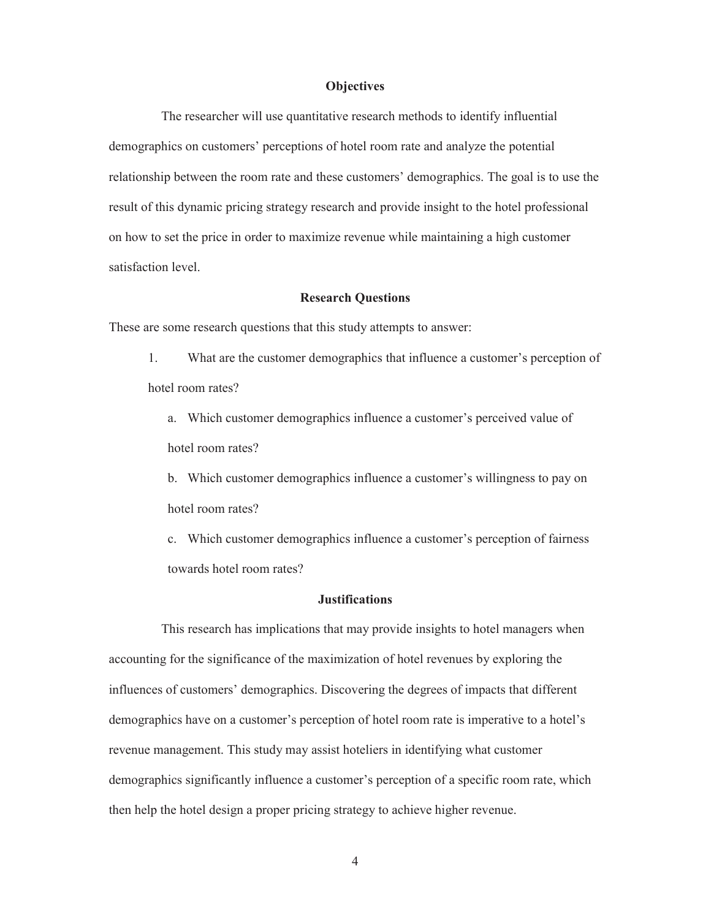#### **Objectives**

The researcher will use quantitative research methods to identify influential demographics on customers' perceptions of hotel room rate and analyze the potential relationship between the room rate and these customers' demographics. The goal is to use the result of this dynamic pricing strategy research and provide insight to the hotel professional on how to set the price in order to maximize revenue while maintaining a high customer satisfaction level.

#### **Research Questions**

These are some research questions that this study attempts to answer:

1. What are the customer demographics that influence a customer's perception of hotel room rates?

a. Which customer demographics influence a customer's perceived value of hotel room rates?

b. Which customer demographics influence a customer's willingness to pay on hotel room rates?

c. Which customer demographics influence a customer's perception of fairness towards hotel room rates?

#### **Justifications**

This research has implications that may provide insights to hotel managers when accounting for the significance of the maximization of hotel revenues by exploring the influences of customers' demographics. Discovering the degrees of impacts that different demographics have on a customer's perception of hotel room rate is imperative to a hotel's revenue management. This study may assist hoteliers in identifying what customer demographics significantly influence a customer's perception of a specific room rate, which then help the hotel design a proper pricing strategy to achieve higher revenue.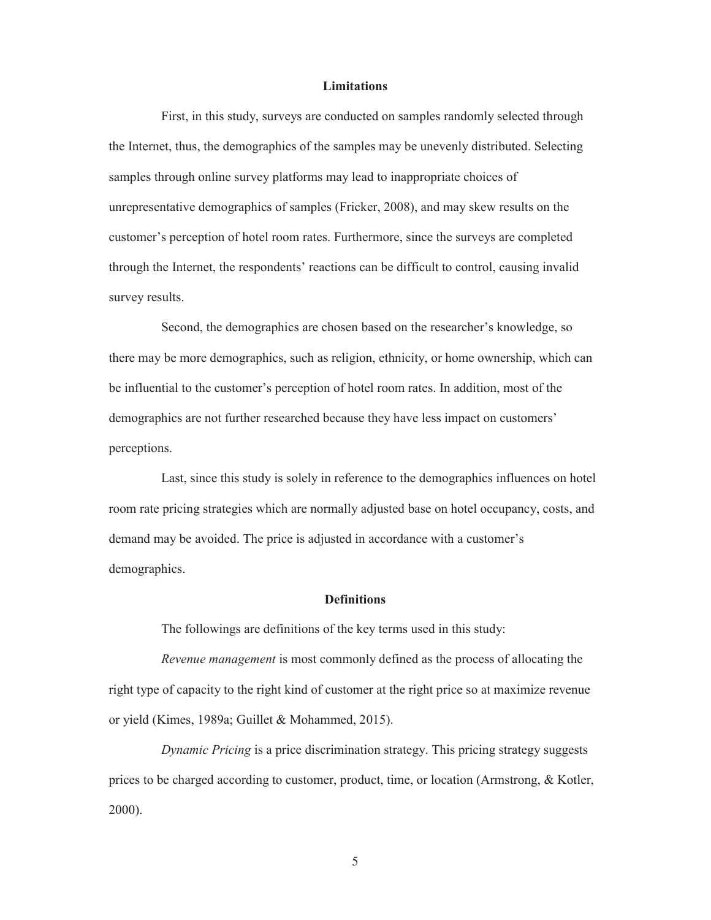#### **Limitations**

First, in this study, surveys are conducted on samples randomly selected through the Internet, thus, the demographics of the samples may be unevenly distributed. Selecting samples through online survey platforms may lead to inappropriate choices of unrepresentative demographics of samples (Fricker, 2008), and may skew results on the customer's perception of hotel room rates. Furthermore, since the surveys are completed through the Internet, the respondents' reactions can be difficult to control, causing invalid survey results.

Second, the demographics are chosen based on the researcher's knowledge, so there may be more demographics, such as religion, ethnicity, or home ownership, which can be influential to the customer's perception of hotel room rates. In addition, most of the demographics are not further researched because they have less impact on customers' perceptions.

Last, since this study is solely in reference to the demographics influences on hotel room rate pricing strategies which are normally adjusted base on hotel occupancy, costs, and demand may be avoided. The price is adjusted in accordance with a customer's demographics.

#### **Definitions**

The followings are definitions of the key terms used in this study:

*Revenue management* is most commonly defined as the process of allocating the right type of capacity to the right kind of customer at the right price so at maximize revenue or yield (Kimes, 1989a; Guillet & Mohammed, 2015).

*Dynamic Pricing* is a price discrimination strategy. This pricing strategy suggests prices to be charged according to customer, product, time, or location (Armstrong, & Kotler, 2000).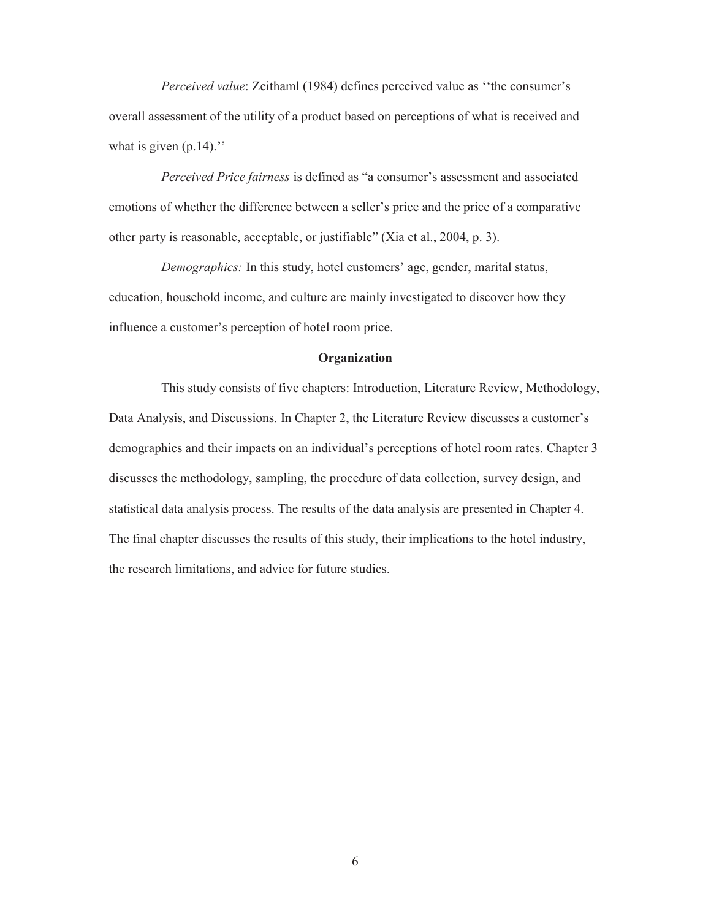*Perceived value*: Zeithaml (1984) defines perceived value as ''the consumer's overall assessment of the utility of a product based on perceptions of what is received and what is given  $(p.14)$ ."

*Perceived Price fairness* is defined as "a consumer's assessment and associated emotions of whether the difference between a seller's price and the price of a comparative other party is reasonable, acceptable, or justifiable" (Xia et al., 2004, p. 3).

*Demographics:* In this study, hotel customers' age, gender, marital status, education, household income, and culture are mainly investigated to discover how they influence a customer's perception of hotel room price.

#### **Organization**

This study consists of five chapters: Introduction, Literature Review, Methodology, Data Analysis, and Discussions. In Chapter 2, the Literature Review discusses a customer's demographics and their impacts on an individual's perceptions of hotel room rates. Chapter 3 discusses the methodology, sampling, the procedure of data collection, survey design, and statistical data analysis process. The results of the data analysis are presented in Chapter 4. The final chapter discusses the results of this study, their implications to the hotel industry, the research limitations, and advice for future studies.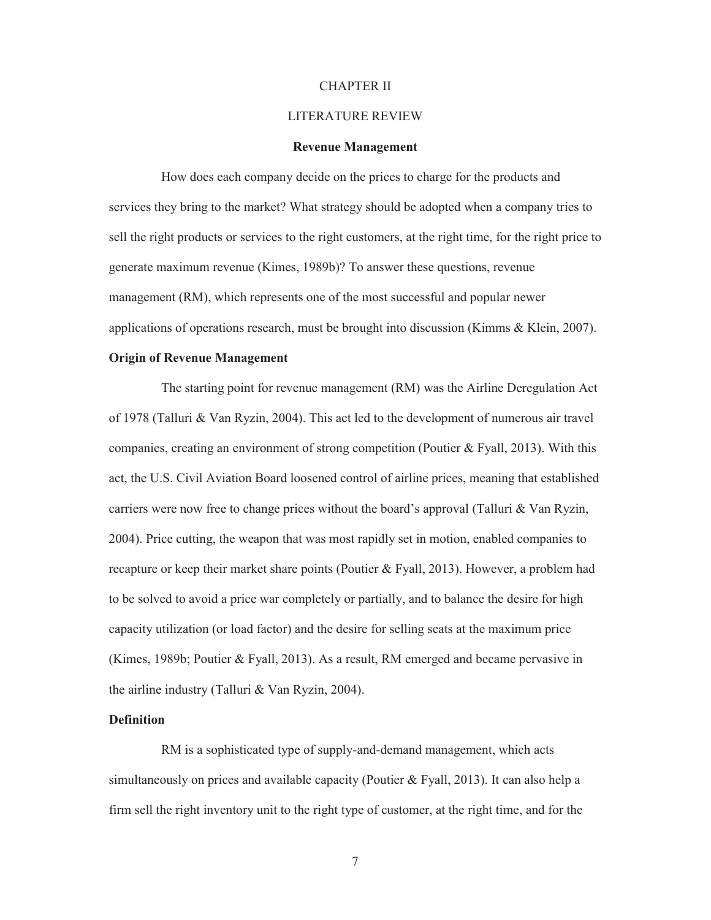#### CHAPTER II

#### LITERATURE REVIEW

#### **Revenue Management**

How does each company decide on the prices to charge for the products and services they bring to the market? What strategy should be adopted when a company tries to sell the right products or services to the right customers, at the right time, for the right price to generate maximum revenue (Kimes, 1989b)? To answer these questions, revenue management (RM), which represents one of the most successful and popular newer applications of operations research, must be brought into discussion (Kimms & Klein, 2007).

#### **Origin of Revenue Management**

The starting point for revenue management (RM) was the Airline Deregulation Act of 1978 (Talluri & Van Ryzin, 2004). This act led to the development of numerous air travel companies, creating an environment of strong competition (Poutier & Fyall, 2013). With this act, the U.S. Civil Aviation Board loosened control of airline prices, meaning that established carriers were now free to change prices without the board's approval (Talluri & Van Ryzin, 2004). Price cutting, the weapon that was most rapidly set in motion, enabled companies to recapture or keep their market share points (Poutier & Fyall, 2013). However, a problem had to be solved to avoid a price war completely or partially, and to balance the desire for high capacity utilization (or load factor) and the desire for selling seats at the maximum price (Kimes, 1989b; Poutier & Fyall, 2013). As a result, RM emerged and became pervasive in the airline industry (Talluri & Van Ryzin, 2004).

#### **Definition**

RM is a sophisticated type of supply-and-demand management, which acts simultaneously on prices and available capacity (Poutier & Fyall, 2013). It can also help a firm sell the right inventory unit to the right type of customer, at the right time, and for the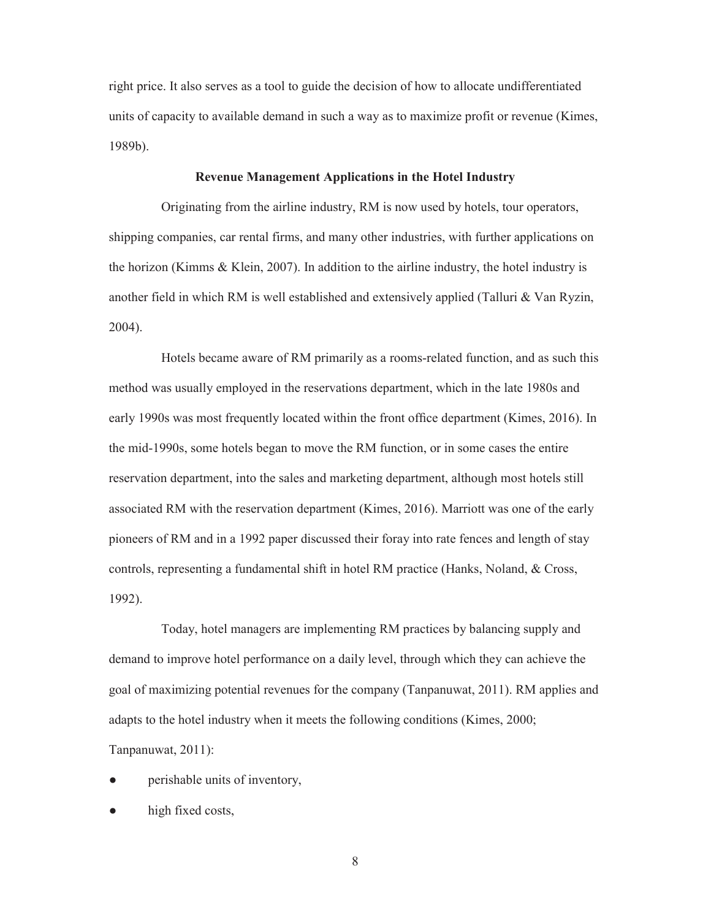right price. It also serves as a tool to guide the decision of how to allocate undifferentiated units of capacity to available demand in such a way as to maximize profit or revenue (Kimes, 1989b).

#### **Revenue Management Applications in the Hotel Industry**

Originating from the airline industry, RM is now used by hotels, tour operators, shipping companies, car rental firms, and many other industries, with further applications on the horizon (Kimms  $\&$  Klein, 2007). In addition to the airline industry, the hotel industry is another field in which RM is well established and extensively applied (Talluri & Van Ryzin, 2004).

Hotels became aware of RM primarily as a rooms-related function, and as such this method was usually employed in the reservations department, which in the late 1980s and early 1990s was most frequently located within the front office department (Kimes, 2016). In the mid-1990s, some hotels began to move the RM function, or in some cases the entire reservation department, into the sales and marketing department, although most hotels still associated RM with the reservation department (Kimes, 2016). Marriott was one of the early pioneers of RM and in a 1992 paper discussed their foray into rate fences and length of stay controls, representing a fundamental shift in hotel RM practice (Hanks, Noland, & Cross, 1992).

Today, hotel managers are implementing RM practices by balancing supply and demand to improve hotel performance on a daily level, through which they can achieve the goal of maximizing potential revenues for the company (Tanpanuwat, 2011). RM applies and adapts to the hotel industry when it meets the following conditions (Kimes, 2000; Tanpanuwat, 2011):

- perishable units of inventory,
- high fixed costs,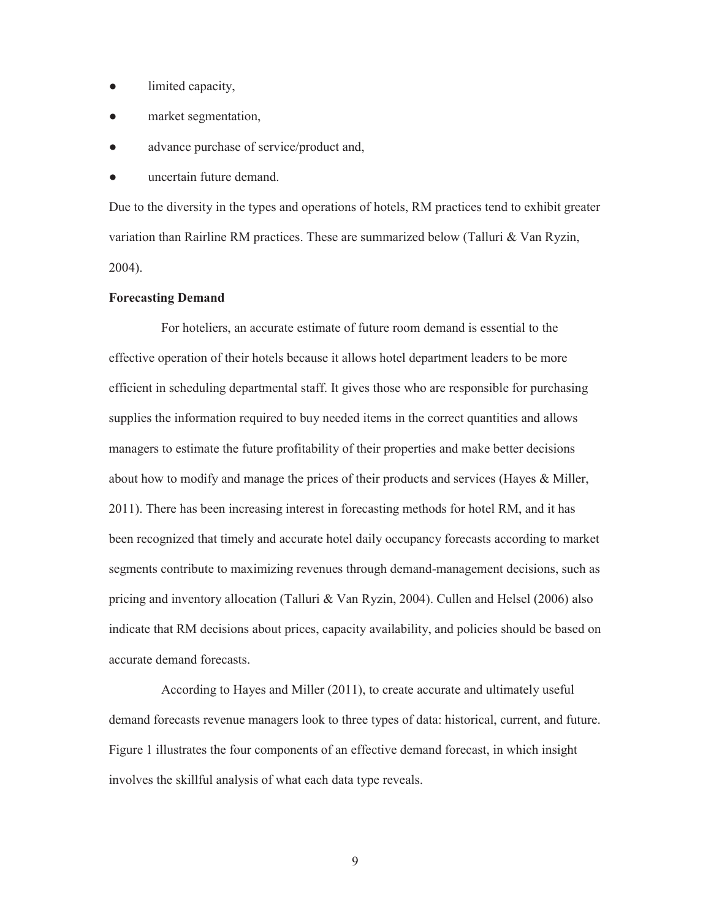- limited capacity,
- market segmentation,
- advance purchase of service/product and,
- uncertain future demand.

Due to the diversity in the types and operations of hotels, RM practices tend to exhibit greater variation than Rairline RM practices. These are summarized below (Talluri & Van Ryzin, 2004).

#### **Forecasting Demand**

For hoteliers, an accurate estimate of future room demand is essential to the effective operation of their hotels because it allows hotel department leaders to be more efficient in scheduling departmental staff. It gives those who are responsible for purchasing supplies the information required to buy needed items in the correct quantities and allows managers to estimate the future profitability of their properties and make better decisions about how to modify and manage the prices of their products and services (Hayes & Miller, 2011). There has been increasing interest in forecasting methods for hotel RM, and it has been recognized that timely and accurate hotel daily occupancy forecasts according to market segments contribute to maximizing revenues through demand-management decisions, such as pricing and inventory allocation (Talluri & Van Ryzin, 2004). Cullen and Helsel (2006) also indicate that RM decisions about prices, capacity availability, and policies should be based on accurate demand forecasts.

According to Hayes and Miller (2011), to create accurate and ultimately useful demand forecasts revenue managers look to three types of data: historical, current, and future. Figure 1 illustrates the four components of an effective demand forecast, in which insight involves the skillful analysis of what each data type reveals.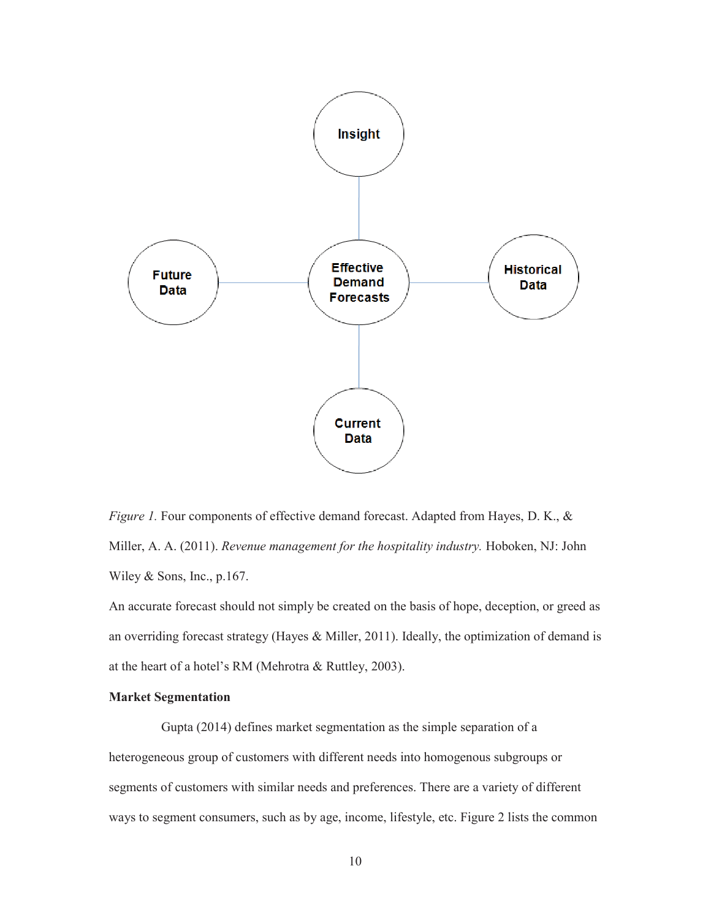

*Figure 1.* Four components of effective demand forecast. Adapted from Hayes, D. K., & Miller, A. A. (2011). *Revenue management for the hospitality industry.* Hoboken, NJ: John Wiley & Sons, Inc., p.167.

An accurate forecast should not simply be created on the basis of hope, deception, or greed as an overriding forecast strategy (Hayes & Miller, 2011). Ideally, the optimization of demand is at the heart of a hotel's RM (Mehrotra & Ruttley, 2003).

#### **Market Segmentation**

Gupta (2014) defines market segmentation as the simple separation of a heterogeneous group of customers with different needs into homogenous subgroups or segments of customers with similar needs and preferences. There are a variety of different ways to segment consumers, such as by age, income, lifestyle, etc. Figure 2 lists the common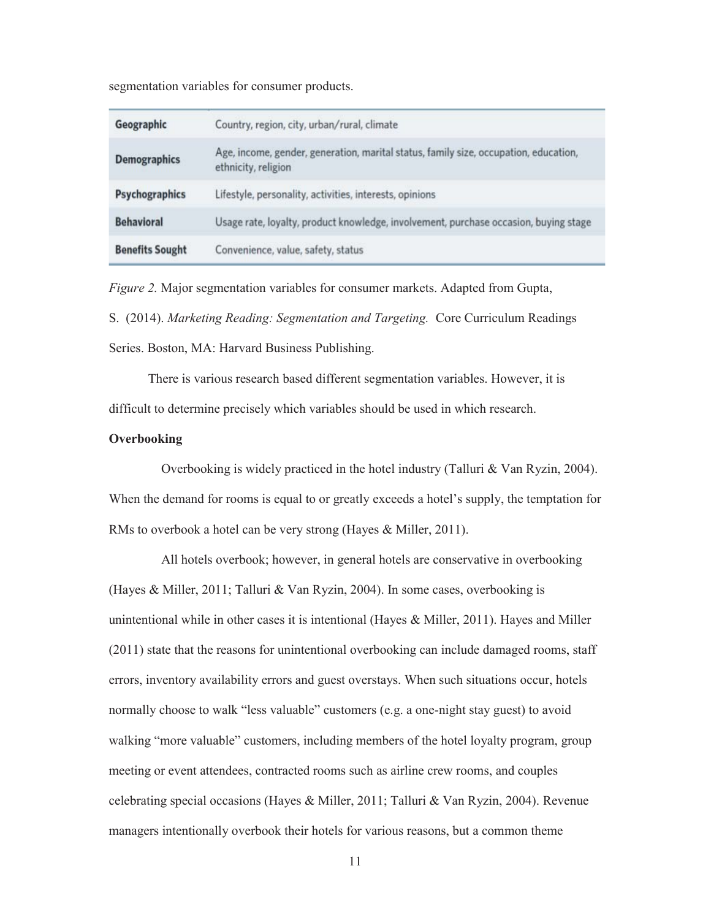segmentation variables for consumer products.

| Geographic             | Country, region, city, urban/rural, climate                                                                 |  |
|------------------------|-------------------------------------------------------------------------------------------------------------|--|
| <b>Demographics</b>    | Age, income, gender, generation, marital status, family size, occupation, education,<br>ethnicity, religion |  |
| Psychographics         | Lifestyle, personality, activities, interests, opinions                                                     |  |
| <b>Behavioral</b>      | Usage rate, loyalty, product knowledge, involvement, purchase occasion, buying stage                        |  |
| <b>Benefits Sought</b> | Convenience, value, safety, status                                                                          |  |

*Figure 2.* Major segmentation variables for consumer markets. Adapted from Gupta,

S. (2014). *Marketing Reading: Segmentation and Targeting.* Core Curriculum Readings Series. Boston, MA: Harvard Business Publishing.

There is various research based different segmentation variables. However, it is difficult to determine precisely which variables should be used in which research.

#### **Overbooking**

Overbooking is widely practiced in the hotel industry (Talluri & Van Ryzin, 2004). When the demand for rooms is equal to or greatly exceeds a hotel's supply, the temptation for RMs to overbook a hotel can be very strong (Hayes & Miller, 2011).

All hotels overbook; however, in general hotels are conservative in overbooking (Hayes & Miller, 2011; Talluri & Van Ryzin, 2004). In some cases, overbooking is unintentional while in other cases it is intentional (Hayes & Miller, 2011). Hayes and Miller (2011) state that the reasons for unintentional overbooking can include damaged rooms, staff errors, inventory availability errors and guest overstays. When such situations occur, hotels normally choose to walk "less valuable" customers (e.g. a one-night stay guest) to avoid walking "more valuable" customers, including members of the hotel loyalty program, group meeting or event attendees, contracted rooms such as airline crew rooms, and couples celebrating special occasions (Hayes & Miller, 2011; Talluri & Van Ryzin, 2004). Revenue managers intentionally overbook their hotels for various reasons, but a common theme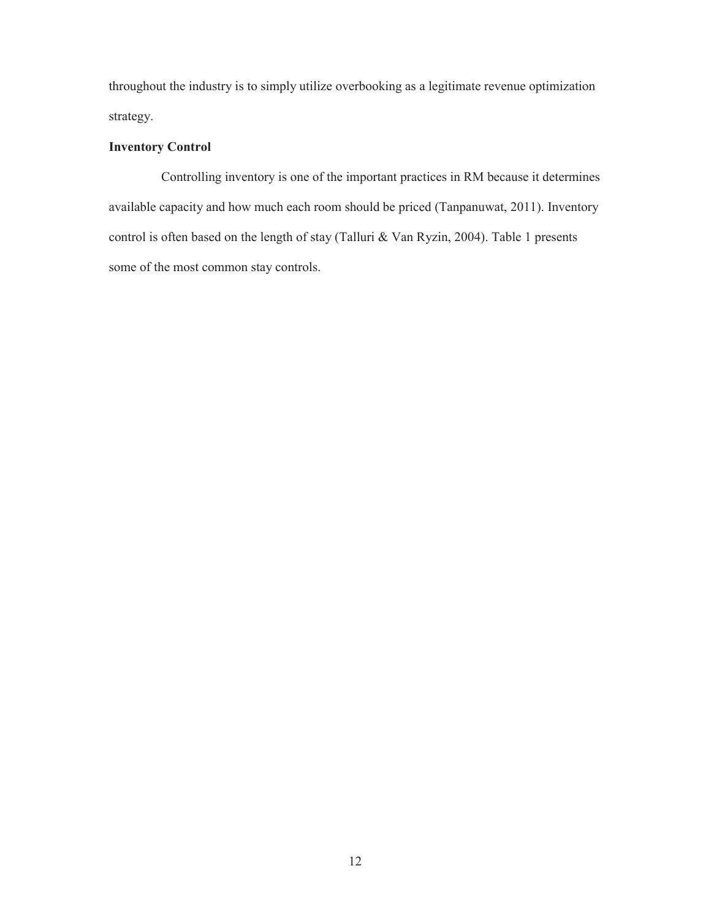throughout the industry is to simply utilize overbooking as a legitimate revenue optimization strategy.

# **Inventory Control**

Controlling inventory is one of the important practices in RM because it determines available capacity and how much each room should be priced (Tanpanuwat, 2011). Inventory control is often based on the length of stay (Talluri & Van Ryzin, 2004). Table 1 presents some of the most common stay controls.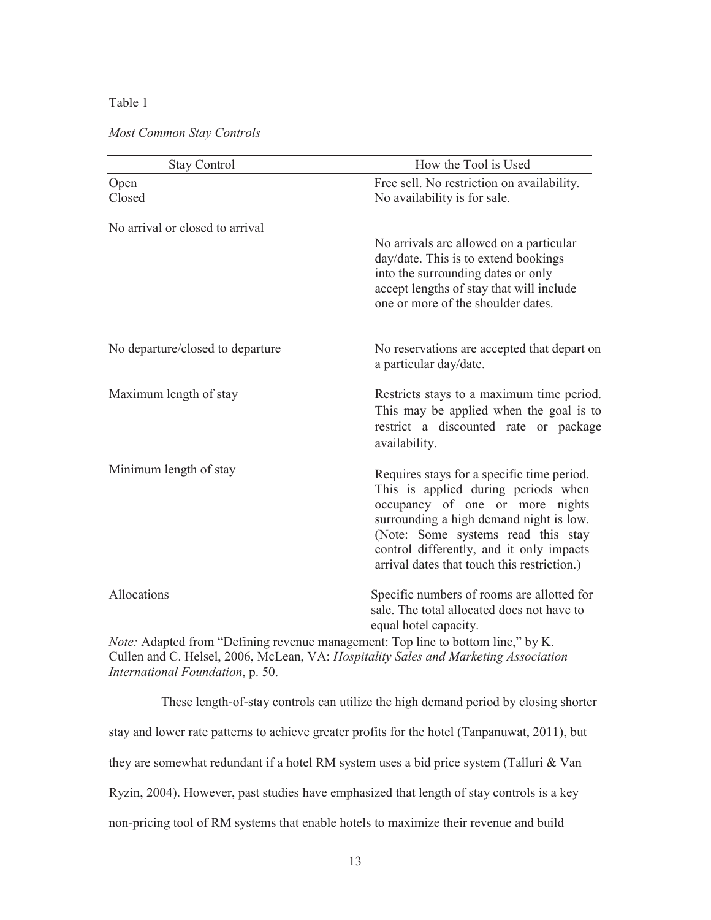#### Table 1

#### *Most Common Stay Controls*

| <b>Stay Control</b>              | How the Tool is Used                                                                                                                                                                                                                                                                             |
|----------------------------------|--------------------------------------------------------------------------------------------------------------------------------------------------------------------------------------------------------------------------------------------------------------------------------------------------|
| Open<br>Closed                   | Free sell. No restriction on availability.<br>No availability is for sale.                                                                                                                                                                                                                       |
| No arrival or closed to arrival  | No arrivals are allowed on a particular<br>day/date. This is to extend bookings<br>into the surrounding dates or only<br>accept lengths of stay that will include<br>one or more of the shoulder dates.                                                                                          |
| No departure/closed to departure | No reservations are accepted that depart on<br>a particular day/date.                                                                                                                                                                                                                            |
| Maximum length of stay           | Restricts stays to a maximum time period.<br>This may be applied when the goal is to<br>restrict a discounted rate or package<br>availability.                                                                                                                                                   |
| Minimum length of stay           | Requires stays for a specific time period.<br>This is applied during periods when<br>occupancy of one or more nights<br>surrounding a high demand night is low.<br>(Note: Some systems read this stay<br>control differently, and it only impacts<br>arrival dates that touch this restriction.) |
| Allocations                      | Specific numbers of rooms are allotted for<br>sale. The total allocated does not have to<br>equal hotel capacity.                                                                                                                                                                                |

*Note:* Adapted from "Defining revenue management: Top line to bottom line," by K. Cullen and C. Helsel, 2006, McLean, VA: *Hospitality Sales and Marketing Association International Foundation*, p. 50.

These length-of-stay controls can utilize the high demand period by closing shorter stay and lower rate patterns to achieve greater profits for the hotel (Tanpanuwat, 2011), but they are somewhat redundant if a hotel RM system uses a bid price system (Talluri & Van Ryzin, 2004). However, past studies have emphasized that length of stay controls is a key non-pricing tool of RM systems that enable hotels to maximize their revenue and build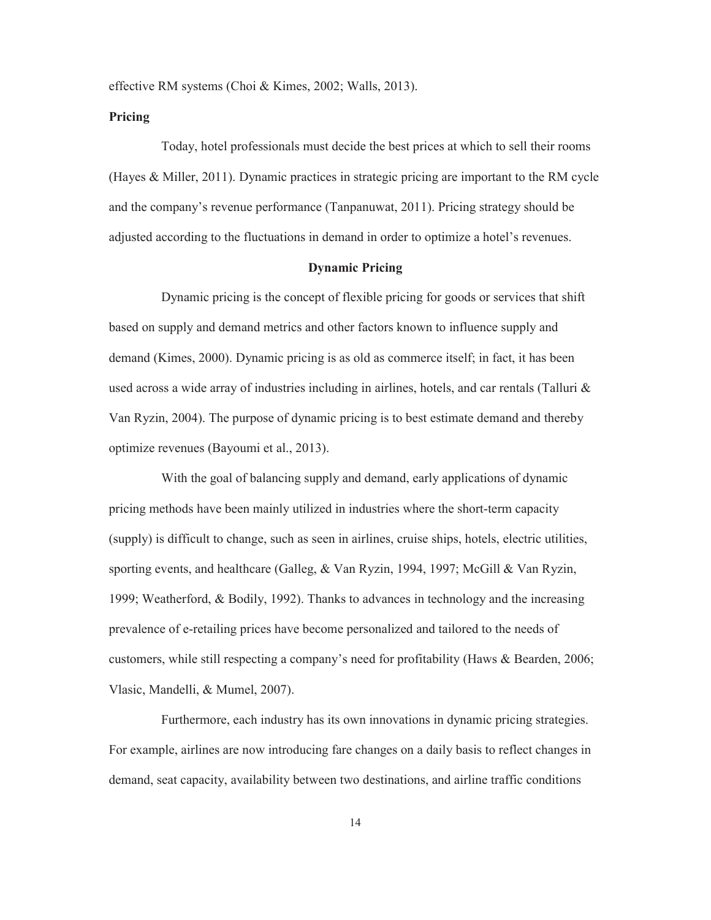effective RM systems (Choi & Kimes, 2002; Walls, 2013).

#### **Pricing**

Today, hotel professionals must decide the best prices at which to sell their rooms (Hayes & Miller, 2011). Dynamic practices in strategic pricing are important to the RM cycle and the company's revenue performance (Tanpanuwat, 2011). Pricing strategy should be adjusted according to the fluctuations in demand in order to optimize a hotel's revenues.

#### **Dynamic Pricing**

Dynamic pricing is the concept of flexible pricing for goods or services that shift based on supply and demand metrics and other factors known to influence supply and demand (Kimes, 2000). Dynamic pricing is as old as commerce itself; in fact, it has been used across a wide array of industries including in airlines, hotels, and car rentals (Talluri  $\&$ Van Ryzin, 2004). The purpose of dynamic pricing is to best estimate demand and thereby optimize revenues (Bayoumi et al., 2013).

With the goal of balancing supply and demand, early applications of dynamic pricing methods have been mainly utilized in industries where the short-term capacity (supply) is difficult to change, such as seen in airlines, cruise ships, hotels, electric utilities, sporting events, and healthcare (Galleg, & Van Ryzin, 1994, 1997; McGill & Van Ryzin, 1999; Weatherford, & Bodily, 1992). Thanks to advances in technology and the increasing prevalence of e-retailing prices have become personalized and tailored to the needs of customers, while still respecting a company's need for profitability (Haws & Bearden, 2006; Vlasic, Mandelli, & Mumel, 2007).

Furthermore, each industry has its own innovations in dynamic pricing strategies. For example, airlines are now introducing fare changes on a daily basis to reflect changes in demand, seat capacity, availability between two destinations, and airline traffic conditions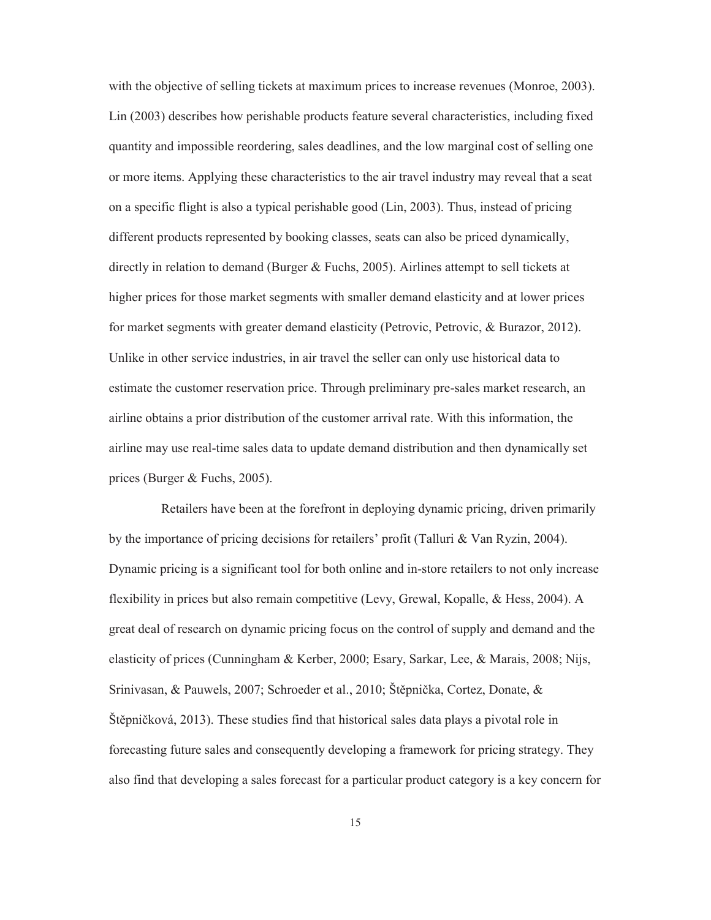with the objective of selling tickets at maximum prices to increase revenues (Monroe, 2003). Lin (2003) describes how perishable products feature several characteristics, including fixed quantity and impossible reordering, sales deadlines, and the low marginal cost of selling one or more items. Applying these characteristics to the air travel industry may reveal that a seat on a specific flight is also a typical perishable good (Lin, 2003). Thus, instead of pricing different products represented by booking classes, seats can also be priced dynamically, directly in relation to demand (Burger & Fuchs, 2005). Airlines attempt to sell tickets at higher prices for those market segments with smaller demand elasticity and at lower prices for market segments with greater demand elasticity (Petrovic, Petrovic, & Burazor, 2012). Unlike in other service industries, in air travel the seller can only use historical data to estimate the customer reservation price. Through preliminary pre-sales market research, an airline obtains a prior distribution of the customer arrival rate. With this information, the airline may use real-time sales data to update demand distribution and then dynamically set prices (Burger & Fuchs, 2005).

Retailers have been at the forefront in deploying dynamic pricing, driven primarily by the importance of pricing decisions for retailers' profit (Talluri & Van Ryzin, 2004). Dynamic pricing is a significant tool for both online and in-store retailers to not only increase flexibility in prices but also remain competitive (Levy, Grewal, Kopalle, & Hess, 2004). A great deal of research on dynamic pricing focus on the control of supply and demand and the elasticity of prices (Cunningham & Kerber, 2000; Esary, Sarkar, Lee, & Marais, 2008; Nijs, Srinivasan, & Pauwels, 2007; Schroeder et al., 2010; Štěpnička, Cortez, Donate, & Štěpničková, 2013). These studies find that historical sales data plays a pivotal role in forecasting future sales and consequently developing a framework for pricing strategy. They also find that developing a sales forecast for a particular product category is a key concern for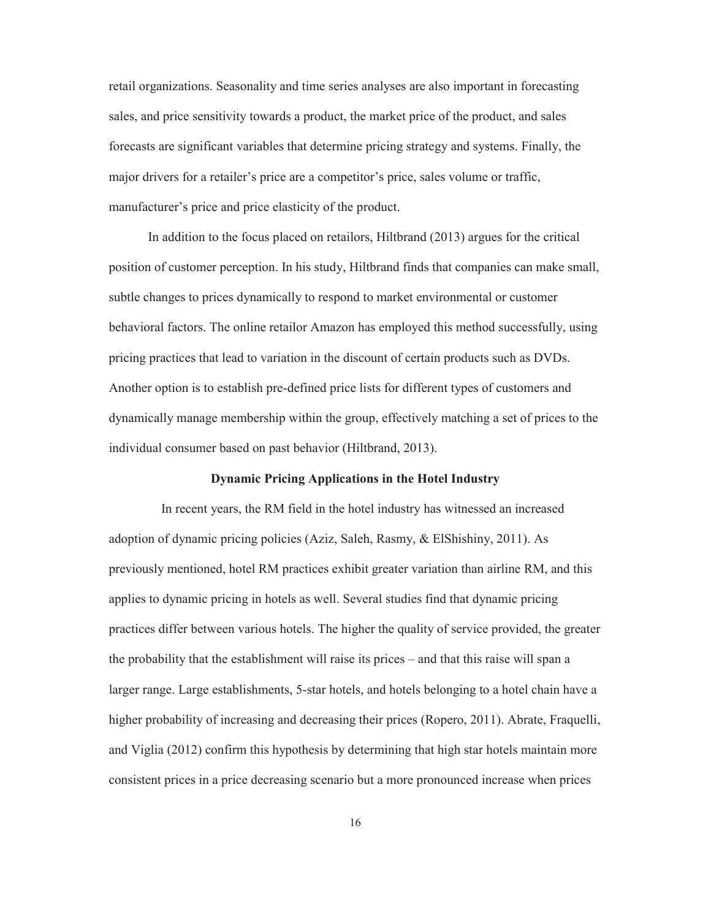retail organizations. Seasonality and time series analyses are also important in forecasting sales, and price sensitivity towards a product, the market price of the product, and sales forecasts are significant variables that determine pricing strategy and systems. Finally, the major drivers for a retailer's price are a competitor's price, sales volume or traffic, manufacturer's price and price elasticity of the product.

In addition to the focus placed on retailors, Hiltbrand (2013) argues for the critical position of customer perception. In his study, Hiltbrand finds that companies can make small, subtle changes to prices dynamically to respond to market environmental or customer behavioral factors. The online retailor Amazon has employed this method successfully, using pricing practices that lead to variation in the discount of certain products such as DVDs. Another option is to establish pre-defined price lists for different types of customers and dynamically manage membership within the group, effectively matching a set of prices to the individual consumer based on past behavior (Hiltbrand, 2013).

#### **Dynamic Pricing Applications in the Hotel Industry**

In recent years, the RM field in the hotel industry has witnessed an increased adoption of dynamic pricing policies (Aziz, Saleh, Rasmy, & ElShishiny, 2011). As previously mentioned, hotel RM practices exhibit greater variation than airline RM, and this applies to dynamic pricing in hotels as well. Several studies find that dynamic pricing practices differ between various hotels. The higher the quality of service provided, the greater the probability that the establishment will raise its prices – and that this raise will span a larger range. Large establishments, 5-star hotels, and hotels belonging to a hotel chain have a higher probability of increasing and decreasing their prices (Ropero, 2011). Abrate, Fraquelli, and Viglia (2012) confirm this hypothesis by determining that high star hotels maintain more consistent prices in a price decreasing scenario but a more pronounced increase when prices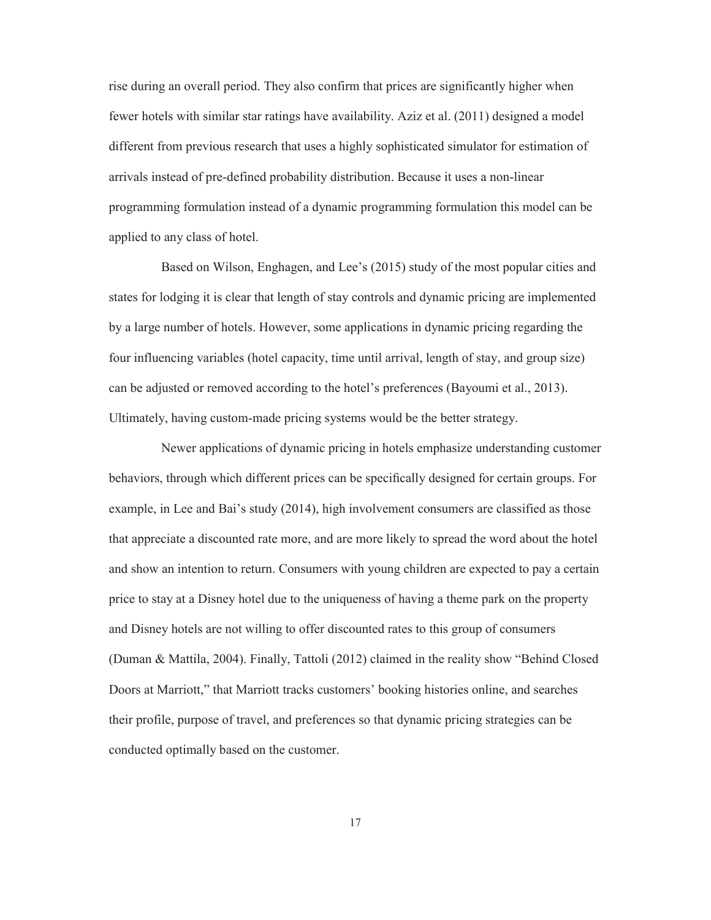rise during an overall period. They also confirm that prices are significantly higher when fewer hotels with similar star ratings have availability. Aziz et al. (2011) designed a model different from previous research that uses a highly sophisticated simulator for estimation of arrivals instead of pre-defined probability distribution. Because it uses a non-linear programming formulation instead of a dynamic programming formulation this model can be applied to any class of hotel.

Based on Wilson, Enghagen, and Lee's (2015) study of the most popular cities and states for lodging it is clear that length of stay controls and dynamic pricing are implemented by a large number of hotels. However, some applications in dynamic pricing regarding the four influencing variables (hotel capacity, time until arrival, length of stay, and group size) can be adjusted or removed according to the hotel's preferences (Bayoumi et al., 2013). Ultimately, having custom-made pricing systems would be the better strategy.

Newer applications of dynamic pricing in hotels emphasize understanding customer behaviors, through which different prices can be specifically designed for certain groups. For example, in Lee and Bai's study (2014), high involvement consumers are classified as those that appreciate a discounted rate more, and are more likely to spread the word about the hotel and show an intention to return. Consumers with young children are expected to pay a certain price to stay at a Disney hotel due to the uniqueness of having a theme park on the property and Disney hotels are not willing to offer discounted rates to this group of consumers (Duman & Mattila, 2004). Finally, Tattoli (2012) claimed in the reality show "Behind Closed Doors at Marriott," that Marriott tracks customers' booking histories online, and searches their profile, purpose of travel, and preferences so that dynamic pricing strategies can be conducted optimally based on the customer.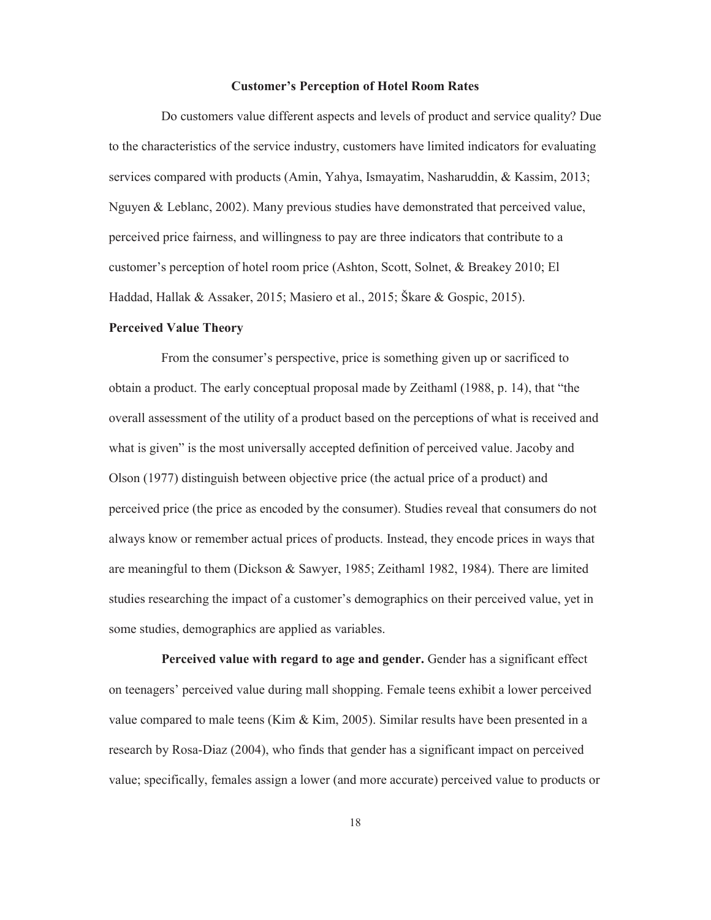#### **Customer's Perception of Hotel Room Rates**

Do customers value different aspects and levels of product and service quality? Due to the characteristics of the service industry, customers have limited indicators for evaluating services compared with products (Amin, Yahya, Ismayatim, Nasharuddin, & Kassim, 2013; Nguyen & Leblanc, 2002). Many previous studies have demonstrated that perceived value, perceived price fairness, and willingness to pay are three indicators that contribute to a customer's perception of hotel room price (Ashton, Scott, Solnet, & Breakey 2010; El Haddad, Hallak & Assaker, 2015; Masiero et al., 2015; Škare & Gospic, 2015).

#### **Perceived Value Theory**

From the consumer's perspective, price is something given up or sacrificed to obtain a product. The early conceptual proposal made by Zeithaml (1988, p. 14), that "the overall assessment of the utility of a product based on the perceptions of what is received and what is given" is the most universally accepted definition of perceived value. Jacoby and Olson (1977) distinguish between objective price (the actual price of a product) and perceived price (the price as encoded by the consumer). Studies reveal that consumers do not always know or remember actual prices of products. Instead, they encode prices in ways that are meaningful to them (Dickson & Sawyer, 1985; Zeithaml 1982, 1984). There are limited studies researching the impact of a customer's demographics on their perceived value, yet in some studies, demographics are applied as variables.

Perceived value with regard to age and gender. Gender has a significant effect on teenagers' perceived value during mall shopping. Female teens exhibit a lower perceived value compared to male teens (Kim  $\&$  Kim, 2005). Similar results have been presented in a research by Rosa-Diaz (2004), who finds that gender has a significant impact on perceived value; specifically, females assign a lower (and more accurate) perceived value to products or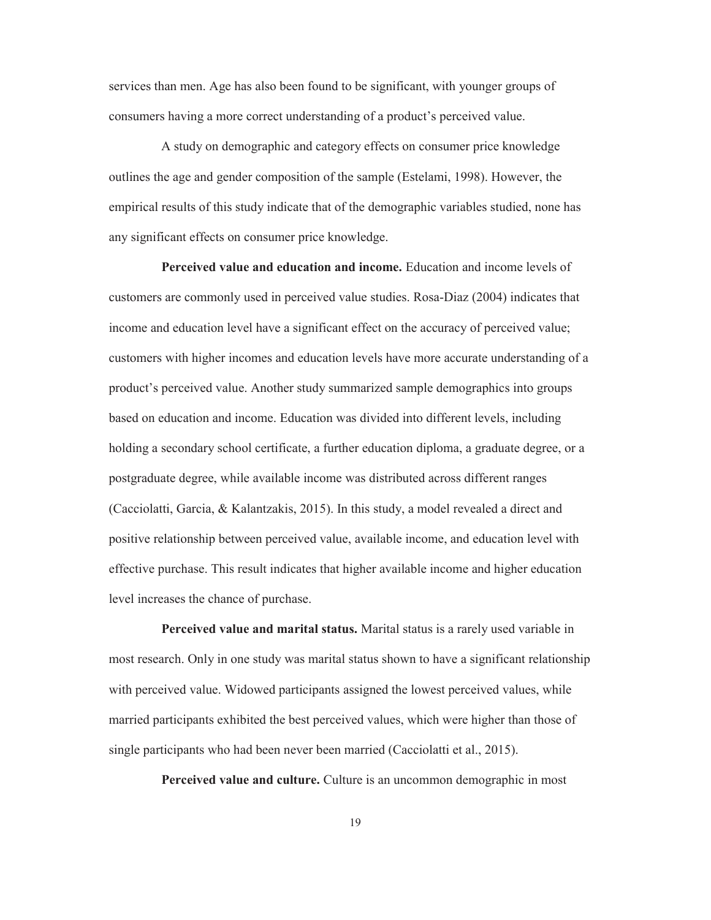services than men. Age has also been found to be significant, with younger groups of consumers having a more correct understanding of a product's perceived value.

A study on demographic and category effects on consumer price knowledge outlines the age and gender composition of the sample (Estelami, 1998). However, the empirical results of this study indicate that of the demographic variables studied, none has any significant effects on consumer price knowledge.

**Perceived value and education and income.** Education and income levels of customers are commonly used in perceived value studies. Rosa-Diaz (2004) indicates that income and education level have a significant effect on the accuracy of perceived value; customers with higher incomes and education levels have more accurate understanding of a product's perceived value. Another study summarized sample demographics into groups based on education and income. Education was divided into different levels, including holding a secondary school certificate, a further education diploma, a graduate degree, or a postgraduate degree, while available income was distributed across different ranges (Cacciolatti, Garcia, & Kalantzakis, 2015). In this study, a model revealed a direct and positive relationship between perceived value, available income, and education level with effective purchase. This result indicates that higher available income and higher education level increases the chance of purchase.

**Perceived value and marital status.** Marital status is a rarely used variable in most research. Only in one study was marital status shown to have a significant relationship with perceived value. Widowed participants assigned the lowest perceived values, while married participants exhibited the best perceived values, which were higher than those of single participants who had been never been married (Cacciolatti et al., 2015).

**Perceived value and culture.** Culture is an uncommon demographic in most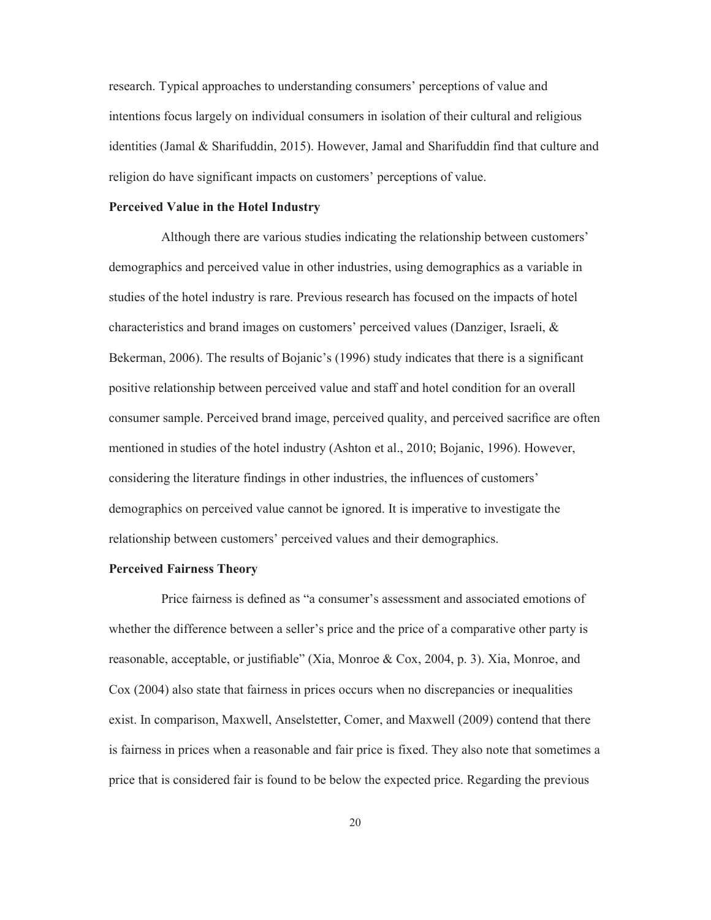research. Typical approaches to understanding consumers' perceptions of value and intentions focus largely on individual consumers in isolation of their cultural and religious identities (Jamal & Sharifuddin, 2015). However, Jamal and Sharifuddin find that culture and religion do have significant impacts on customers' perceptions of value.

#### **Perceived Value in the Hotel Industry**

Although there are various studies indicating the relationship between customers' demographics and perceived value in other industries, using demographics as a variable in studies of the hotel industry is rare. Previous research has focused on the impacts of hotel characteristics and brand images on customers' perceived values (Danziger, Israeli, & Bekerman, 2006). The results of Bojanic's (1996) study indicates that there is a significant positive relationship between perceived value and staff and hotel condition for an overall consumer sample. Perceived brand image, perceived quality, and perceived sacrifice are often mentioned in studies of the hotel industry (Ashton et al., 2010; Bojanic, 1996). However, considering the literature findings in other industries, the influences of customers' demographics on perceived value cannot be ignored. It is imperative to investigate the relationship between customers' perceived values and their demographics.

#### **Perceived Fairness Theory**

Price fairness is defined as "a consumer's assessment and associated emotions of whether the difference between a seller's price and the price of a comparative other party is reasonable, acceptable, or justifiable" (Xia, Monroe & Cox, 2004, p. 3). Xia, Monroe, and Cox (2004) also state that fairness in prices occurs when no discrepancies or inequalities exist. In comparison, Maxwell, Anselstetter, Comer, and Maxwell (2009) contend that there is fairness in prices when a reasonable and fair price is fixed. They also note that sometimes a price that is considered fair is found to be below the expected price. Regarding the previous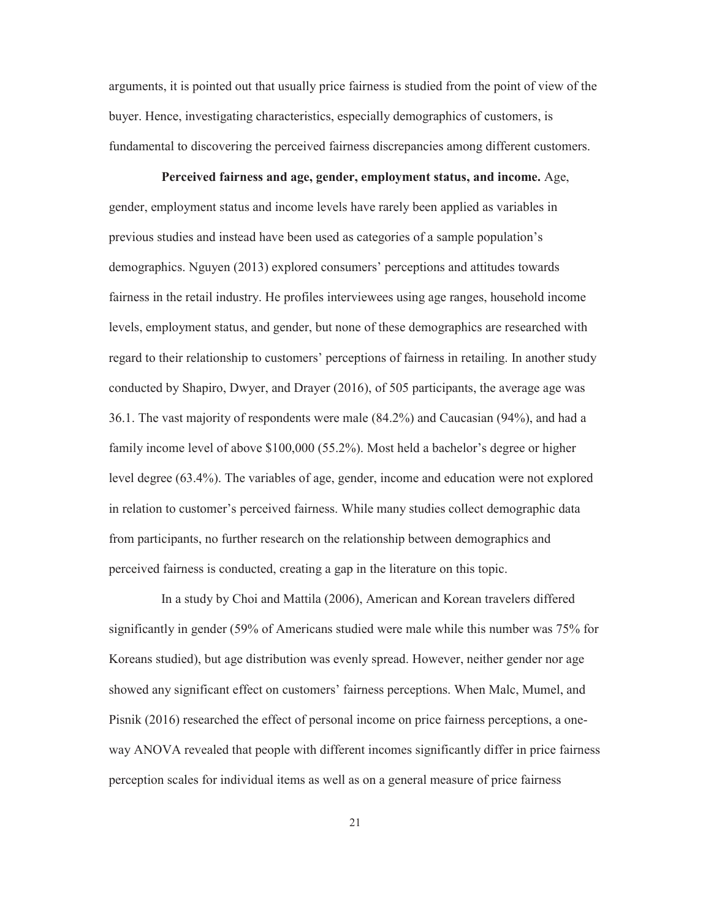arguments, it is pointed out that usually price fairness is studied from the point of view of the buyer. Hence, investigating characteristics, especially demographics of customers, is fundamental to discovering the perceived fairness discrepancies among different customers.

**Perceived fairness and age, gender, employment status, and income.** Age, gender, employment status and income levels have rarely been applied as variables in previous studies and instead have been used as categories of a sample population's demographics. Nguyen (2013) explored consumers' perceptions and attitudes towards fairness in the retail industry. He profiles interviewees using age ranges, household income levels, employment status, and gender, but none of these demographics are researched with regard to their relationship to customers' perceptions of fairness in retailing. In another study conducted by Shapiro, Dwyer, and Drayer (2016), of 505 participants, the average age was 36.1. The vast majority of respondents were male (84.2%) and Caucasian (94%), and had a family income level of above \$100,000 (55.2%). Most held a bachelor's degree or higher level degree (63.4%). The variables of age, gender, income and education were not explored in relation to customer's perceived fairness. While many studies collect demographic data from participants, no further research on the relationship between demographics and perceived fairness is conducted, creating a gap in the literature on this topic.

In a study by Choi and Mattila (2006), American and Korean travelers differed significantly in gender (59% of Americans studied were male while this number was 75% for Koreans studied), but age distribution was evenly spread. However, neither gender nor age showed any significant effect on customers' fairness perceptions. When Malc, Mumel, and Pisnik (2016) researched the effect of personal income on price fairness perceptions, a oneway ANOVA revealed that people with different incomes significantly differ in price fairness perception scales for individual items as well as on a general measure of price fairness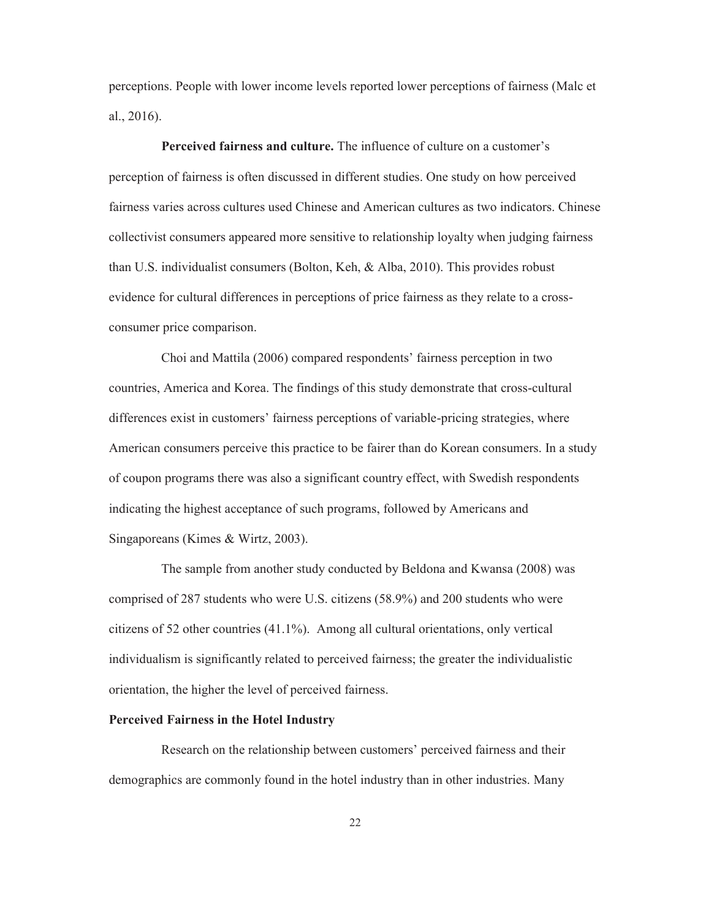perceptions. People with lower income levels reported lower perceptions of fairness (Malc et al., 2016).

**Perceived fairness and culture.** The influence of culture on a customer's perception of fairness is often discussed in different studies. One study on how perceived fairness varies across cultures used Chinese and American cultures as two indicators. Chinese collectivist consumers appeared more sensitive to relationship loyalty when judging fairness than U.S. individualist consumers (Bolton, Keh, & Alba, 2010). This provides robust evidence for cultural differences in perceptions of price fairness as they relate to a crossconsumer price comparison.

Choi and Mattila (2006) compared respondents' fairness perception in two countries, America and Korea. The findings of this study demonstrate that cross-cultural differences exist in customers' fairness perceptions of variable-pricing strategies, where American consumers perceive this practice to be fairer than do Korean consumers. In a study of coupon programs there was also a significant country effect, with Swedish respondents indicating the highest acceptance of such programs, followed by Americans and Singaporeans (Kimes & Wirtz, 2003).

The sample from another study conducted by Beldona and Kwansa (2008) was comprised of 287 students who were U.S. citizens (58.9%) and 200 students who were citizens of 52 other countries (41.1%). Among all cultural orientations, only vertical individualism is significantly related to perceived fairness; the greater the individualistic orientation, the higher the level of perceived fairness.

#### **Perceived Fairness in the Hotel Industry**

Research on the relationship between customers' perceived fairness and their demographics are commonly found in the hotel industry than in other industries. Many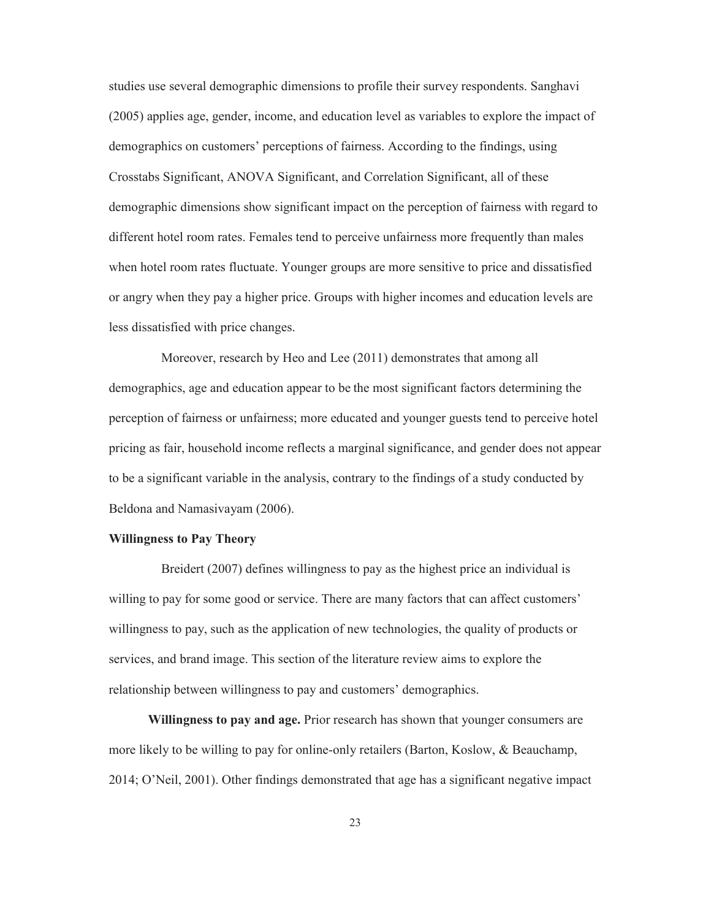studies use several demographic dimensions to profile their survey respondents. Sanghavi (2005) applies age, gender, income, and education level as variables to explore the impact of demographics on customers' perceptions of fairness. According to the findings, using Crosstabs Significant, ANOVA Significant, and Correlation Significant, all of these demographic dimensions show significant impact on the perception of fairness with regard to different hotel room rates. Females tend to perceive unfairness more frequently than males when hotel room rates fluctuate. Younger groups are more sensitive to price and dissatisfied or angry when they pay a higher price. Groups with higher incomes and education levels are less dissatisfied with price changes.

Moreover, research by Heo and Lee (2011) demonstrates that among all demographics, age and education appear to be the most significant factors determining the perception of fairness or unfairness; more educated and younger guests tend to perceive hotel pricing as fair, household income reflects a marginal significance, and gender does not appear to be a significant variable in the analysis, contrary to the findings of a study conducted by Beldona and Namasivayam (2006).

#### **Willingness to Pay Theory**

Breidert (2007) defines willingness to pay as the highest price an individual is willing to pay for some good or service. There are many factors that can affect customers' willingness to pay, such as the application of new technologies, the quality of products or services, and brand image. This section of the literature review aims to explore the relationship between willingness to pay and customers' demographics.

**Willingness to pay and age.** Prior research has shown that younger consumers are more likely to be willing to pay for online-only retailers (Barton, Koslow, & Beauchamp, 2014; O'Neil, 2001). Other findings demonstrated that age has a significant negative impact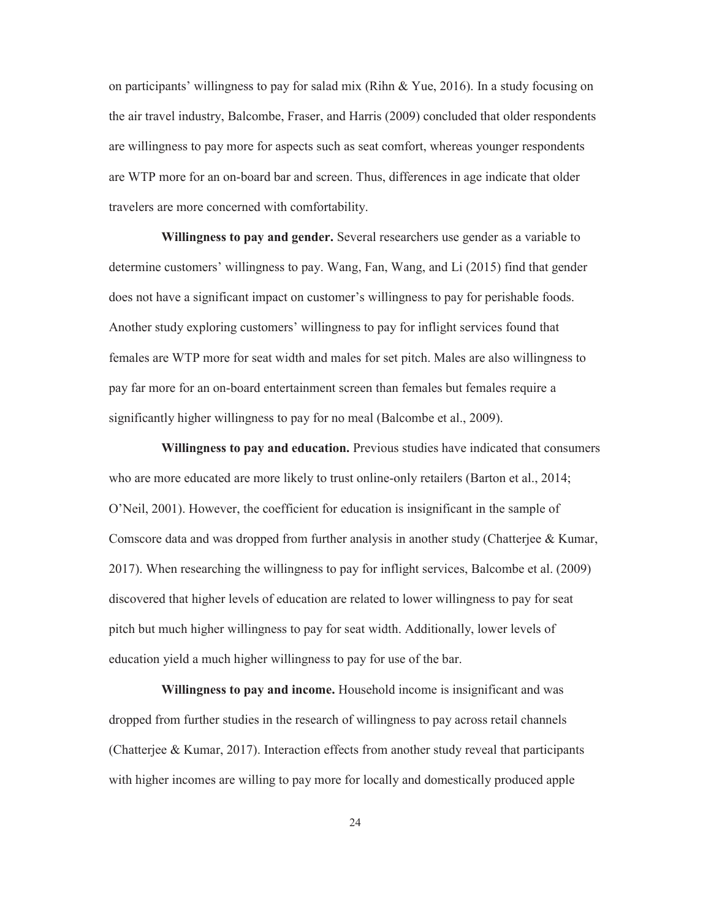on participants' willingness to pay for salad mix (Rihn & Yue, 2016). In a study focusing on the air travel industry, Balcombe, Fraser, and Harris (2009) concluded that older respondents are willingness to pay more for aspects such as seat comfort, whereas younger respondents are WTP more for an on-board bar and screen. Thus, differences in age indicate that older travelers are more concerned with comfortability.

**Willingness to pay and gender.** Several researchers use gender as a variable to determine customers' willingness to pay. Wang, Fan, Wang, and Li (2015) find that gender does not have a significant impact on customer's willingness to pay for perishable foods. Another study exploring customers' willingness to pay for inflight services found that females are WTP more for seat width and males for set pitch. Males are also willingness to pay far more for an on-board entertainment screen than females but females require a significantly higher willingness to pay for no meal (Balcombe et al., 2009).

**Willingness to pay and education.** Previous studies have indicated that consumers who are more educated are more likely to trust online-only retailers (Barton et al., 2014; O'Neil, 2001). However, the coefficient for education is insignificant in the sample of Comscore data and was dropped from further analysis in another study (Chatterjee & Kumar, 2017). When researching the willingness to pay for inflight services, Balcombe et al. (2009) discovered that higher levels of education are related to lower willingness to pay for seat pitch but much higher willingness to pay for seat width. Additionally, lower levels of education yield a much higher willingness to pay for use of the bar.

**Willingness to pay and income.** Household income is insignificant and was dropped from further studies in the research of willingness to pay across retail channels (Chatterjee & Kumar, 2017). Interaction effects from another study reveal that participants with higher incomes are willing to pay more for locally and domestically produced apple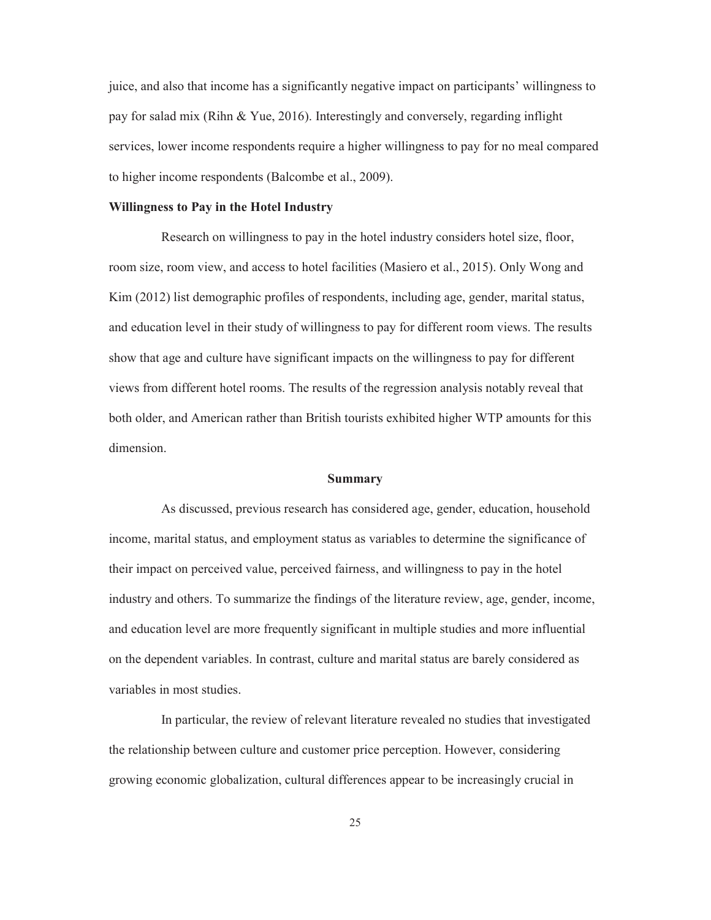juice, and also that income has a significantly negative impact on participants' willingness to pay for salad mix (Rihn & Yue, 2016). Interestingly and conversely, regarding inflight services, lower income respondents require a higher willingness to pay for no meal compared to higher income respondents (Balcombe et al., 2009).

#### **Willingness to Pay in the Hotel Industry**

Research on willingness to pay in the hotel industry considers hotel size, floor, room size, room view, and access to hotel facilities (Masiero et al., 2015). Only Wong and Kim (2012) list demographic profiles of respondents, including age, gender, marital status, and education level in their study of willingness to pay for different room views. The results show that age and culture have significant impacts on the willingness to pay for different views from different hotel rooms. The results of the regression analysis notably reveal that both older, and American rather than British tourists exhibited higher WTP amounts for this dimension.

#### **Summary**

As discussed, previous research has considered age, gender, education, household income, marital status, and employment status as variables to determine the significance of their impact on perceived value, perceived fairness, and willingness to pay in the hotel industry and others. To summarize the findings of the literature review, age, gender, income, and education level are more frequently significant in multiple studies and more influential on the dependent variables. In contrast, culture and marital status are barely considered as variables in most studies.

In particular, the review of relevant literature revealed no studies that investigated the relationship between culture and customer price perception. However, considering growing economic globalization, cultural differences appear to be increasingly crucial in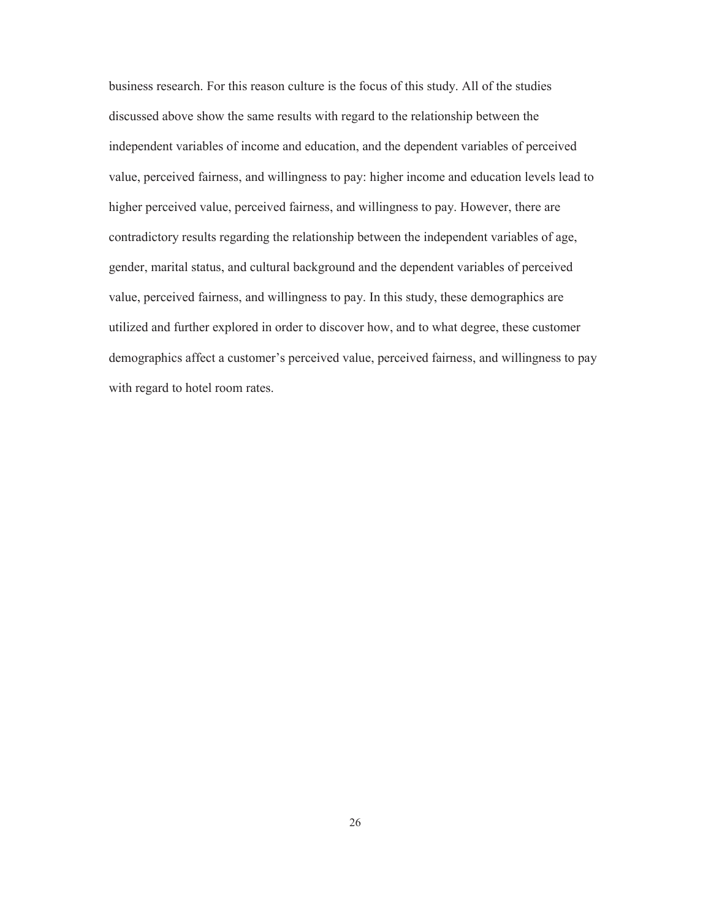business research. For this reason culture is the focus of this study. All of the studies discussed above show the same results with regard to the relationship between the independent variables of income and education, and the dependent variables of perceived value, perceived fairness, and willingness to pay: higher income and education levels lead to higher perceived value, perceived fairness, and willingness to pay. However, there are contradictory results regarding the relationship between the independent variables of age, gender, marital status, and cultural background and the dependent variables of perceived value, perceived fairness, and willingness to pay. In this study, these demographics are utilized and further explored in order to discover how, and to what degree, these customer demographics affect a customer's perceived value, perceived fairness, and willingness to pay with regard to hotel room rates.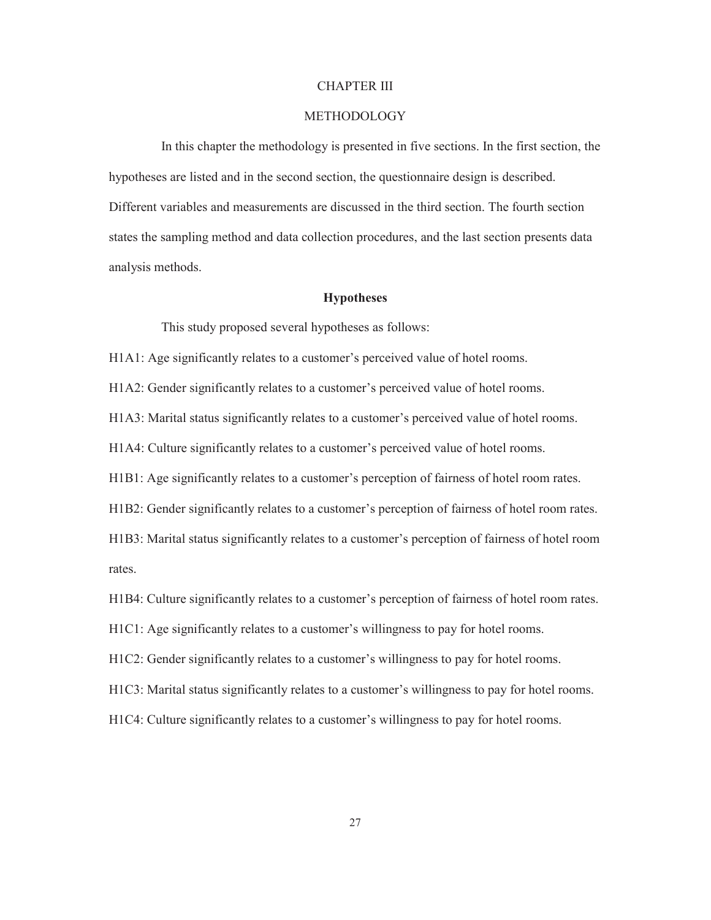#### CHAPTER III

#### METHODOLOGY

In this chapter the methodology is presented in five sections. In the first section, the hypotheses are listed and in the second section, the questionnaire design is described. Different variables and measurements are discussed in the third section. The fourth section states the sampling method and data collection procedures, and the last section presents data analysis methods.

#### **Hypotheses**

This study proposed several hypotheses as follows:

H1A1: Age significantly relates to a customer's perceived value of hotel rooms.

H1A2: Gender significantly relates to a customer's perceived value of hotel rooms.

H1A3: Marital status significantly relates to a customer's perceived value of hotel rooms.

H1A4: Culture significantly relates to a customer's perceived value of hotel rooms.

H1B1: Age significantly relates to a customer's perception of fairness of hotel room rates.

H1B2: Gender significantly relates to a customer's perception of fairness of hotel room rates.

H1B3: Marital status significantly relates to a customer's perception of fairness of hotel room rates.

H1B4: Culture significantly relates to a customer's perception of fairness of hotel room rates.

H1C1: Age significantly relates to a customer's willingness to pay for hotel rooms.

H1C2: Gender significantly relates to a customer's willingness to pay for hotel rooms.

H1C3: Marital status significantly relates to a customer's willingness to pay for hotel rooms.

H1C4: Culture significantly relates to a customer's willingness to pay for hotel rooms.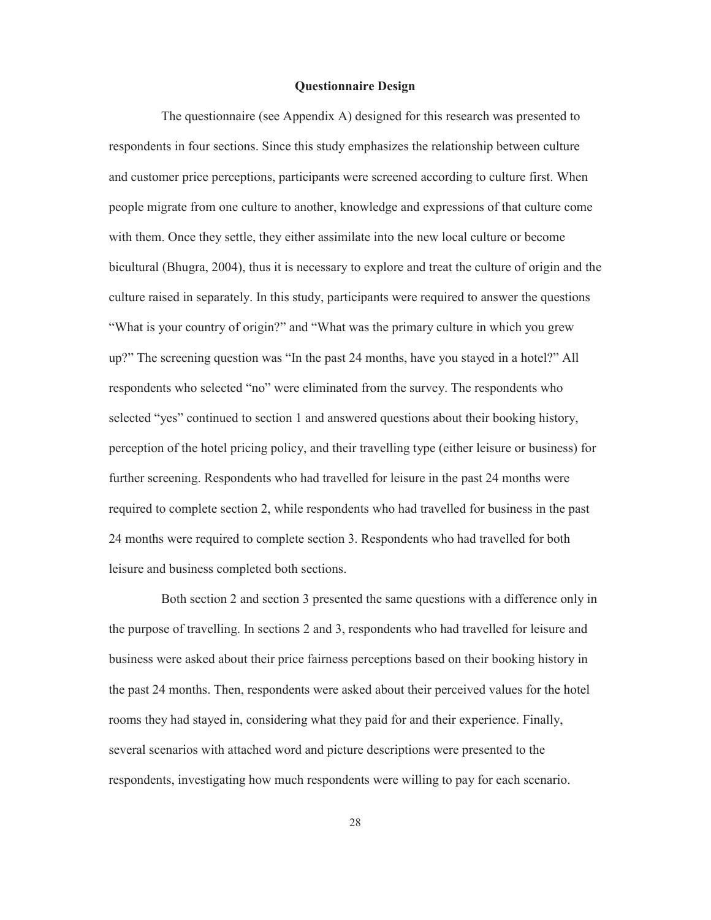#### **Questionnaire Design**

The questionnaire (see Appendix A) designed for this research was presented to respondents in four sections. Since this study emphasizes the relationship between culture and customer price perceptions, participants were screened according to culture first. When people migrate from one culture to another, knowledge and expressions of that culture come with them. Once they settle, they either assimilate into the new local culture or become bicultural (Bhugra, 2004), thus it is necessary to explore and treat the culture of origin and the culture raised in separately. In this study, participants were required to answer the questions "What is your country of origin?" and "What was the primary culture in which you grew up?" The screening question was "In the past 24 months, have you stayed in a hotel?" All respondents who selected "no" were eliminated from the survey. The respondents who selected "yes" continued to section 1 and answered questions about their booking history, perception of the hotel pricing policy, and their travelling type (either leisure or business) for further screening. Respondents who had travelled for leisure in the past 24 months were required to complete section 2, while respondents who had travelled for business in the past 24 months were required to complete section 3. Respondents who had travelled for both leisure and business completed both sections.

Both section 2 and section 3 presented the same questions with a difference only in the purpose of travelling. In sections 2 and 3, respondents who had travelled for leisure and business were asked about their price fairness perceptions based on their booking history in the past 24 months. Then, respondents were asked about their perceived values for the hotel rooms they had stayed in, considering what they paid for and their experience. Finally, several scenarios with attached word and picture descriptions were presented to the respondents, investigating how much respondents were willing to pay for each scenario.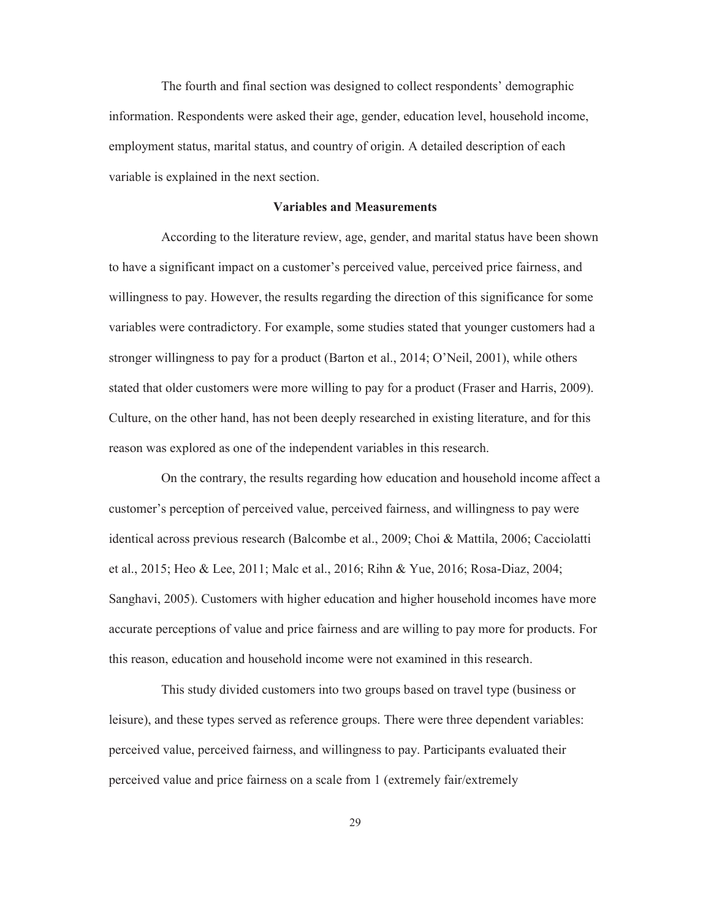The fourth and final section was designed to collect respondents' demographic information. Respondents were asked their age, gender, education level, household income, employment status, marital status, and country of origin. A detailed description of each variable is explained in the next section.

#### **Variables and Measurements**

According to the literature review, age, gender, and marital status have been shown to have a significant impact on a customer's perceived value, perceived price fairness, and willingness to pay. However, the results regarding the direction of this significance for some variables were contradictory. For example, some studies stated that younger customers had a stronger willingness to pay for a product (Barton et al., 2014; O'Neil, 2001), while others stated that older customers were more willing to pay for a product (Fraser and Harris, 2009). Culture, on the other hand, has not been deeply researched in existing literature, and for this reason was explored as one of the independent variables in this research.

On the contrary, the results regarding how education and household income affect a customer's perception of perceived value, perceived fairness, and willingness to pay were identical across previous research (Balcombe et al., 2009; Choi & Mattila, 2006; Cacciolatti et al., 2015; Heo & Lee, 2011; Malc et al., 2016; Rihn & Yue, 2016; Rosa-Diaz, 2004; Sanghavi, 2005). Customers with higher education and higher household incomes have more accurate perceptions of value and price fairness and are willing to pay more for products. For this reason, education and household income were not examined in this research.

This study divided customers into two groups based on travel type (business or leisure), and these types served as reference groups. There were three dependent variables: perceived value, perceived fairness, and willingness to pay. Participants evaluated their perceived value and price fairness on a scale from 1 (extremely fair/extremely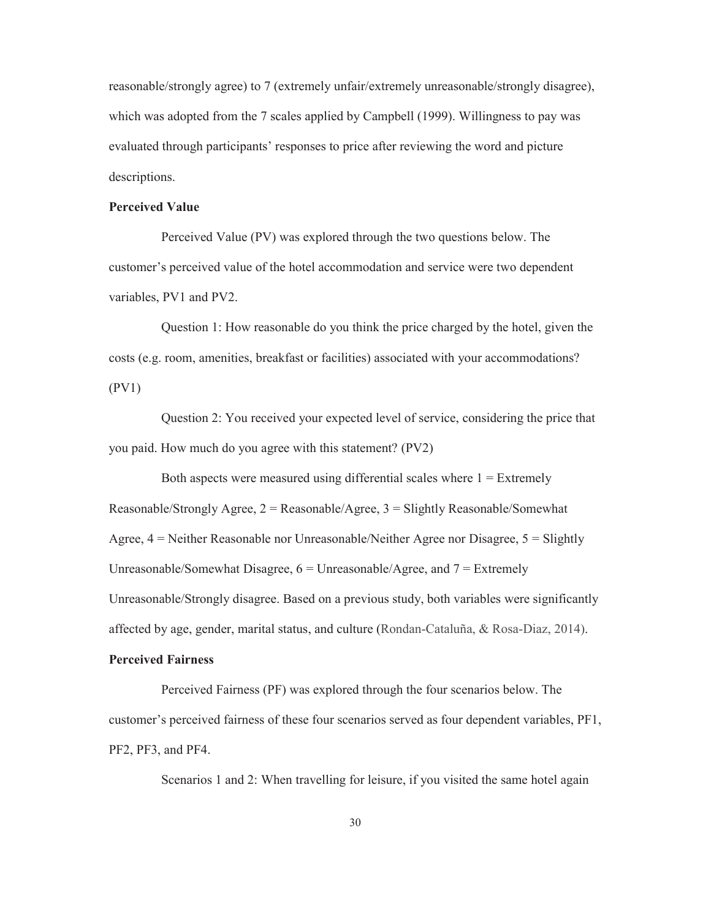reasonable/strongly agree) to 7 (extremely unfair/extremely unreasonable/strongly disagree), which was adopted from the 7 scales applied by Campbell (1999). Willingness to pay was evaluated through participants' responses to price after reviewing the word and picture descriptions.

#### **Perceived Value**

Perceived Value (PV) was explored through the two questions below. The customer's perceived value of the hotel accommodation and service were two dependent variables, PV1 and PV2.

Question 1: How reasonable do you think the price charged by the hotel, given the costs (e.g. room, amenities, breakfast or facilities) associated with your accommodations? (PV1)

Question 2: You received your expected level of service, considering the price that you paid. How much do you agree with this statement? (PV2)

Both aspects were measured using differential scales where  $1 =$  Extremely Reasonable/Strongly Agree,  $2 =$  Reasonable/Agree,  $3 =$  Slightly Reasonable/Somewhat Agree, 4 = Neither Reasonable nor Unreasonable/Neither Agree nor Disagree, 5 = Slightly Unreasonable/Somewhat Disagree,  $6 =$  Unreasonable/Agree, and  $7 =$  Extremely Unreasonable/Strongly disagree. Based on a previous study, both variables were significantly affected by age, gender, marital status, and culture (Rondan-Cataluña, & Rosa-Diaz, 2014).

#### **Perceived Fairness**

Perceived Fairness (PF) was explored through the four scenarios below. The customer's perceived fairness of these four scenarios served as four dependent variables, PF1, PF2, PF3, and PF4.

Scenarios 1 and 2: When travelling for leisure, if you visited the same hotel again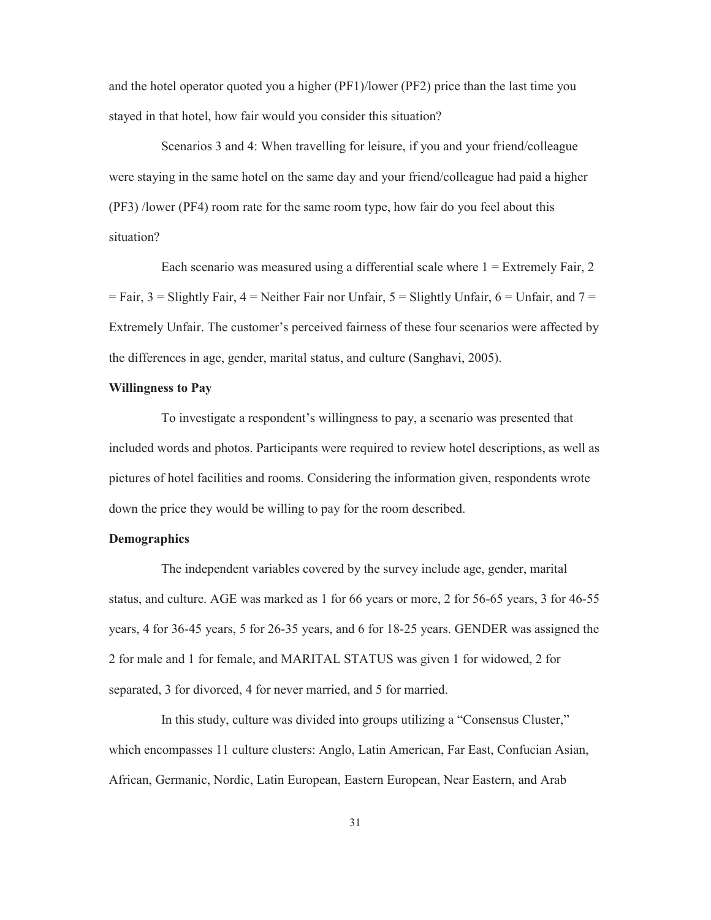and the hotel operator quoted you a higher (PF1)/lower (PF2) price than the last time you stayed in that hotel, how fair would you consider this situation?

Scenarios 3 and 4: When travelling for leisure, if you and your friend/colleague were staying in the same hotel on the same day and your friend/colleague had paid a higher (PF3) /lower (PF4) room rate for the same room type, how fair do you feel about this situation?

Each scenario was measured using a differential scale where  $1 =$  Extremely Fair, 2  $=$  Fair, 3 = Slightly Fair, 4 = Neither Fair nor Unfair, 5 = Slightly Unfair, 6 = Unfair, and 7 = Extremely Unfair. The customer's perceived fairness of these four scenarios were affected by the differences in age, gender, marital status, and culture (Sanghavi, 2005).

#### **Willingness to Pay**

To investigate a respondent's willingness to pay, a scenario was presented that included words and photos. Participants were required to review hotel descriptions, as well as pictures of hotel facilities and rooms. Considering the information given, respondents wrote down the price they would be willing to pay for the room described.

#### **Demographics**

The independent variables covered by the survey include age, gender, marital status, and culture. AGE was marked as 1 for 66 years or more, 2 for 56-65 years, 3 for 46-55 years, 4 for 36-45 years, 5 for 26-35 years, and 6 for 18-25 years. GENDER was assigned the 2 for male and 1 for female, and MARITAL STATUS was given 1 for widowed, 2 for separated, 3 for divorced, 4 for never married, and 5 for married.

In this study, culture was divided into groups utilizing a "Consensus Cluster," which encompasses 11 culture clusters: Anglo, Latin American, Far East, Confucian Asian, African, Germanic, Nordic, Latin European, Eastern European, Near Eastern, and Arab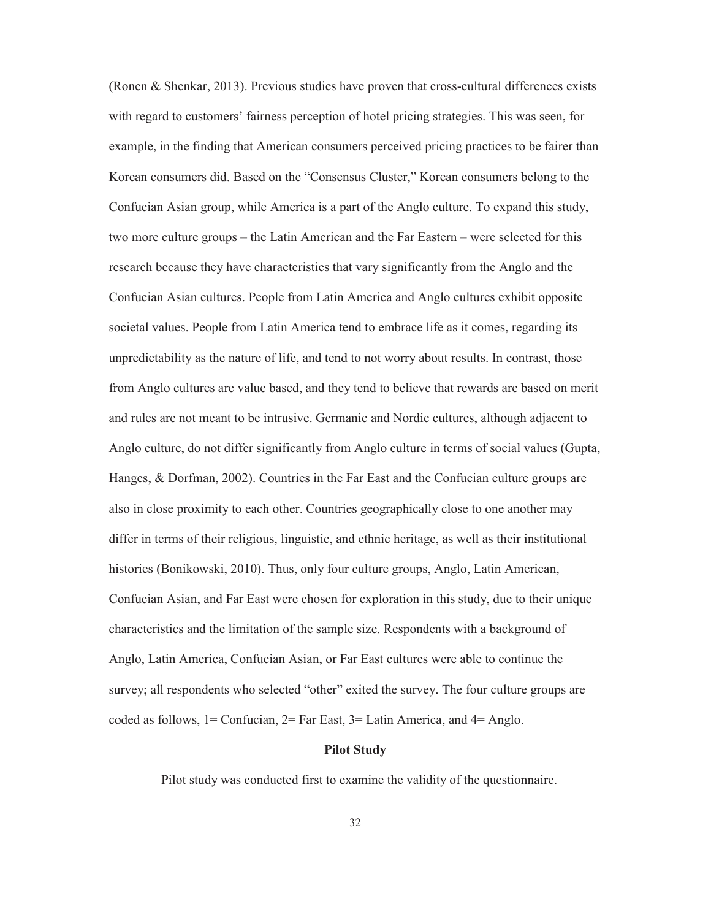(Ronen & Shenkar, 2013). Previous studies have proven that cross-cultural differences exists with regard to customers' fairness perception of hotel pricing strategies. This was seen, for example, in the finding that American consumers perceived pricing practices to be fairer than Korean consumers did. Based on the "Consensus Cluster," Korean consumers belong to the Confucian Asian group, while America is a part of the Anglo culture. To expand this study, two more culture groups – the Latin American and the Far Eastern – were selected for this research because they have characteristics that vary significantly from the Anglo and the Confucian Asian cultures. People from Latin America and Anglo cultures exhibit opposite societal values. People from Latin America tend to embrace life as it comes, regarding its unpredictability as the nature of life, and tend to not worry about results. In contrast, those from Anglo cultures are value based, and they tend to believe that rewards are based on merit and rules are not meant to be intrusive. Germanic and Nordic cultures, although adjacent to Anglo culture, do not differ significantly from Anglo culture in terms of social values (Gupta, Hanges, & Dorfman, 2002). Countries in the Far East and the Confucian culture groups are also in close proximity to each other. Countries geographically close to one another may differ in terms of their religious, linguistic, and ethnic heritage, as well as their institutional histories (Bonikowski, 2010). Thus, only four culture groups, Anglo, Latin American, Confucian Asian, and Far East were chosen for exploration in this study, due to their unique characteristics and the limitation of the sample size. Respondents with a background of Anglo, Latin America, Confucian Asian, or Far East cultures were able to continue the survey; all respondents who selected "other" exited the survey. The four culture groups are coded as follows,  $1 =$  Confucian,  $2 =$  Far East,  $3 =$  Latin America, and  $4 =$  Anglo.

#### **Pilot Study**

Pilot study was conducted first to examine the validity of the questionnaire.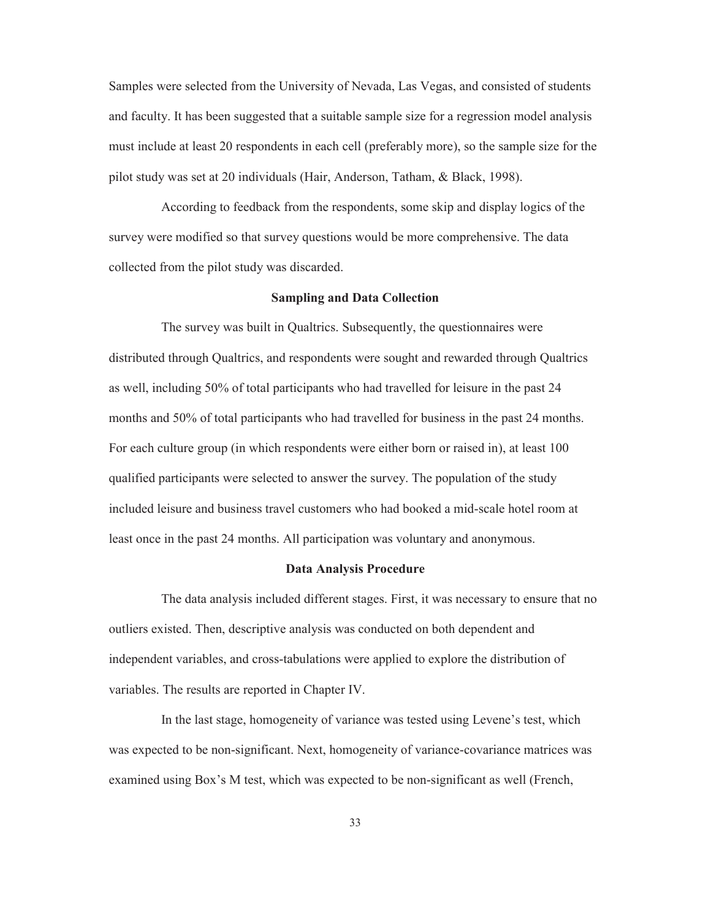Samples were selected from the University of Nevada, Las Vegas, and consisted of students and faculty. It has been suggested that a suitable sample size for a regression model analysis must include at least 20 respondents in each cell (preferably more), so the sample size for the pilot study was set at 20 individuals (Hair, Anderson, Tatham, & Black, 1998).

According to feedback from the respondents, some skip and display logics of the survey were modified so that survey questions would be more comprehensive. The data collected from the pilot study was discarded.

#### **Sampling and Data Collection**

The survey was built in Qualtrics. Subsequently, the questionnaires were distributed through Qualtrics, and respondents were sought and rewarded through Qualtrics as well, including 50% of total participants who had travelled for leisure in the past 24 months and 50% of total participants who had travelled for business in the past 24 months. For each culture group (in which respondents were either born or raised in), at least 100 qualified participants were selected to answer the survey. The population of the study included leisure and business travel customers who had booked a mid-scale hotel room at least once in the past 24 months. All participation was voluntary and anonymous.

#### **Data Analysis Procedure**

The data analysis included different stages. First, it was necessary to ensure that no outliers existed. Then, descriptive analysis was conducted on both dependent and independent variables, and cross-tabulations were applied to explore the distribution of variables. The results are reported in Chapter IV.

In the last stage, homogeneity of variance was tested using Levene's test, which was expected to be non-significant. Next, homogeneity of variance-covariance matrices was examined using Box's M test, which was expected to be non-significant as well (French,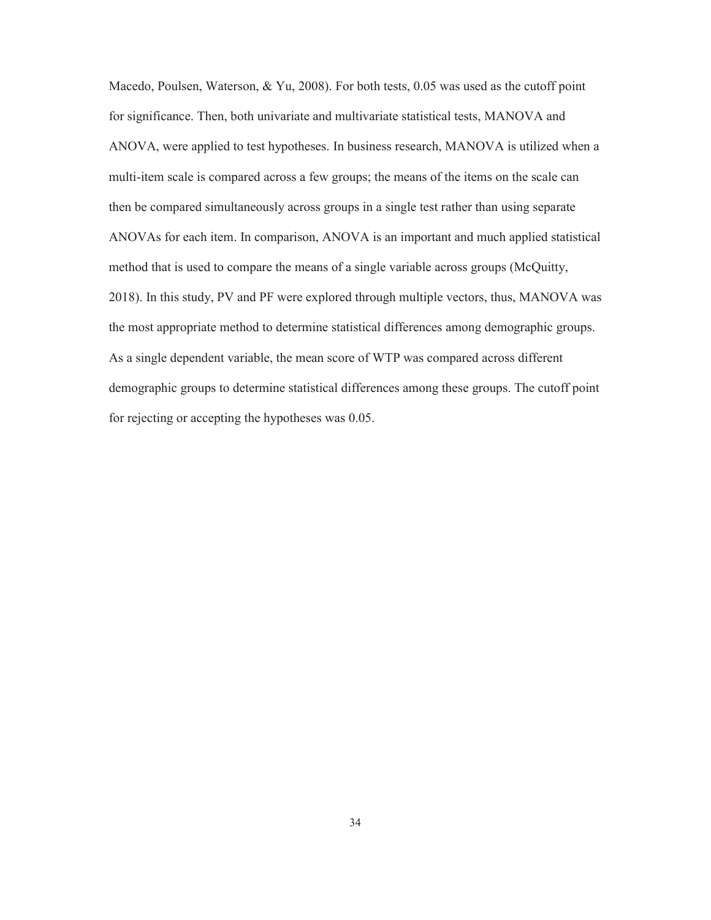Macedo, Poulsen, Waterson, & Yu, 2008). For both tests, 0.05 was used as the cutoff point for significance. Then, both univariate and multivariate statistical tests, MANOVA and ANOVA, were applied to test hypotheses. In business research, MANOVA is utilized when a multi-item scale is compared across a few groups; the means of the items on the scale can then be compared simultaneously across groups in a single test rather than using separate ANOVAs for each item. In comparison, ANOVA is an important and much applied statistical method that is used to compare the means of a single variable across groups (McQuitty, 2018). In this study, PV and PF were explored through multiple vectors, thus, MANOVA was the most appropriate method to determine statistical differences among demographic groups. As a single dependent variable, the mean score of WTP was compared across different demographic groups to determine statistical differences among these groups. The cutoff point for rejecting or accepting the hypotheses was 0.05.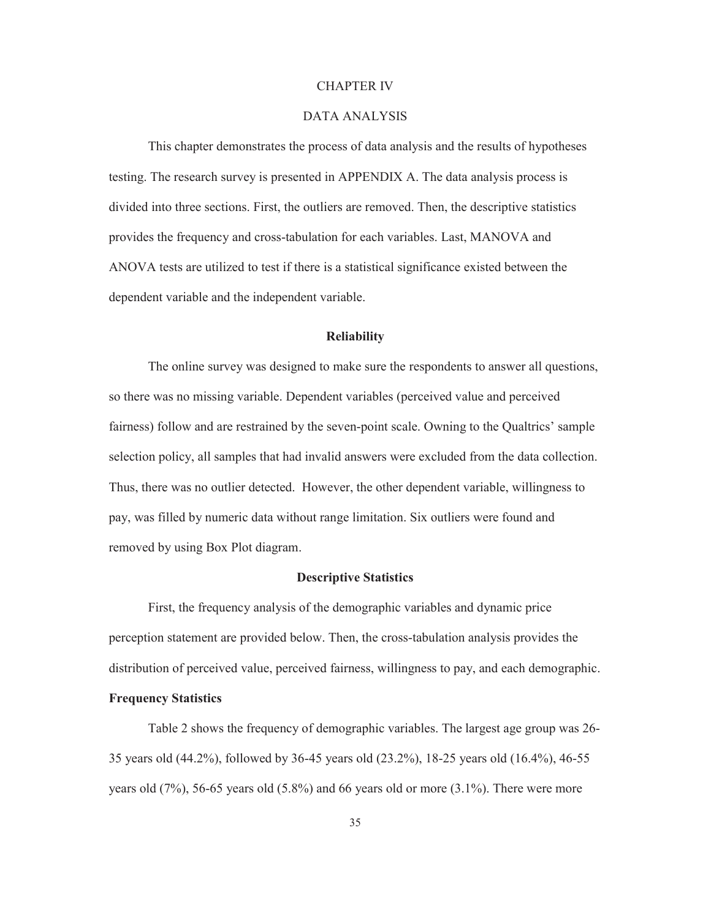#### CHAPTER IV

### DATA ANALYSIS

 This chapter demonstrates the process of data analysis and the results of hypotheses testing. The research survey is presented in APPENDIX A. The data analysis process is divided into three sections. First, the outliers are removed. Then, the descriptive statistics provides the frequency and cross-tabulation for each variables. Last, MANOVA and ANOVA tests are utilized to test if there is a statistical significance existed between the dependent variable and the independent variable.

#### **Reliability**

The online survey was designed to make sure the respondents to answer all questions, so there was no missing variable. Dependent variables (perceived value and perceived fairness) follow and are restrained by the seven-point scale. Owning to the Qualtrics' sample selection policy, all samples that had invalid answers were excluded from the data collection. Thus, there was no outlier detected. However, the other dependent variable, willingness to pay, was filled by numeric data without range limitation. Six outliers were found and removed by using Box Plot diagram.

#### **Descriptive Statistics**

 First, the frequency analysis of the demographic variables and dynamic price perception statement are provided below. Then, the cross-tabulation analysis provides the distribution of perceived value, perceived fairness, willingness to pay, and each demographic.

# **Frequency Statistics**

Table 2 shows the frequency of demographic variables. The largest age group was 26- 35 years old (44.2%), followed by 36-45 years old (23.2%), 18-25 years old (16.4%), 46-55 years old (7%), 56-65 years old (5.8%) and 66 years old or more (3.1%). There were more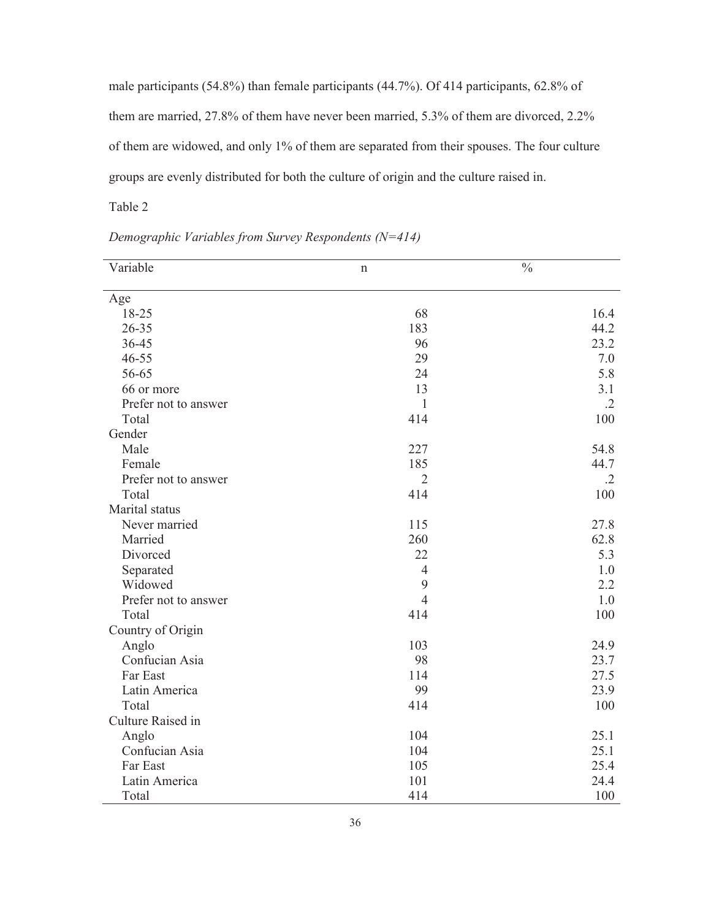male participants (54.8%) than female participants (44.7%). Of 414 participants, 62.8% of them are married, 27.8% of them have never been married, 5.3% of them are divorced, 2.2% of them are widowed, and only 1% of them are separated from their spouses. The four culture groups are evenly distributed for both the culture of origin and the culture raised in.

Table 2

| Variable             | $\mathbf n$    | $\overline{\frac{0}{6}}$ |
|----------------------|----------------|--------------------------|
|                      |                |                          |
| Age                  |                |                          |
| 18-25                | 68             | 16.4                     |
| $26 - 35$            | 183            | 44.2                     |
| 36-45                | 96             | 23.2                     |
| $46 - 55$            | 29             | 7.0                      |
| 56-65                | 24             | 5.8                      |
| 66 or more           | 13             | 3.1                      |
| Prefer not to answer | $\mathbf{1}$   | $\cdot$ .2               |
| Total                | 414            | 100                      |
| Gender               |                |                          |
| Male                 | 227            | 54.8                     |
| Female               | 185            | 44.7                     |
| Prefer not to answer | $\overline{2}$ | $\cdot$ .2               |
| Total                | 414            | 100                      |
| Marital status       |                |                          |
| Never married        | 115            | 27.8                     |
| Married              | 260            | 62.8                     |
| Divorced             | 22             | 5.3                      |
| Separated            | $\overline{4}$ | 1.0                      |
| Widowed              | 9              | 2.2                      |
| Prefer not to answer | $\overline{4}$ | 1.0                      |
| Total                | 414            | 100                      |
| Country of Origin    |                |                          |
| Anglo                | 103            | 24.9                     |
| Confucian Asia       | 98             | 23.7                     |
| Far East             | 114            | 27.5                     |
| Latin America        | 99             | 23.9                     |
| Total                | 414            | 100                      |
| Culture Raised in    |                |                          |
| Anglo                | 104            | 25.1                     |
| Confucian Asia       | 104            | 25.1                     |
| Far East             | 105            | 25.4                     |
| Latin America        | 101            | 24.4                     |
| Total                | 414            | 100                      |

*Demographic Variables from Survey Respondents (N=414)*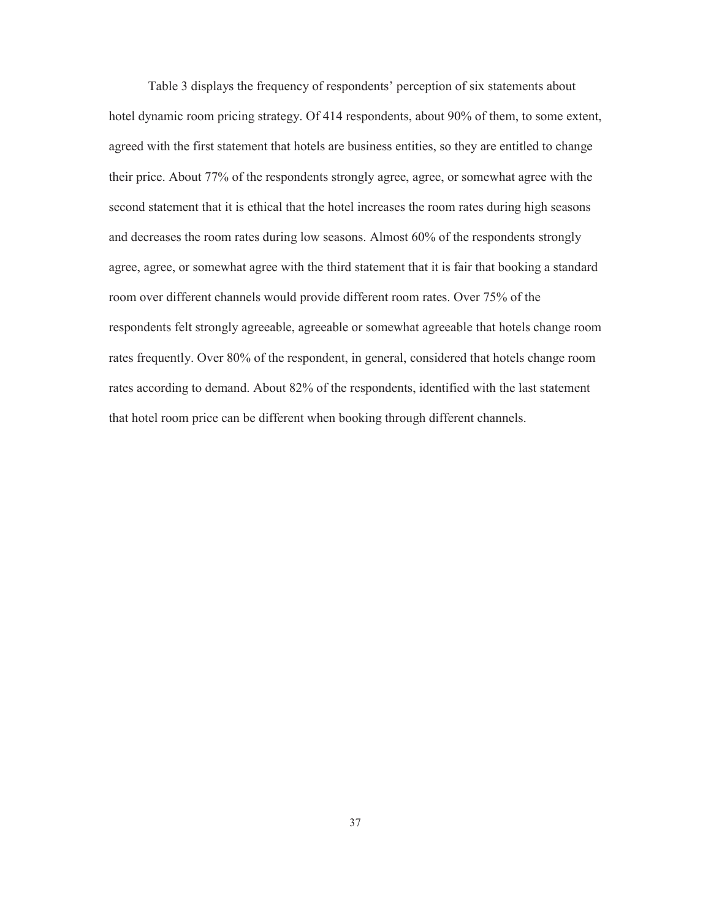Table 3 displays the frequency of respondents' perception of six statements about hotel dynamic room pricing strategy. Of 414 respondents, about 90% of them, to some extent, agreed with the first statement that hotels are business entities, so they are entitled to change their price. About 77% of the respondents strongly agree, agree, or somewhat agree with the second statement that it is ethical that the hotel increases the room rates during high seasons and decreases the room rates during low seasons. Almost 60% of the respondents strongly agree, agree, or somewhat agree with the third statement that it is fair that booking a standard room over different channels would provide different room rates. Over 75% of the respondents felt strongly agreeable, agreeable or somewhat agreeable that hotels change room rates frequently. Over 80% of the respondent, in general, considered that hotels change room rates according to demand. About 82% of the respondents, identified with the last statement that hotel room price can be different when booking through different channels.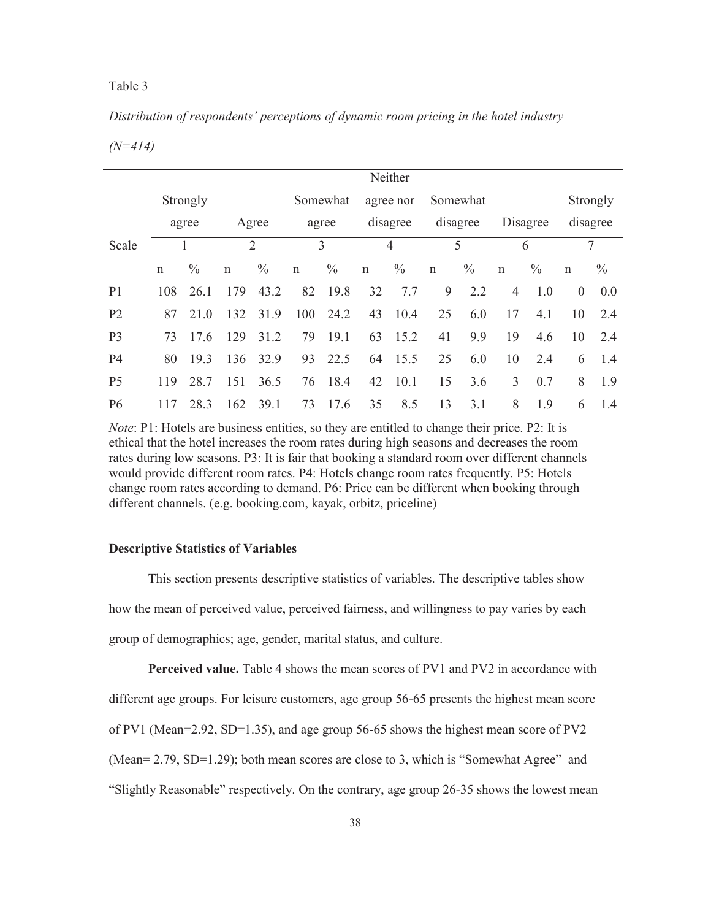### *Distribution of respondents' perceptions of dynamic room pricing in the hotel industry*

*(N=414)* 

|                |              |               |              |                |              |               |             | Neither       |              |                          |              |               |              |               |
|----------------|--------------|---------------|--------------|----------------|--------------|---------------|-------------|---------------|--------------|--------------------------|--------------|---------------|--------------|---------------|
|                |              | Strongly      |              |                |              | Somewhat      |             | agree nor     |              | Somewhat                 |              |               |              | Strongly      |
|                |              | agree         |              | Agree          |              | agree         |             | disagree      |              | disagree                 | Disagree     |               |              | disagree      |
| Scale          |              |               |              | $\overline{2}$ |              | 3             |             | 4             |              | $\overline{\phantom{0}}$ | 6            |               |              | 7             |
|                | $\mathsf{n}$ | $\frac{0}{0}$ | $\mathsf{n}$ | $\frac{0}{0}$  | $\mathsf{n}$ | $\frac{0}{0}$ | $\mathbf n$ | $\frac{0}{0}$ | $\mathsf{n}$ | $\frac{0}{0}$            | $\mathsf{n}$ | $\frac{0}{0}$ | $\mathsf{n}$ | $\frac{0}{0}$ |
| P <sub>1</sub> | 108          | 26.1          | 179          | 43.2           | 82           | 19.8          | 32          | 7.7           | 9            | 2.2                      | 4            | 1.0           | $\theta$     | 0.0           |
| P <sub>2</sub> | 87           | 21.0          | 132          | 31.9           | 100          | 24.2          | 43          | 10.4          | 25           | 6.0                      | 17           | 4.1           | 10           | 2.4           |
| P <sub>3</sub> | 73           | 17.6          | 129          | 31.2           | 79           | 19.1          | 63          | 15.2          | 41           | 9.9                      | 19           | 4.6           | 10           | 2.4           |
| P <sub>4</sub> | 80           | 19.3          | 136          | 32.9           | 93           | 22.5          |             | 64 15.5       | 25           | 6.0                      | 10           | 2.4           | 6            | 1.4           |
| P <sub>5</sub> | 119          | 28.7          | 151          | 36.5           | 76           | 18.4          | 42          | 10.1          | 15           | 3.6                      | 3            | 0.7           | 8            | 1.9           |
| P <sub>6</sub> | 117          | 28.3          | 162          | 39.1           | 73           | 17.6          | 35          | 8.5           | 13           | 3.1                      | 8            | 1.9           | 6            | 1.4           |

*Note*: P1: Hotels are business entities, so they are entitled to change their price. P2: It is ethical that the hotel increases the room rates during high seasons and decreases the room rates during low seasons. P3: It is fair that booking a standard room over different channels would provide different room rates. P4: Hotels change room rates frequently. P5: Hotels change room rates according to demand. P6: Price can be different when booking through different channels. (e.g. booking.com, kayak, orbitz, priceline)

#### **Descriptive Statistics of Variables**

 This section presents descriptive statistics of variables. The descriptive tables show how the mean of perceived value, perceived fairness, and willingness to pay varies by each group of demographics; age, gender, marital status, and culture.

**Perceived value.** Table 4 shows the mean scores of PV1 and PV2 in accordance with

different age groups. For leisure customers, age group 56-65 presents the highest mean score

of PV1 (Mean=2.92, SD=1.35), and age group 56-65 shows the highest mean score of PV2

(Mean= 2.79, SD=1.29); both mean scores are close to 3, which is "Somewhat Agree" and

"Slightly Reasonable" respectively. On the contrary, age group 26-35 shows the lowest mean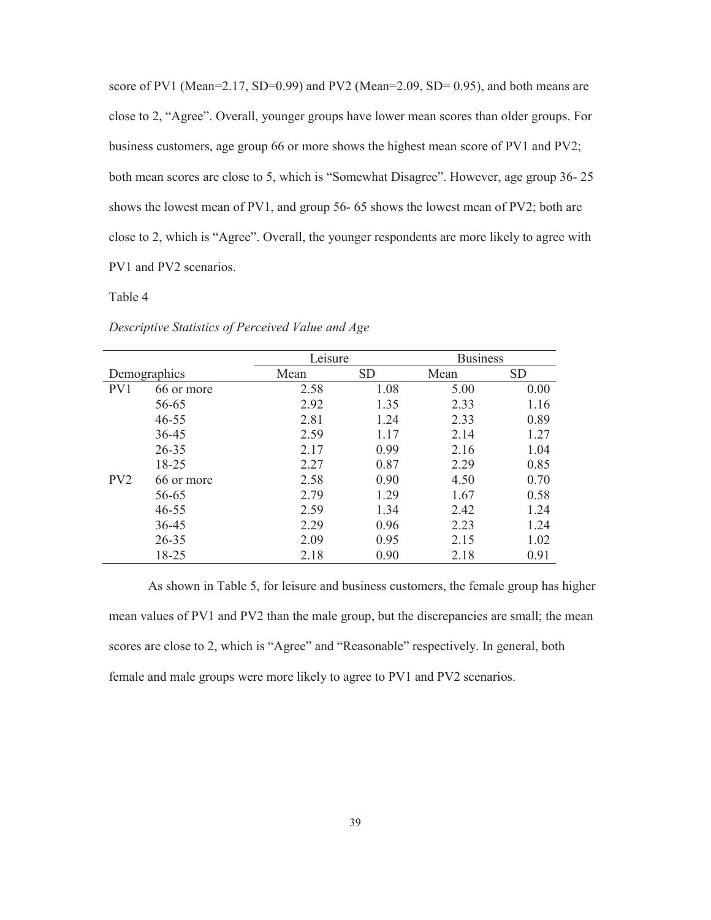score of PV1 (Mean=2.17, SD=0.99) and PV2 (Mean=2.09, SD= 0.95), and both means are close to 2, "Agree". Overall, younger groups have lower mean scores than older groups. For business customers, age group 66 or more shows the highest mean score of PV1 and PV2; both mean scores are close to 5, which is "Somewhat Disagree". However, age group 36- 25 shows the lowest mean of PV1, and group 56- 65 shows the lowest mean of PV2; both are close to 2, which is "Agree". Overall, the younger respondents are more likely to agree with PV1 and PV2 scenarios.

#### Table 4

|                 |            | Leisure |           | <b>Business</b> |      |
|-----------------|------------|---------|-----------|-----------------|------|
| Demographics    |            | Mean    | <b>SD</b> | Mean            | SD   |
| PV1             | 66 or more | 2.58    | 1.08      | 5.00            | 0.00 |
|                 | 56-65      | 2.92    | 1.35      | 2.33            | 1.16 |
|                 | $46 - 55$  | 2.81    | 1.24      | 2.33            | 0.89 |
|                 | 36-45      | 2.59    | 1.17      | 2.14            | 1.27 |
|                 | $26 - 35$  | 2.17    | 0.99      | 2.16            | 1.04 |
|                 | 18-25      | 2.27    | 0.87      | 2.29            | 0.85 |
| PV <sub>2</sub> | 66 or more | 2.58    | 0.90      | 4.50            | 0.70 |
|                 | 56-65      | 2.79    | 1.29      | 1.67            | 0.58 |
|                 | $46 - 55$  | 2.59    | 1.34      | 2.42            | 1.24 |
|                 | $36 - 45$  | 2.29    | 0.96      | 2.23            | 1.24 |
|                 | $26 - 35$  | 2.09    | 0.95      | 2.15            | 1.02 |
|                 | 18-25      | 2.18    | 0.90      | 2.18            | 0.91 |

*Descriptive Statistics of Perceived Value and Age* 

As shown in Table 5, for leisure and business customers, the female group has higher mean values of PV1 and PV2 than the male group, but the discrepancies are small; the mean scores are close to 2, which is "Agree" and "Reasonable" respectively. In general, both female and male groups were more likely to agree to PV1 and PV2 scenarios.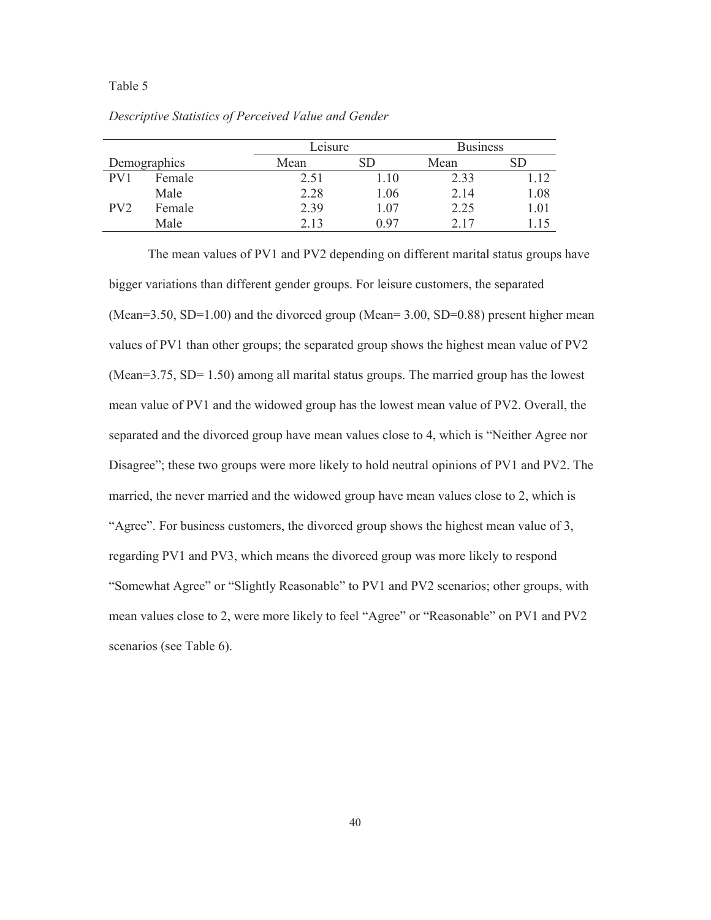|              |        |      | Leisure |      | <b>Business</b> |
|--------------|--------|------|---------|------|-----------------|
| Demographics |        | Mean |         | Mean |                 |
| PV1          | Female | 2.51 | 1.10    | 2.33 | .12             |
|              | Male   | 2.28 | 1.06    | 2.14 | 1.08            |
| PV2          | Female | 2.39 | 1.07    | 2.25 | 1.01            |
|              | Male   | 2.13 | 0.97    | 2.17 |                 |

*Descriptive Statistics of Perceived Value and Gender* 

The mean values of PV1 and PV2 depending on different marital status groups have bigger variations than different gender groups. For leisure customers, the separated (Mean= $3.50$ , SD= $1.00$ ) and the divorced group (Mean= $3.00$ , SD= $0.88$ ) present higher mean values of PV1 than other groups; the separated group shows the highest mean value of PV2 (Mean=3.75, SD= 1.50) among all marital status groups. The married group has the lowest mean value of PV1 and the widowed group has the lowest mean value of PV2. Overall, the separated and the divorced group have mean values close to 4, which is "Neither Agree nor Disagree"; these two groups were more likely to hold neutral opinions of PV1 and PV2. The married, the never married and the widowed group have mean values close to 2, which is "Agree". For business customers, the divorced group shows the highest mean value of 3, regarding PV1 and PV3, which means the divorced group was more likely to respond "Somewhat Agree" or "Slightly Reasonable" to PV1 and PV2 scenarios; other groups, with mean values close to 2, were more likely to feel "Agree" or "Reasonable" on PV1 and PV2 scenarios (see Table 6).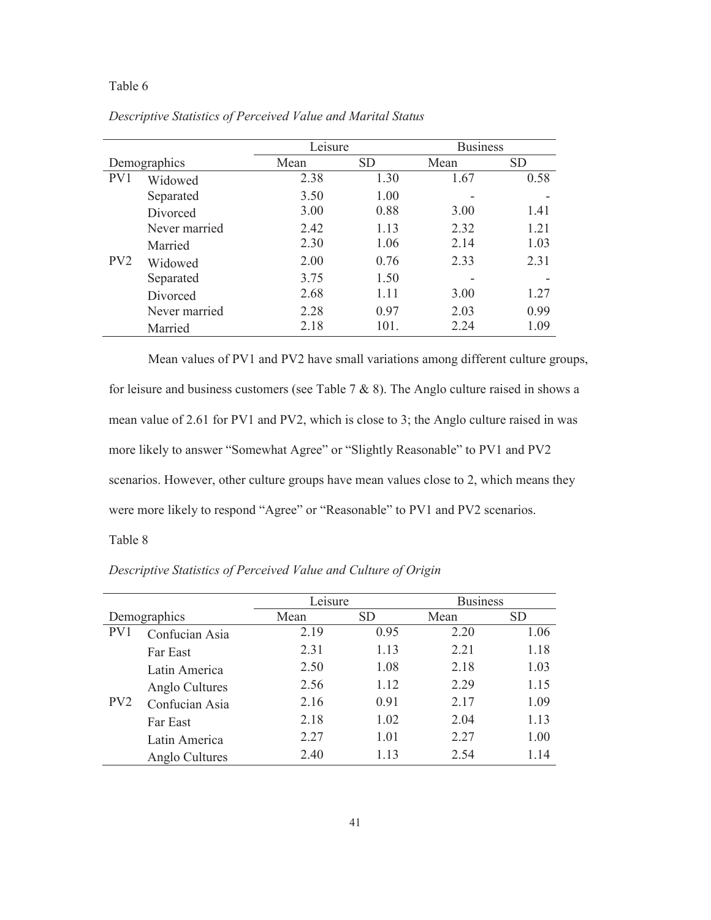|                 |               | Leisure |           | <b>Business</b> |           |  |
|-----------------|---------------|---------|-----------|-----------------|-----------|--|
| Demographics    |               | Mean    | <b>SD</b> | Mean            | <b>SD</b> |  |
| PV1             | Widowed       | 2.38    | 1.30      | 1.67            | 0.58      |  |
|                 | Separated     | 3.50    | 1.00      |                 |           |  |
|                 | Divorced      | 3.00    | 0.88      | 3.00            | 1.41      |  |
|                 | Never married | 2.42    | 1.13      | 2.32            | 1.21      |  |
|                 | Married       | 2.30    | 1.06      | 2.14            | 1.03      |  |
| PV <sub>2</sub> | Widowed       | 2.00    | 0.76      | 2.33            | 2.31      |  |
|                 | Separated     | 3.75    | 1.50      |                 |           |  |
|                 | Divorced      | 2.68    | 1.11      | 3.00            | 1.27      |  |
|                 | Never married | 2.28    | 0.97      | 2.03            | 0.99      |  |
|                 | Married       | 2.18    | 101.      | 2.24            | 1.09      |  |

*Descriptive Statistics of Perceived Value and Marital Status* 

Mean values of PV1 and PV2 have small variations among different culture groups, for leisure and business customers (see Table  $7 & 8 & 8$ ). The Anglo culture raised in shows a mean value of 2.61 for PV1 and PV2, which is close to 3; the Anglo culture raised in was more likely to answer "Somewhat Agree" or "Slightly Reasonable" to PV1 and PV2 scenarios. However, other culture groups have mean values close to 2, which means they were more likely to respond "Agree" or "Reasonable" to PV1 and PV2 scenarios.

Table 8

|                 |                | Leisure |           | <b>Business</b> |           |  |
|-----------------|----------------|---------|-----------|-----------------|-----------|--|
| Demographics    |                | Mean    | <b>SD</b> | Mean            | <b>SD</b> |  |
| PV1             | Confucian Asia | 2.19    | 0.95      | 2.20            | 1.06      |  |
|                 | Far East       | 2.31    | 1.13      | 2.21            | 1.18      |  |
|                 | Latin America  | 2.50    | 1.08      | 2.18            | 1.03      |  |
|                 | Anglo Cultures | 2.56    | 1.12      | 2.29            | 1.15      |  |
| PV <sub>2</sub> | Confucian Asia | 2.16    | 0.91      | 2.17            | 1.09      |  |
|                 | Far East       | 2.18    | 1.02      | 2.04            | 1.13      |  |
|                 | Latin America  | 2.27    | 1.01      | 2.27            | 1.00      |  |
|                 | Anglo Cultures | 2.40    | 1.13      | 2.54            | 1.14      |  |

*Descriptive Statistics of Perceived Value and Culture of Origin*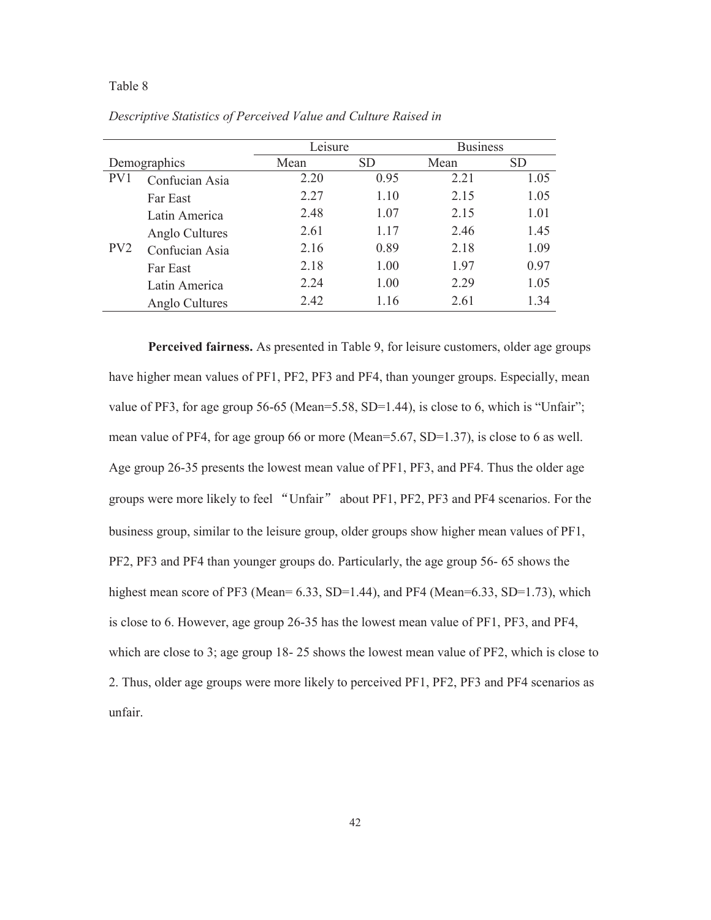|                 |                | Leisure |           | <b>Business</b> |      |
|-----------------|----------------|---------|-----------|-----------------|------|
| Demographics    |                | Mean    | <b>SD</b> | Mean            | SD   |
| PV1             | Confucian Asia | 2.20    | 0.95      | 2.21            | 1.05 |
|                 | Far East       | 2.27    | 1.10      | 2.15            | 1.05 |
|                 | Latin America  | 2.48    | 1.07      | 2.15            | 1.01 |
|                 | Anglo Cultures | 2.61    | 1.17      | 2.46            | 1.45 |
| PV <sub>2</sub> | Confucian Asia | 2.16    | 0.89      | 2.18            | 1.09 |
|                 | Far East       | 2.18    | 1.00      | 1.97            | 0.97 |
|                 | Latin America  | 2.24    | 1.00      | 2.29            | 1.05 |
|                 | Anglo Cultures | 2.42    | 1.16      | 2.61            | 1.34 |

*Descriptive Statistics of Perceived Value and Culture Raised in* 

**Perceived fairness.** As presented in Table 9, for leisure customers, older age groups have higher mean values of PF1, PF2, PF3 and PF4, than younger groups. Especially, mean value of PF3, for age group 56-65 (Mean=5.58, SD=1.44), is close to 6, which is "Unfair"; mean value of PF4, for age group 66 or more (Mean=5.67, SD=1.37), is close to 6 as well. Age group 26-35 presents the lowest mean value of PF1, PF3, and PF4. Thus the older age groups were more likely to feel "Unfair" about PF1, PF2, PF3 and PF4 scenarios. For the business group, similar to the leisure group, older groups show higher mean values of PF1, PF2, PF3 and PF4 than younger groups do. Particularly, the age group 56- 65 shows the highest mean score of PF3 (Mean=  $6.33$ , SD=1.44), and PF4 (Mean= $6.33$ , SD=1.73), which is close to 6. However, age group 26-35 has the lowest mean value of PF1, PF3, and PF4, which are close to 3; age group 18- 25 shows the lowest mean value of PF2, which is close to 2. Thus, older age groups were more likely to perceived PF1, PF2, PF3 and PF4 scenarios as unfair.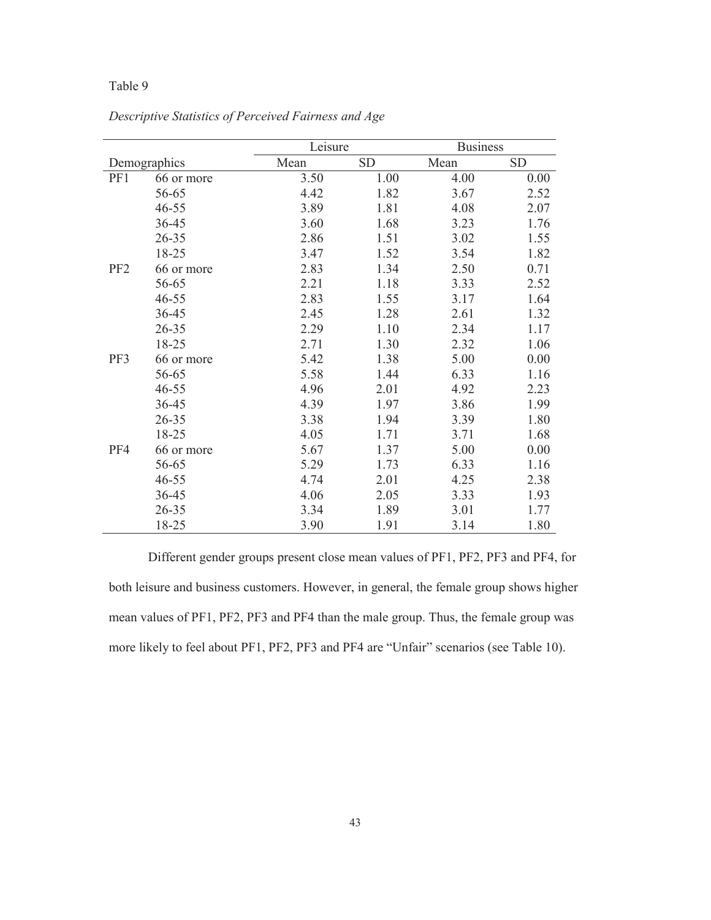|                 |              | Leisure |           |      | <b>Business</b> |  |  |
|-----------------|--------------|---------|-----------|------|-----------------|--|--|
|                 | Demographics | Mean    | <b>SD</b> | Mean | <b>SD</b>       |  |  |
| PF1             | 66 or more   | 3.50    | 1.00      | 4.00 | 0.00            |  |  |
|                 | 56-65        | 4.42    | 1.82      | 3.67 | 2.52            |  |  |
|                 | $46 - 55$    | 3.89    | 1.81      | 4.08 | 2.07            |  |  |
|                 | 36-45        | 3.60    | 1.68      | 3.23 | 1.76            |  |  |
|                 | 26-35        | 2.86    | 1.51      | 3.02 | 1.55            |  |  |
|                 | 18-25        | 3.47    | 1.52      | 3.54 | 1.82            |  |  |
| PF <sub>2</sub> | 66 or more   | 2.83    | 1.34      | 2.50 | 0.71            |  |  |
|                 | 56-65        | 2.21    | 1.18      | 3.33 | 2.52            |  |  |
|                 | $46 - 55$    | 2.83    | 1.55      | 3.17 | 1.64            |  |  |
|                 | 36-45        | 2.45    | 1.28      | 2.61 | 1.32            |  |  |
|                 | 26-35        | 2.29    | 1.10      | 2.34 | 1.17            |  |  |
|                 | 18-25        | 2.71    | 1.30      | 2.32 | 1.06            |  |  |
| PF3             | 66 or more   | 5.42    | 1.38      | 5.00 | 0.00            |  |  |
|                 | 56-65        | 5.58    | 1.44      | 6.33 | 1.16            |  |  |
|                 | $46 - 55$    | 4.96    | 2.01      | 4.92 | 2.23            |  |  |
|                 | 36-45        | 4.39    | 1.97      | 3.86 | 1.99            |  |  |
|                 | $26 - 35$    | 3.38    | 1.94      | 3.39 | 1.80            |  |  |
|                 | 18-25        | 4.05    | 1.71      | 3.71 | 1.68            |  |  |
| PF4             | 66 or more   | 5.67    | 1.37      | 5.00 | 0.00            |  |  |
|                 | 56-65        | 5.29    | 1.73      | 6.33 | 1.16            |  |  |
|                 | $46 - 55$    | 4.74    | 2.01      | 4.25 | 2.38            |  |  |
|                 | 36-45        | 4.06    | 2.05      | 3.33 | 1.93            |  |  |
|                 | 26-35        | 3.34    | 1.89      | 3.01 | 1.77            |  |  |
|                 | 18-25        | 3.90    | 1.91      | 3.14 | 1.80            |  |  |

*Descriptive Statistics of Perceived Fairness and Age* 

Different gender groups present close mean values of PF1, PF2, PF3 and PF4, for both leisure and business customers. However, in general, the female group shows higher mean values of PF1, PF2, PF3 and PF4 than the male group. Thus, the female group was more likely to feel about PF1, PF2, PF3 and PF4 are "Unfair" scenarios (see Table 10).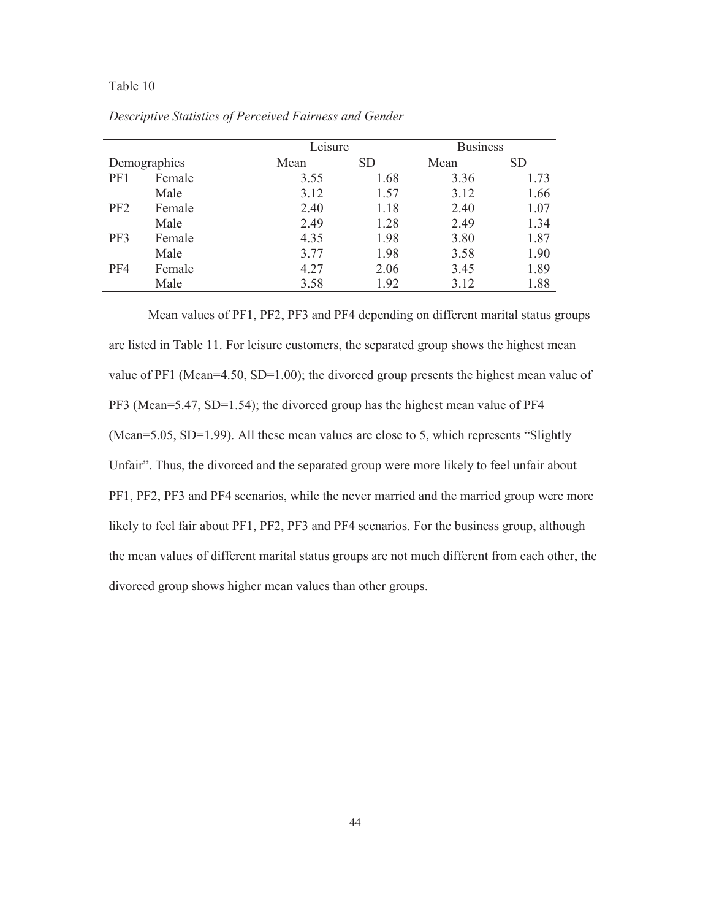|                 |        |      | Leisure   | <b>Business</b> |           |  |
|-----------------|--------|------|-----------|-----------------|-----------|--|
| Demographics    |        | Mean | <b>SD</b> | Mean            | <b>SD</b> |  |
| PF1             | Female | 3.55 | 1.68      | 3.36            | 1.73      |  |
|                 | Male   | 3.12 | 1.57      | 3.12            | 1.66      |  |
| PF <sub>2</sub> | Female | 2.40 | 1.18      | 2.40            | 1.07      |  |
|                 | Male   | 2.49 | 1.28      | 2.49            | 1.34      |  |
| PF3             | Female | 4.35 | 1.98      | 3.80            | 1.87      |  |
|                 | Male   | 3.77 | 1.98      | 3.58            | 1.90      |  |
| PF4             | Female | 4.27 | 2.06      | 3.45            | 1.89      |  |
|                 | Male   | 3.58 | 1.92      | 3.12            | 1.88      |  |

*Descriptive Statistics of Perceived Fairness and Gender* 

Mean values of PF1, PF2, PF3 and PF4 depending on different marital status groups are listed in Table 11. For leisure customers, the separated group shows the highest mean value of PF1 (Mean=4.50, SD=1.00); the divorced group presents the highest mean value of PF3 (Mean=5.47, SD=1.54); the divorced group has the highest mean value of PF4 (Mean=5.05, SD=1.99). All these mean values are close to 5, which represents "Slightly Unfair". Thus, the divorced and the separated group were more likely to feel unfair about PF1, PF2, PF3 and PF4 scenarios, while the never married and the married group were more likely to feel fair about PF1, PF2, PF3 and PF4 scenarios. For the business group, although the mean values of different marital status groups are not much different from each other, the divorced group shows higher mean values than other groups.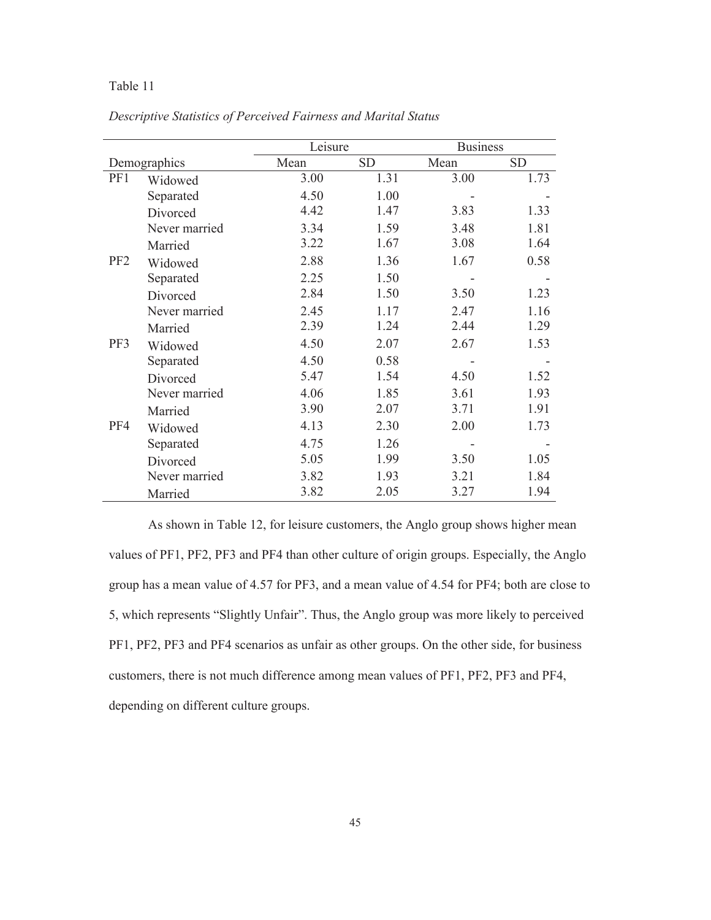| Descriptive Statistics of Perceived Fairness and Marital Status |  |  |  |  |
|-----------------------------------------------------------------|--|--|--|--|
|                                                                 |  |  |  |  |

|                 |               | Leisure |           |      | <b>Business</b> |  |  |
|-----------------|---------------|---------|-----------|------|-----------------|--|--|
|                 | Demographics  | Mean    | <b>SD</b> | Mean | <b>SD</b>       |  |  |
| PF1             | Widowed       | 3.00    | 1.31      | 3.00 | 1.73            |  |  |
|                 | Separated     | 4.50    | 1.00      |      |                 |  |  |
|                 | Divorced      | 4.42    | 1.47      | 3.83 | 1.33            |  |  |
|                 | Never married | 3.34    | 1.59      | 3.48 | 1.81            |  |  |
|                 | Married       | 3.22    | 1.67      | 3.08 | 1.64            |  |  |
| PF <sub>2</sub> | Widowed       | 2.88    | 1.36      | 1.67 | 0.58            |  |  |
|                 | Separated     | 2.25    | 1.50      |      |                 |  |  |
|                 | Divorced      | 2.84    | 1.50      | 3.50 | 1.23            |  |  |
|                 | Never married | 2.45    | 1.17      | 2.47 | 1.16            |  |  |
|                 | Married       | 2.39    | 1.24      | 2.44 | 1.29            |  |  |
| PF3             | Widowed       | 4.50    | 2.07      | 2.67 | 1.53            |  |  |
|                 | Separated     | 4.50    | 0.58      |      |                 |  |  |
|                 | Divorced      | 5.47    | 1.54      | 4.50 | 1.52            |  |  |
|                 | Never married | 4.06    | 1.85      | 3.61 | 1.93            |  |  |
|                 | Married       | 3.90    | 2.07      | 3.71 | 1.91            |  |  |
| PF4             | Widowed       | 4.13    | 2.30      | 2.00 | 1.73            |  |  |
|                 | Separated     | 4.75    | 1.26      |      |                 |  |  |
|                 | Divorced      | 5.05    | 1.99      | 3.50 | 1.05            |  |  |
|                 | Never married | 3.82    | 1.93      | 3.21 | 1.84            |  |  |
|                 | Married       | 3.82    | 2.05      | 3.27 | 1.94            |  |  |

As shown in Table 12, for leisure customers, the Anglo group shows higher mean values of PF1, PF2, PF3 and PF4 than other culture of origin groups. Especially, the Anglo group has a mean value of 4.57 for PF3, and a mean value of 4.54 for PF4; both are close to 5, which represents "Slightly Unfair". Thus, the Anglo group was more likely to perceived PF1, PF2, PF3 and PF4 scenarios as unfair as other groups. On the other side, for business customers, there is not much difference among mean values of PF1, PF2, PF3 and PF4, depending on different culture groups.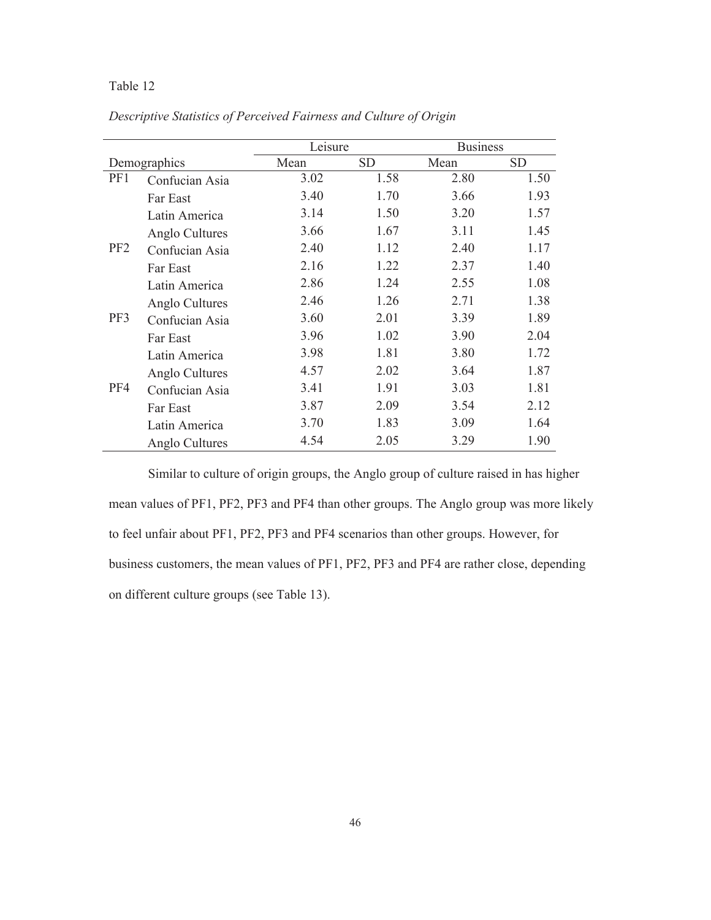*Descriptive Statistics of Perceived Fairness and Culture of Origin* 

|                 |                | Leisure |           | <b>Business</b> |      |
|-----------------|----------------|---------|-----------|-----------------|------|
|                 | Demographics   | Mean    | <b>SD</b> | Mean            | SD   |
| PF1             | Confucian Asia | 3.02    | 1.58      | 2.80            | 1.50 |
|                 | Far East       | 3.40    | 1.70      | 3.66            | 1.93 |
|                 | Latin America  | 3.14    | 1.50      | 3.20            | 1.57 |
|                 | Anglo Cultures | 3.66    | 1.67      | 3.11            | 1.45 |
| PF <sub>2</sub> | Confucian Asia | 2.40    | 1.12      | 2.40            | 1.17 |
|                 | Far East       | 2.16    | 1.22      | 2.37            | 1.40 |
|                 | Latin America  | 2.86    | 1.24      | 2.55            | 1.08 |
|                 | Anglo Cultures | 2.46    | 1.26      | 2.71            | 1.38 |
| PF3             | Confucian Asia | 3.60    | 2.01      | 3.39            | 1.89 |
|                 | Far East       | 3.96    | 1.02      | 3.90            | 2.04 |
|                 | Latin America  | 3.98    | 1.81      | 3.80            | 1.72 |
|                 | Anglo Cultures | 4.57    | 2.02      | 3.64            | 1.87 |
| PF4             | Confucian Asia | 3.41    | 1.91      | 3.03            | 1.81 |
|                 | Far East       | 3.87    | 2.09      | 3.54            | 2.12 |
|                 | Latin America  | 3.70    | 1.83      | 3.09            | 1.64 |
|                 | Anglo Cultures | 4.54    | 2.05      | 3.29            | 1.90 |

Similar to culture of origin groups, the Anglo group of culture raised in has higher mean values of PF1, PF2, PF3 and PF4 than other groups. The Anglo group was more likely to feel unfair about PF1, PF2, PF3 and PF4 scenarios than other groups. However, for business customers, the mean values of PF1, PF2, PF3 and PF4 are rather close, depending on different culture groups (see Table 13).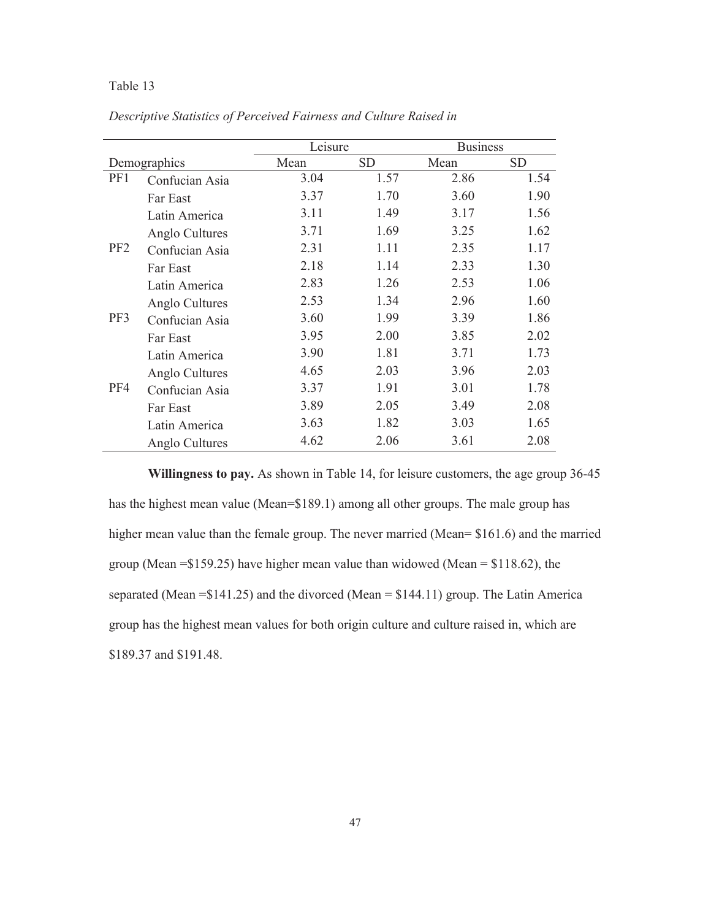*Descriptive Statistics of Perceived Fairness and Culture Raised in* 

|                 |                |      | Leisure   |      | <b>Business</b> |
|-----------------|----------------|------|-----------|------|-----------------|
| Demographics    |                | Mean | <b>SD</b> | Mean | <b>SD</b>       |
| PF1             | Confucian Asia | 3.04 | 1.57      | 2.86 | 1.54            |
|                 | Far East       | 3.37 | 1.70      | 3.60 | 1.90            |
|                 | Latin America  | 3.11 | 1.49      | 3.17 | 1.56            |
|                 | Anglo Cultures | 3.71 | 1.69      | 3.25 | 1.62            |
| PF <sub>2</sub> | Confucian Asia | 2.31 | 1.11      | 2.35 | 1.17            |
|                 | Far East       | 2.18 | 1.14      | 2.33 | 1.30            |
|                 | Latin America  | 2.83 | 1.26      | 2.53 | 1.06            |
|                 | Anglo Cultures | 2.53 | 1.34      | 2.96 | 1.60            |
| PF3             | Confucian Asia | 3.60 | 1.99      | 3.39 | 1.86            |
|                 | Far East       | 3.95 | 2.00      | 3.85 | 2.02            |
|                 | Latin America  | 3.90 | 1.81      | 3.71 | 1.73            |
|                 | Anglo Cultures | 4.65 | 2.03      | 3.96 | 2.03            |
| PF4             | Confucian Asia | 3.37 | 1.91      | 3.01 | 1.78            |
|                 | Far East       | 3.89 | 2.05      | 3.49 | 2.08            |
|                 | Latin America  | 3.63 | 1.82      | 3.03 | 1.65            |
|                 | Anglo Cultures | 4.62 | 2.06      | 3.61 | 2.08            |

**Willingness to pay.** As shown in Table 14, for leisure customers, the age group 36-45 has the highest mean value (Mean=\$189.1) among all other groups. The male group has higher mean value than the female group. The never married (Mean= \$161.6) and the married group (Mean =\$159.25) have higher mean value than widowed (Mean = \$118.62), the separated (Mean =\$141.25) and the divorced (Mean = \$144.11) group. The Latin America group has the highest mean values for both origin culture and culture raised in, which are \$189.37 and \$191.48.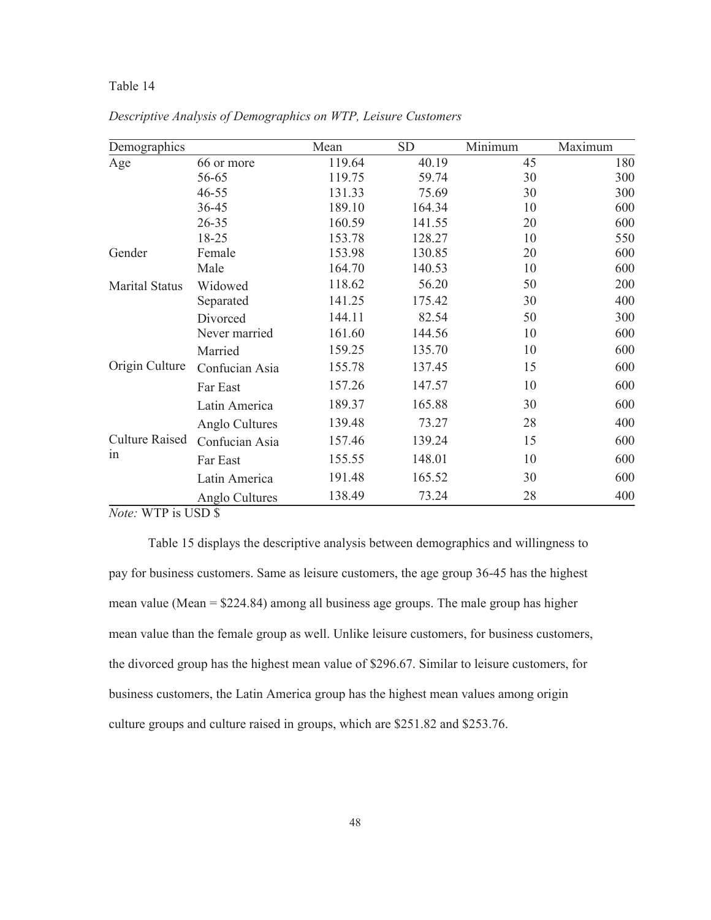| Demographics          |                | Mean   | <b>SD</b> | Minimum | Maximum |
|-----------------------|----------------|--------|-----------|---------|---------|
| Age                   | 66 or more     | 119.64 | 40.19     | 45      | 180     |
|                       | 56-65          | 119.75 | 59.74     | 30      | 300     |
|                       | $46 - 55$      | 131.33 | 75.69     | 30      | 300     |
|                       | 36-45          | 189.10 | 164.34    | 10      | 600     |
|                       | $26 - 35$      | 160.59 | 141.55    | 20      | 600     |
|                       | 18-25          | 153.78 | 128.27    | 10      | 550     |
| Gender                | Female         | 153.98 | 130.85    | 20      | 600     |
|                       | Male           | 164.70 | 140.53    | 10      | 600     |
| <b>Marital Status</b> | Widowed        | 118.62 | 56.20     | 50      | 200     |
|                       | Separated      | 141.25 | 175.42    | 30      | 400     |
|                       | Divorced       | 144.11 | 82.54     | 50      | 300     |
|                       | Never married  | 161.60 | 144.56    | 10      | 600     |
|                       | Married        | 159.25 | 135.70    | 10      | 600     |
| Origin Culture        | Confucian Asia | 155.78 | 137.45    | 15      | 600     |
|                       | Far East       | 157.26 | 147.57    | 10      | 600     |
|                       | Latin America  | 189.37 | 165.88    | 30      | 600     |
|                       | Anglo Cultures | 139.48 | 73.27     | 28      | 400     |
| <b>Culture Raised</b> | Confucian Asia | 157.46 | 139.24    | 15      | 600     |
| in                    | Far East       | 155.55 | 148.01    | 10      | 600     |
|                       | Latin America  | 191.48 | 165.52    | 30      | 600     |
|                       | Anglo Cultures | 138.49 | 73.24     | 28      | 400     |

*Descriptive Analysis of Demographics on WTP, Leisure Customers*

*Note:* WTP is USD \$

 Table 15 displays the descriptive analysis between demographics and willingness to pay for business customers. Same as leisure customers, the age group 36-45 has the highest mean value (Mean = \$224.84) among all business age groups. The male group has higher mean value than the female group as well. Unlike leisure customers, for business customers, the divorced group has the highest mean value of \$296.67. Similar to leisure customers, for business customers, the Latin America group has the highest mean values among origin culture groups and culture raised in groups, which are \$251.82 and \$253.76.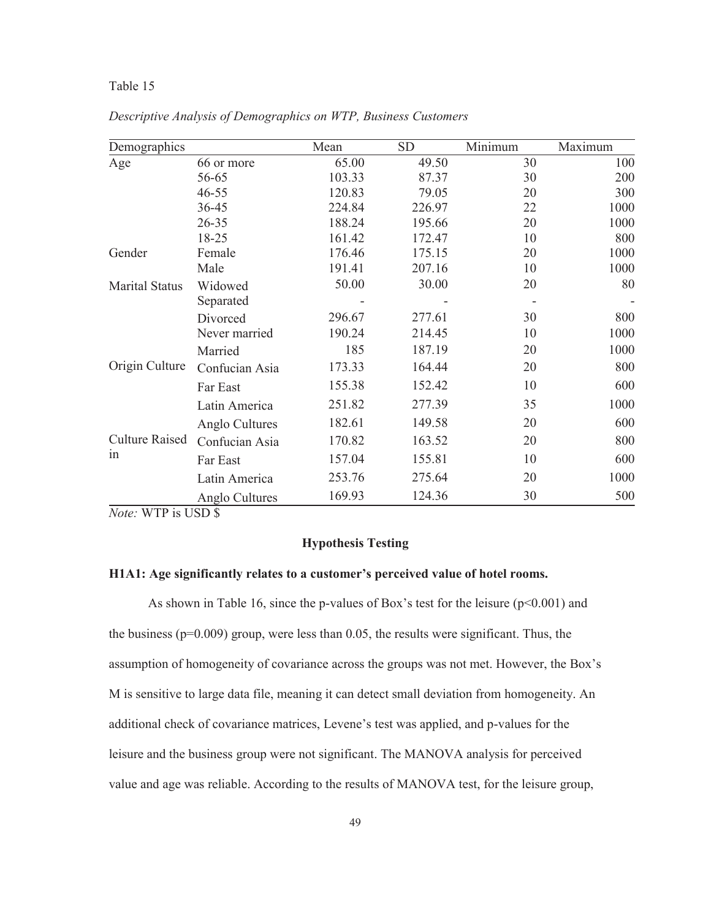| Demographics          |                | Mean   | <b>SD</b> | Minimum | Maximum |
|-----------------------|----------------|--------|-----------|---------|---------|
| Age                   | 66 or more     | 65.00  | 49.50     | 30      | 100     |
|                       | 56-65          | 103.33 | 87.37     | 30      | 200     |
|                       | $46 - 55$      | 120.83 | 79.05     | 20      | 300     |
|                       | 36-45          | 224.84 | 226.97    | 22      | 1000    |
|                       | $26 - 35$      | 188.24 | 195.66    | 20      | 1000    |
|                       | 18-25          | 161.42 | 172.47    | 10      | 800     |
| Gender                | Female         | 176.46 | 175.15    | 20      | 1000    |
|                       | Male           | 191.41 | 207.16    | 10      | 1000    |
| <b>Marital Status</b> | Widowed        | 50.00  | 30.00     | 20      | 80      |
|                       | Separated      |        |           |         |         |
|                       | Divorced       | 296.67 | 277.61    | 30      | 800     |
|                       | Never married  | 190.24 | 214.45    | 10      | 1000    |
|                       | Married        | 185    | 187.19    | 20      | 1000    |
| Origin Culture        | Confucian Asia | 173.33 | 164.44    | 20      | 800     |
|                       | Far East       | 155.38 | 152.42    | 10      | 600     |
|                       | Latin America  | 251.82 | 277.39    | 35      | 1000    |
|                       | Anglo Cultures | 182.61 | 149.58    | 20      | 600     |
| <b>Culture Raised</b> | Confucian Asia | 170.82 | 163.52    | 20      | 800     |
| in                    | Far East       | 157.04 | 155.81    | 10      | 600     |
|                       | Latin America  | 253.76 | 275.64    | 20      | 1000    |
|                       | Anglo Cultures | 169.93 | 124.36    | 30      | 500     |

*Descriptive Analysis of Demographics on WTP, Business Customers*

*Note:* WTP is USD \$

#### **Hypothesis Testing**

#### **H1A1: Age significantly relates to a customer's perceived value of hotel rooms.**

As shown in Table 16, since the p-values of Box's test for the leisure  $(p<0.001)$  and the business ( $p=0.009$ ) group, were less than 0.05, the results were significant. Thus, the assumption of homogeneity of covariance across the groups was not met. However, the Box's M is sensitive to large data file, meaning it can detect small deviation from homogeneity. An additional check of covariance matrices, Levene's test was applied, and p-values for the leisure and the business group were not significant. The MANOVA analysis for perceived value and age was reliable. According to the results of MANOVA test, for the leisure group,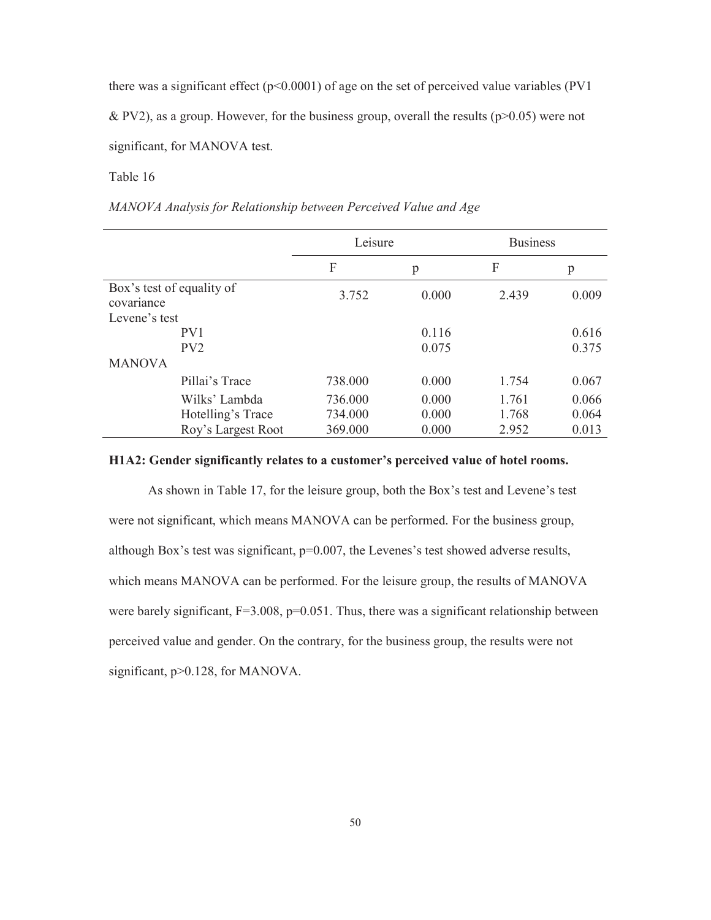there was a significant effect ( $p<0.0001$ ) of age on the set of perceived value variables (PV1

& PV2), as a group. However, for the business group, overall the results ( $p>0.05$ ) were not

significant, for MANOVA test.

Table 16

*MANOVA Analysis for Relationship between Perceived Value and Age* 

|                                         |                    | Leisure |       | <b>Business</b> |       |
|-----------------------------------------|--------------------|---------|-------|-----------------|-------|
|                                         |                    | F       | p     | F               | p     |
| Box's test of equality of<br>covariance |                    | 3.752   | 0.000 | 2.439           | 0.009 |
| Levene's test                           |                    |         |       |                 |       |
|                                         | PV <sub>1</sub>    |         | 0.116 |                 | 0.616 |
|                                         | PV2                |         | 0.075 |                 | 0.375 |
| <b>MANOVA</b>                           |                    |         |       |                 |       |
|                                         | Pillai's Trace     | 738.000 | 0.000 | 1.754           | 0.067 |
|                                         | Wilks' Lambda      | 736.000 | 0.000 | 1.761           | 0.066 |
|                                         | Hotelling's Trace  | 734.000 | 0.000 | 1.768           | 0.064 |
|                                         | Roy's Largest Root | 369.000 | 0.000 | 2.952           | 0.013 |

#### **H1A2: Gender significantly relates to a customer's perceived value of hotel rooms.**

As shown in Table 17, for the leisure group, both the Box's test and Levene's test were not significant, which means MANOVA can be performed. For the business group, although Box's test was significant, p=0.007, the Levenes's test showed adverse results, which means MANOVA can be performed. For the leisure group, the results of MANOVA were barely significant,  $F=3.008$ ,  $p=0.051$ . Thus, there was a significant relationship between perceived value and gender. On the contrary, for the business group, the results were not significant,  $p > 0.128$ , for MANOVA.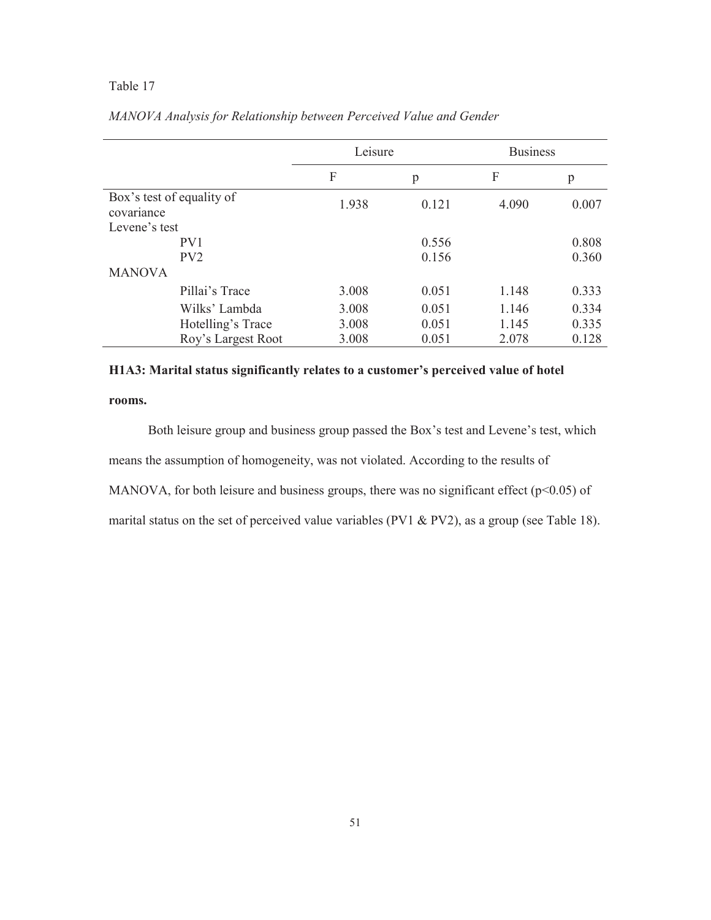|                                         | Leisure |       | <b>Business</b> |       |
|-----------------------------------------|---------|-------|-----------------|-------|
|                                         | F       | p     | F               | p     |
| Box's test of equality of<br>covariance | 1.938   | 0.121 | 4.090           | 0.007 |
| Levene's test                           |         |       |                 |       |
| PV1                                     |         | 0.556 |                 | 0.808 |
| PV <sub>2</sub>                         |         | 0.156 |                 | 0.360 |
| <b>MANOVA</b>                           |         |       |                 |       |
| Pillai's Trace                          | 3.008   | 0.051 | 1.148           | 0.333 |
| Wilks' Lambda                           | 3.008   | 0.051 | 1.146           | 0.334 |
| Hotelling's Trace                       | 3.008   | 0.051 | 1.145           | 0.335 |
| Roy's Largest Root                      | 3.008   | 0.051 | 2.078           | 0.128 |

# *MANOVA Analysis for Relationship between Perceived Value and Gender*

### **H1A3: Marital status significantly relates to a customer's perceived value of hotel**

### **rooms.**

Both leisure group and business group passed the Box's test and Levene's test, which means the assumption of homogeneity, was not violated. According to the results of MANOVA, for both leisure and business groups, there was no significant effect ( $p$ <0.05) of

marital status on the set of perceived value variables (PV1 & PV2), as a group (see Table 18).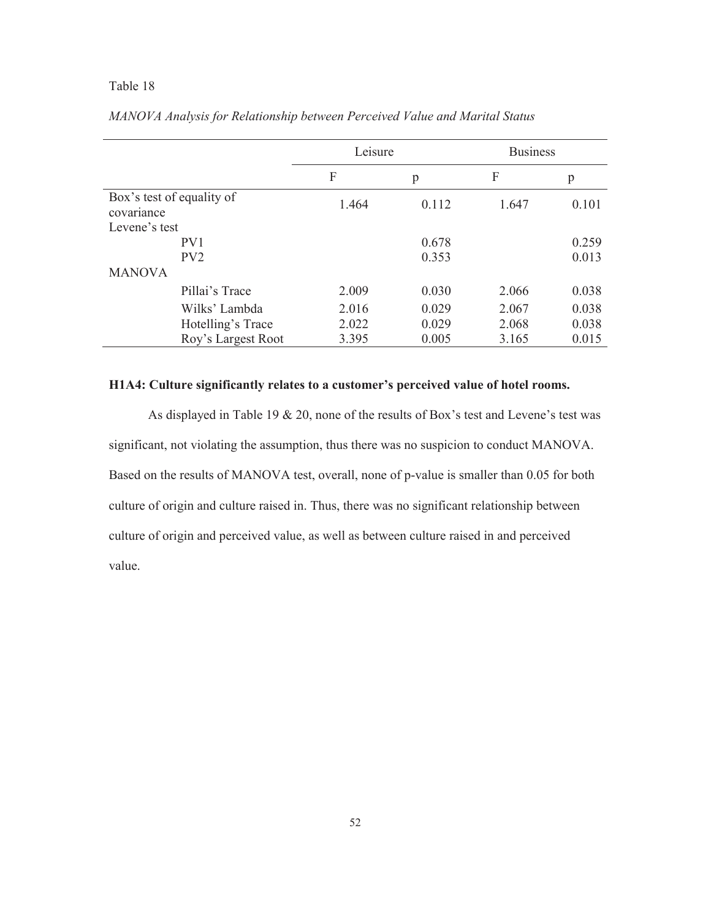|                                         |                    | Leisure |       | <b>Business</b> |       |
|-----------------------------------------|--------------------|---------|-------|-----------------|-------|
|                                         |                    | F       | p     | F               | p     |
| Box's test of equality of<br>covariance |                    | 1.464   | 0.112 | 1.647           | 0.101 |
| Levene's test                           |                    |         |       |                 |       |
|                                         | PV <sub>1</sub>    |         | 0.678 |                 | 0.259 |
|                                         | PV2                |         | 0.353 |                 | 0.013 |
| <b>MANOVA</b>                           |                    |         |       |                 |       |
|                                         | Pillai's Trace     | 2.009   | 0.030 | 2.066           | 0.038 |
|                                         | Wilks' Lambda      | 2.016   | 0.029 | 2.067           | 0.038 |
|                                         | Hotelling's Trace  | 2.022   | 0.029 | 2.068           | 0.038 |
|                                         | Roy's Largest Root | 3.395   | 0.005 | 3.165           | 0.015 |

*MANOVA Analysis for Relationship between Perceived Value and Marital Status* 

## **H1A4: Culture significantly relates to a customer's perceived value of hotel rooms.**

As displayed in Table 19 & 20, none of the results of Box's test and Levene's test was significant, not violating the assumption, thus there was no suspicion to conduct MANOVA. Based on the results of MANOVA test, overall, none of p-value is smaller than 0.05 for both culture of origin and culture raised in. Thus, there was no significant relationship between culture of origin and perceived value, as well as between culture raised in and perceived value.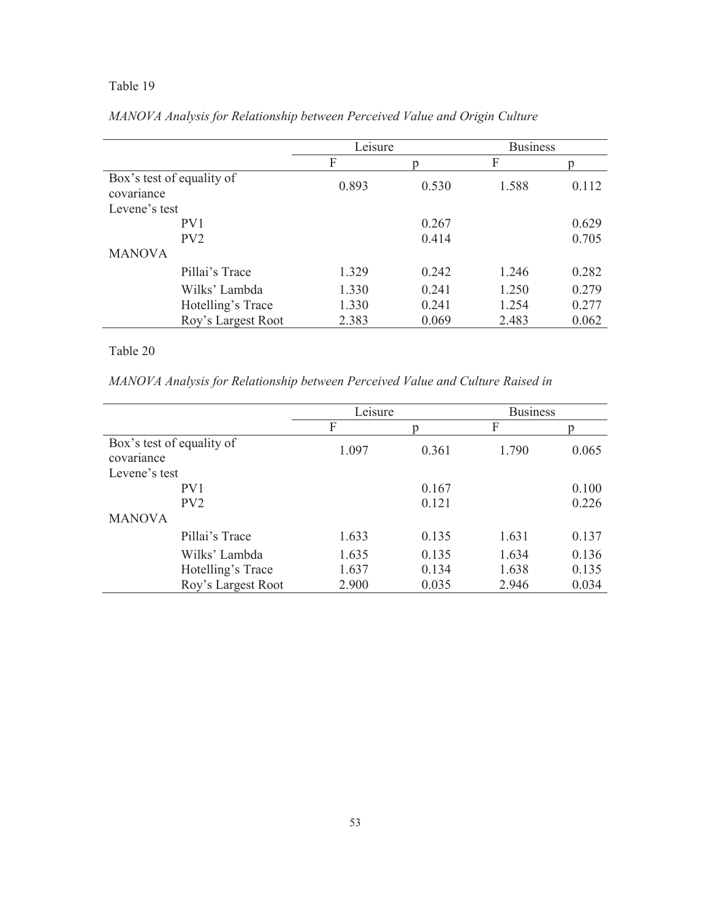|                                         | Leisure |       | <b>Business</b> |       |
|-----------------------------------------|---------|-------|-----------------|-------|
|                                         | F       | p     | F               | Ŋ     |
| Box's test of equality of<br>covariance | 0.893   | 0.530 | 1.588           | 0.112 |
| Levene's test                           |         |       |                 |       |
| PV <sub>1</sub>                         |         | 0.267 |                 | 0.629 |
| PV <sub>2</sub>                         |         | 0.414 |                 | 0.705 |
| <b>MANOVA</b>                           |         |       |                 |       |
| Pillai's Trace                          | 1.329   | 0.242 | 1.246           | 0.282 |
| Wilks' Lambda                           | 1.330   | 0.241 | 1.250           | 0.279 |
| Hotelling's Trace                       | 1.330   | 0.241 | 1.254           | 0.277 |
| Roy's Largest Root                      | 2.383   | 0.069 | 2.483           | 0.062 |

# *MANOVA Analysis for Relationship between Perceived Value and Origin Culture*

# Table 20

*MANOVA Analysis for Relationship between Perceived Value and Culture Raised in* 

|                                         |                    | Leisure |       | <b>Business</b> |       |
|-----------------------------------------|--------------------|---------|-------|-----------------|-------|
|                                         |                    | F       | n     | F               |       |
| Box's test of equality of<br>covariance |                    | 1.097   | 0.361 | 1.790           | 0.065 |
| Levene's test                           |                    |         |       |                 |       |
|                                         | PV <sub>1</sub>    |         | 0.167 |                 | 0.100 |
|                                         | PV2                |         | 0.121 |                 | 0.226 |
| <b>MANOVA</b>                           |                    |         |       |                 |       |
|                                         | Pillai's Trace     | 1.633   | 0.135 | 1.631           | 0.137 |
|                                         | Wilks' Lambda      | 1.635   | 0.135 | 1.634           | 0.136 |
|                                         | Hotelling's Trace  | 1.637   | 0.134 | 1.638           | 0.135 |
|                                         | Roy's Largest Root | 2.900   | 0.035 | 2.946           | 0.034 |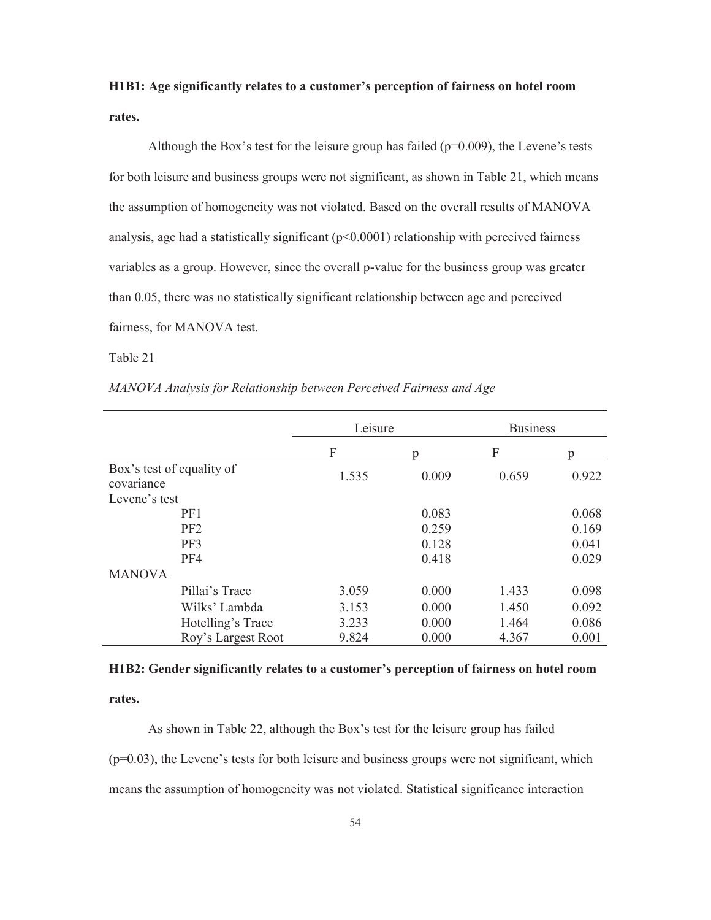# **H1B1: Age significantly relates to a customer's perception of fairness on hotel room rates.**

Although the Box's test for the leisure group has failed ( $p=0.009$ ), the Levene's tests for both leisure and business groups were not significant, as shown in Table 21, which means the assumption of homogeneity was not violated. Based on the overall results of MANOVA analysis, age had a statistically significant  $(p<0.0001)$  relationship with perceived fairness variables as a group. However, since the overall p-value for the business group was greater than 0.05, there was no statistically significant relationship between age and perceived fairness, for MANOVA test.

#### Table 21

| MANOVA Analysis for Relationship between Perceived Fairness and Age |
|---------------------------------------------------------------------|
|---------------------------------------------------------------------|

|                                         | Leisure |       | <b>Business</b> |       |
|-----------------------------------------|---------|-------|-----------------|-------|
|                                         | F       | n     | F               | n     |
| Box's test of equality of<br>covariance | 1.535   | 0.009 | 0.659           | 0.922 |
| Levene's test                           |         |       |                 |       |
| PF1                                     |         | 0.083 |                 | 0.068 |
| PF <sub>2</sub>                         |         | 0.259 |                 | 0.169 |
| PF3                                     |         | 0.128 |                 | 0.041 |
| PF4                                     |         | 0.418 |                 | 0.029 |
| <b>MANOVA</b>                           |         |       |                 |       |
| Pillai's Trace                          | 3.059   | 0.000 | 1.433           | 0.098 |
| Wilks' Lambda                           | 3.153   | 0.000 | 1.450           | 0.092 |
| Hotelling's Trace                       | 3.233   | 0.000 | 1.464           | 0.086 |
| Roy's Largest Root                      | 9.824   | 0.000 | 4.367           | 0.001 |

# **H1B2: Gender significantly relates to a customer's perception of fairness on hotel room rates.**

As shown in Table 22, although the Box's test for the leisure group has failed  $(p=0.03)$ , the Levene's tests for both leisure and business groups were not significant, which means the assumption of homogeneity was not violated. Statistical significance interaction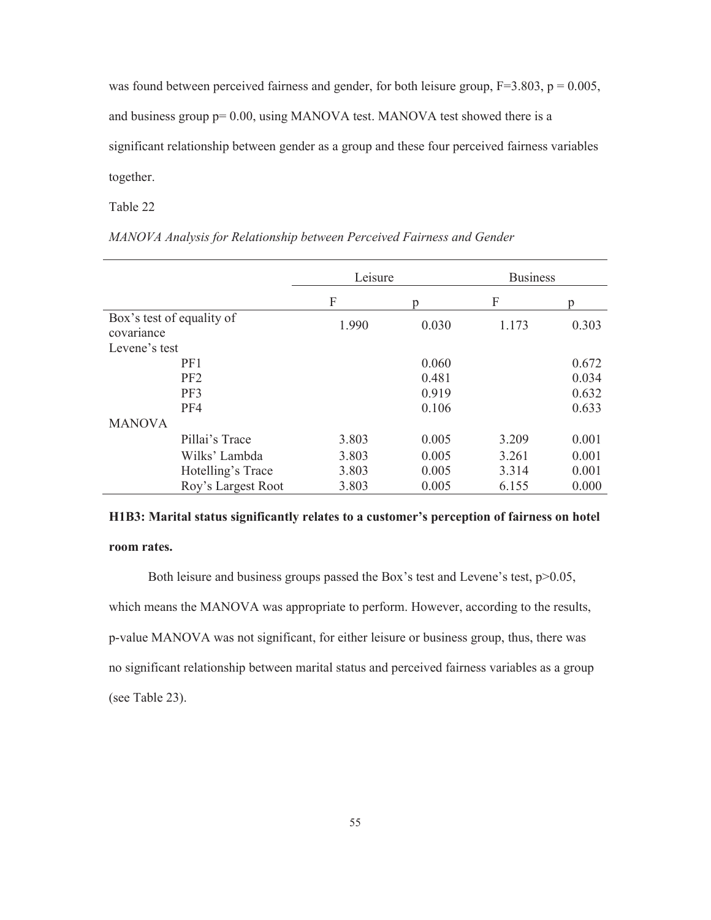was found between perceived fairness and gender, for both leisure group,  $F=3.803$ ,  $p = 0.005$ , and business group p= 0.00, using MANOVA test. MANOVA test showed there is a significant relationship between gender as a group and these four perceived fairness variables together.

Table 22

|                                         |                    | Leisure |       | <b>Business</b> |       |
|-----------------------------------------|--------------------|---------|-------|-----------------|-------|
|                                         |                    | F       | n     | F               | D     |
| Box's test of equality of<br>covariance |                    | 1.990   | 0.030 | 1.173           | 0.303 |
| Levene's test                           |                    |         |       |                 |       |
| PF1                                     |                    |         | 0.060 |                 | 0.672 |
| PF <sub>2</sub>                         |                    |         | 0.481 |                 | 0.034 |
| PF3                                     |                    |         | 0.919 |                 | 0.632 |
| PF4                                     |                    |         | 0.106 |                 | 0.633 |
| <b>MANOVA</b>                           |                    |         |       |                 |       |
| Pillai's Trace                          |                    | 3.803   | 0.005 | 3.209           | 0.001 |
|                                         | Wilks' Lambda      | 3.803   | 0.005 | 3.261           | 0.001 |
|                                         | Hotelling's Trace  | 3.803   | 0.005 | 3.314           | 0.001 |
|                                         | Roy's Largest Root | 3.803   | 0.005 | 6.155           | 0.000 |

*MANOVA Analysis for Relationship between Perceived Fairness and Gender* 

# **H1B3: Marital status significantly relates to a customer's perception of fairness on hotel room rates.**

Both leisure and business groups passed the Box's test and Levene's test, p>0.05, which means the MANOVA was appropriate to perform. However, according to the results, p-value MANOVA was not significant, for either leisure or business group, thus, there was no significant relationship between marital status and perceived fairness variables as a group (see Table 23).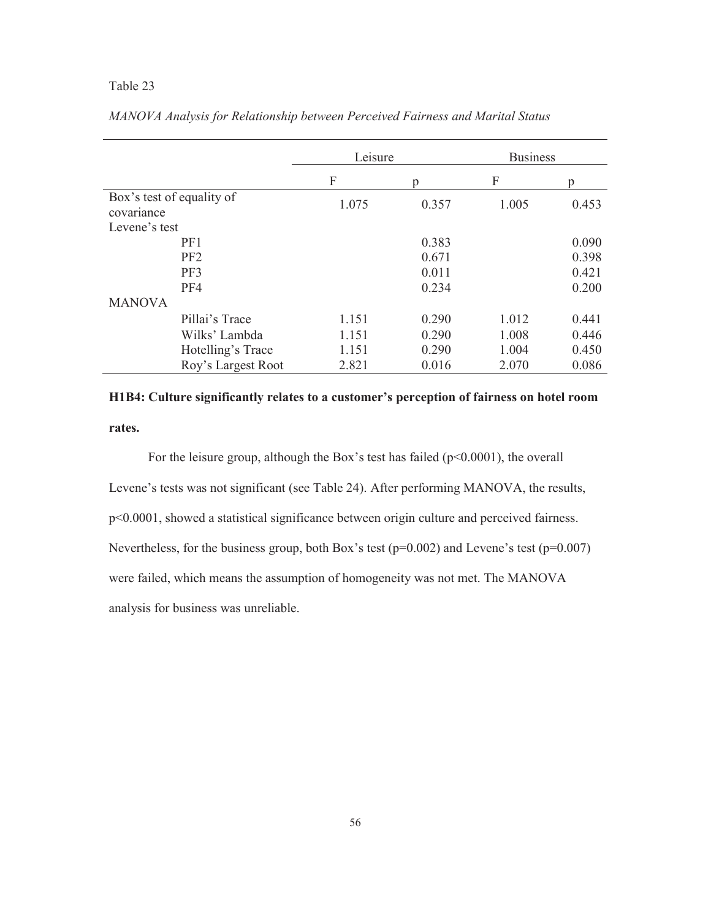|                                         |                    | Leisure |       | <b>Business</b> |       |
|-----------------------------------------|--------------------|---------|-------|-----------------|-------|
|                                         |                    | F       |       | F               | n     |
| Box's test of equality of<br>covariance |                    | 1.075   | 0.357 | 1.005           | 0.453 |
| Levene's test                           |                    |         |       |                 |       |
|                                         | PF1                |         | 0.383 |                 | 0.090 |
|                                         | PF <sub>2</sub>    |         | 0.671 |                 | 0.398 |
|                                         | PF3                |         | 0.011 |                 | 0.421 |
|                                         | PF4                |         | 0.234 |                 | 0.200 |
| <b>MANOVA</b>                           |                    |         |       |                 |       |
|                                         | Pillai's Trace     | 1.151   | 0.290 | 1.012           | 0.441 |
|                                         | Wilks' Lambda      | 1.151   | 0.290 | 1.008           | 0.446 |
|                                         | Hotelling's Trace  | 1.151   | 0.290 | 1.004           | 0.450 |
|                                         | Roy's Largest Root | 2.821   | 0.016 | 2.070           | 0.086 |

*MANOVA Analysis for Relationship between Perceived Fairness and Marital Status* 

# **H1B4: Culture significantly relates to a customer's perception of fairness on hotel room rates.**

For the leisure group, although the Box's test has failed (p<0.0001), the overall Levene's tests was not significant (see Table 24). After performing MANOVA, the results, p<0.0001, showed a statistical significance between origin culture and perceived fairness. Nevertheless, for the business group, both Box's test (p=0.002) and Levene's test (p=0.007) were failed, which means the assumption of homogeneity was not met. The MANOVA analysis for business was unreliable.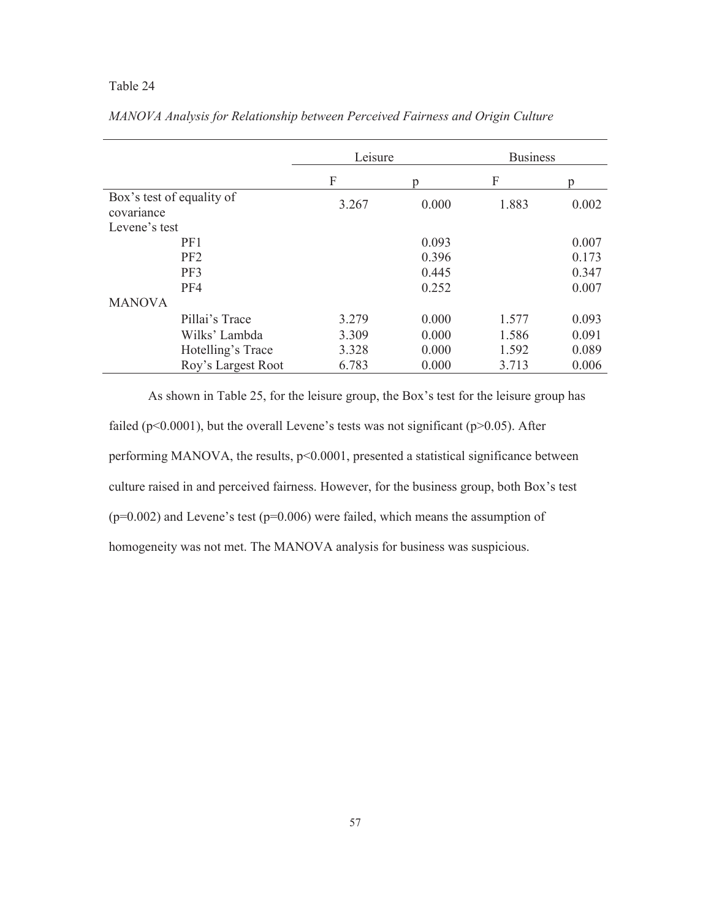|                                         |                    | Leisure |       | <b>Business</b> |       |
|-----------------------------------------|--------------------|---------|-------|-----------------|-------|
|                                         |                    | F       |       | F               | n     |
| Box's test of equality of<br>covariance |                    | 3.267   | 0.000 | 1.883           | 0.002 |
| Levene's test                           |                    |         |       |                 |       |
|                                         | PF1                |         | 0.093 |                 | 0.007 |
|                                         | PF <sub>2</sub>    |         | 0.396 |                 | 0.173 |
|                                         | PF3                |         | 0.445 |                 | 0.347 |
|                                         | PF4                |         | 0.252 |                 | 0.007 |
| <b>MANOVA</b>                           |                    |         |       |                 |       |
|                                         | Pillai's Trace     | 3.279   | 0.000 | 1.577           | 0.093 |
|                                         | Wilks' Lambda      | 3.309   | 0.000 | 1.586           | 0.091 |
|                                         | Hotelling's Trace  | 3.328   | 0.000 | 1.592           | 0.089 |
|                                         | Roy's Largest Root | 6.783   | 0.000 | 3.713           | 0.006 |

*MANOVA Analysis for Relationship between Perceived Fairness and Origin Culture* 

 As shown in Table 25, for the leisure group, the Box's test for the leisure group has failed ( $p<0.0001$ ), but the overall Levene's tests was not significant ( $p>0.05$ ). After performing MANOVA, the results, p<0.0001, presented a statistical significance between culture raised in and perceived fairness. However, for the business group, both Box's test  $(p=0.002)$  and Levene's test  $(p=0.006)$  were failed, which means the assumption of homogeneity was not met. The MANOVA analysis for business was suspicious.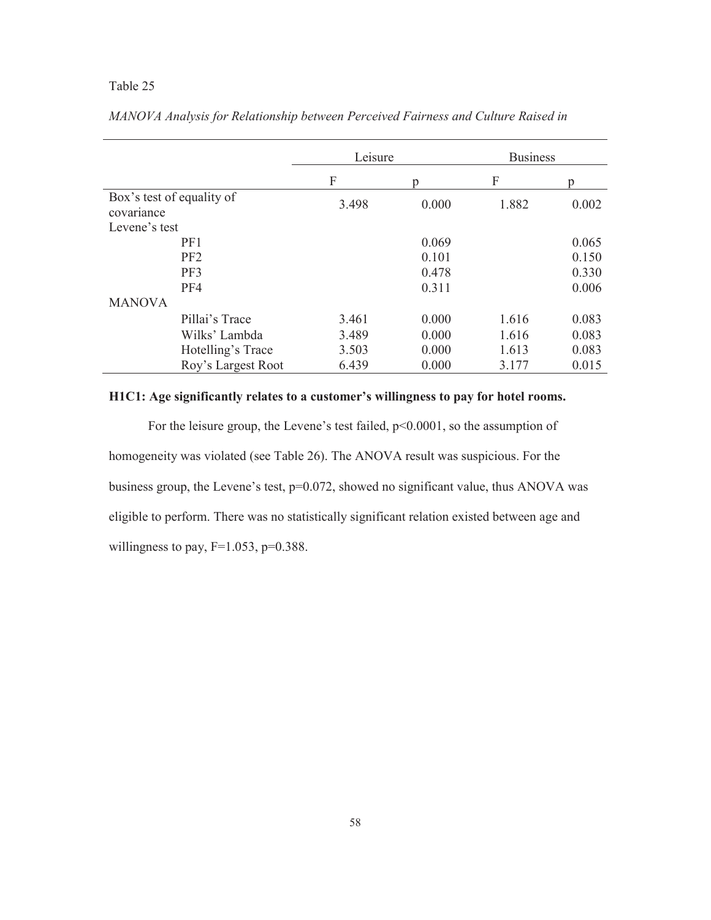|                                         |                    | Leisure |       | <b>Business</b> |       |
|-----------------------------------------|--------------------|---------|-------|-----------------|-------|
|                                         |                    | F       |       | F               | n     |
| Box's test of equality of<br>covariance |                    | 3.498   | 0.000 | 1.882           | 0.002 |
| Levene's test                           |                    |         |       |                 |       |
|                                         | PF1                |         | 0.069 |                 | 0.065 |
|                                         | PF <sub>2</sub>    |         | 0.101 |                 | 0.150 |
|                                         | PF3                |         | 0.478 |                 | 0.330 |
|                                         | PF4                |         | 0.311 |                 | 0.006 |
| <b>MANOVA</b>                           |                    |         |       |                 |       |
|                                         | Pillai's Trace     | 3.461   | 0.000 | 1.616           | 0.083 |
|                                         | Wilks' Lambda      | 3.489   | 0.000 | 1.616           | 0.083 |
|                                         | Hotelling's Trace  | 3.503   | 0.000 | 1.613           | 0.083 |
|                                         | Roy's Largest Root | 6.439   | 0.000 | 3.177           | 0.015 |

*MANOVA Analysis for Relationship between Perceived Fairness and Culture Raised in* 

# **H1C1: Age significantly relates to a customer's willingness to pay for hotel rooms.**

For the leisure group, the Levene's test failed, p<0.0001, so the assumption of homogeneity was violated (see Table 26). The ANOVA result was suspicious. For the business group, the Levene's test, p=0.072, showed no significant value, thus ANOVA was eligible to perform. There was no statistically significant relation existed between age and willingness to pay,  $F=1.053$ ,  $p=0.388$ .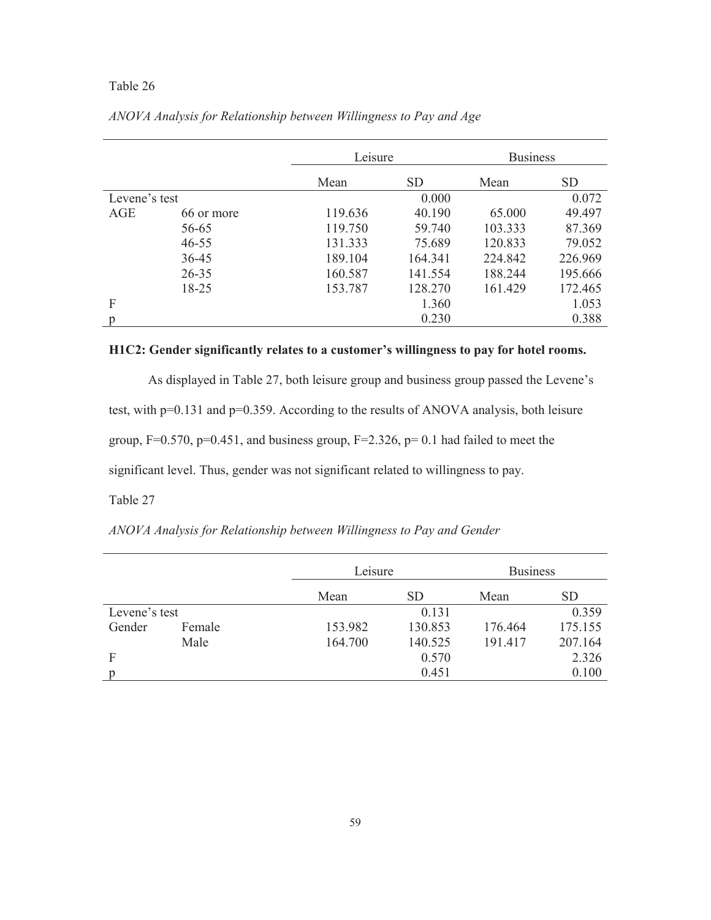|               |            | Leisure |           | <b>Business</b> |           |
|---------------|------------|---------|-----------|-----------------|-----------|
|               |            | Mean    | <b>SD</b> | Mean            | <b>SD</b> |
| Levene's test |            |         | 0.000     |                 | 0.072     |
| AGE           | 66 or more | 119.636 | 40.190    | 65.000          | 49.497    |
|               | 56-65      | 119.750 | 59.740    | 103.333         | 87.369    |
|               | $46 - 55$  | 131.333 | 75.689    | 120.833         | 79.052    |
|               | $36 - 45$  | 189.104 | 164.341   | 224.842         | 226.969   |
|               | $26 - 35$  | 160.587 | 141.554   | 188.244         | 195.666   |
|               | 18-25      | 153.787 | 128.270   | 161.429         | 172.465   |
| F             |            |         | 1.360     |                 | 1.053     |
| р             |            |         | 0.230     |                 | 0.388     |

*ANOVA Analysis for Relationship between Willingness to Pay and Age* 

# **H1C2: Gender significantly relates to a customer's willingness to pay for hotel rooms.**

As displayed in Table 27, both leisure group and business group passed the Levene's test, with p=0.131 and p=0.359. According to the results of ANOVA analysis, both leisure group,  $F=0.570$ ,  $p=0.451$ , and business group,  $F=2.326$ ,  $p=0.1$  had failed to meet the significant level. Thus, gender was not significant related to willingness to pay.

# Table 27

| ANOVA Analysis for Relationship between Willingness to Pay and Gender |  |
|-----------------------------------------------------------------------|--|
|                                                                       |  |

|               |        |         | Leisure   |         | <b>Business</b> |  |
|---------------|--------|---------|-----------|---------|-----------------|--|
|               |        | Mean    | <b>SD</b> | Mean    | <b>SD</b>       |  |
| Levene's test |        |         | 0.131     |         | 0.359           |  |
| Gender        | Female | 153.982 | 130.853   | 176.464 | 175.155         |  |
|               | Male   | 164.700 | 140.525   | 191.417 | 207.164         |  |
| F             |        |         | 0.570     |         | 2.326           |  |
|               |        |         | 0.451     |         | 0.100           |  |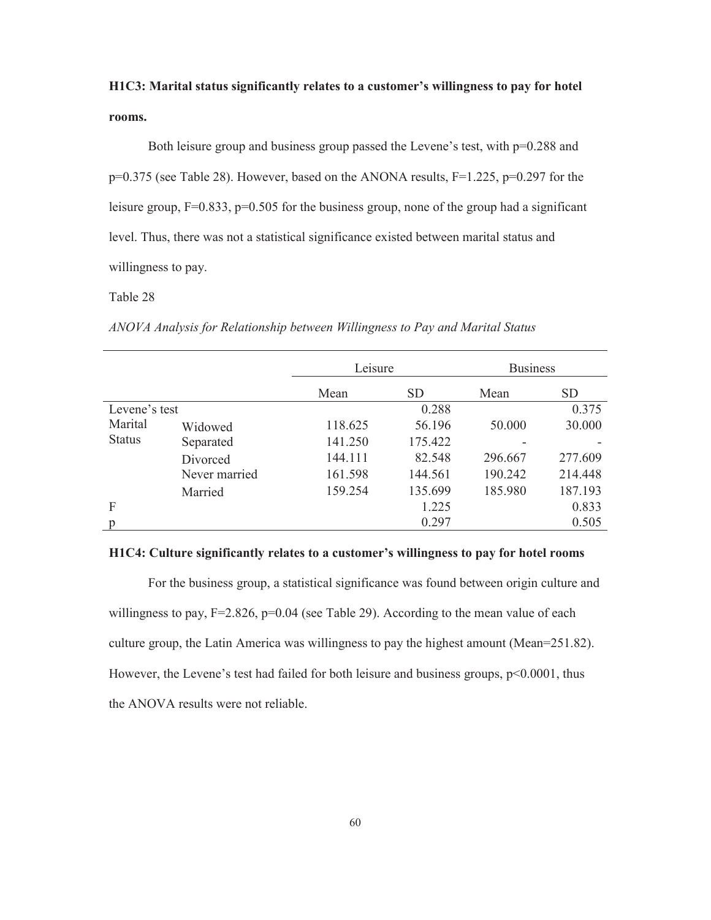# **H1C3: Marital status significantly relates to a customer's willingness to pay for hotel rooms.**

Both leisure group and business group passed the Levene's test, with  $p=0.288$  and  $p=0.375$  (see Table 28). However, based on the ANONA results,  $F=1.225$ ,  $p=0.297$  for the leisure group, F=0.833, p=0.505 for the business group, none of the group had a significant level. Thus, there was not a statistical significance existed between marital status and willingness to pay.

#### Table 28

*ANOVA Analysis for Relationship between Willingness to Pay and Marital Status* 

|               |               | Leisure |           | <b>Business</b> |         |
|---------------|---------------|---------|-----------|-----------------|---------|
|               |               | Mean    | <b>SD</b> | Mean            | SD.     |
| Levene's test |               |         | 0.288     |                 | 0.375   |
| Marital       | Widowed       | 118.625 | 56.196    | 50.000          | 30.000  |
| <b>Status</b> | Separated     | 141.250 | 175.422   |                 |         |
|               | Divorced      | 144.111 | 82.548    | 296.667         | 277.609 |
|               | Never married | 161.598 | 144.561   | 190.242         | 214.448 |
|               | Married       | 159.254 | 135.699   | 185.980         | 187.193 |
| F             |               |         | 1.225     |                 | 0.833   |
| р             |               |         | 0.297     |                 | 0.505   |

#### **H1C4: Culture significantly relates to a customer's willingness to pay for hotel rooms**

For the business group, a statistical significance was found between origin culture and willingness to pay, F=2.826, p=0.04 (see Table 29). According to the mean value of each culture group, the Latin America was willingness to pay the highest amount (Mean=251.82). However, the Levene's test had failed for both leisure and business groups,  $p<0.0001$ , thus the ANOVA results were not reliable.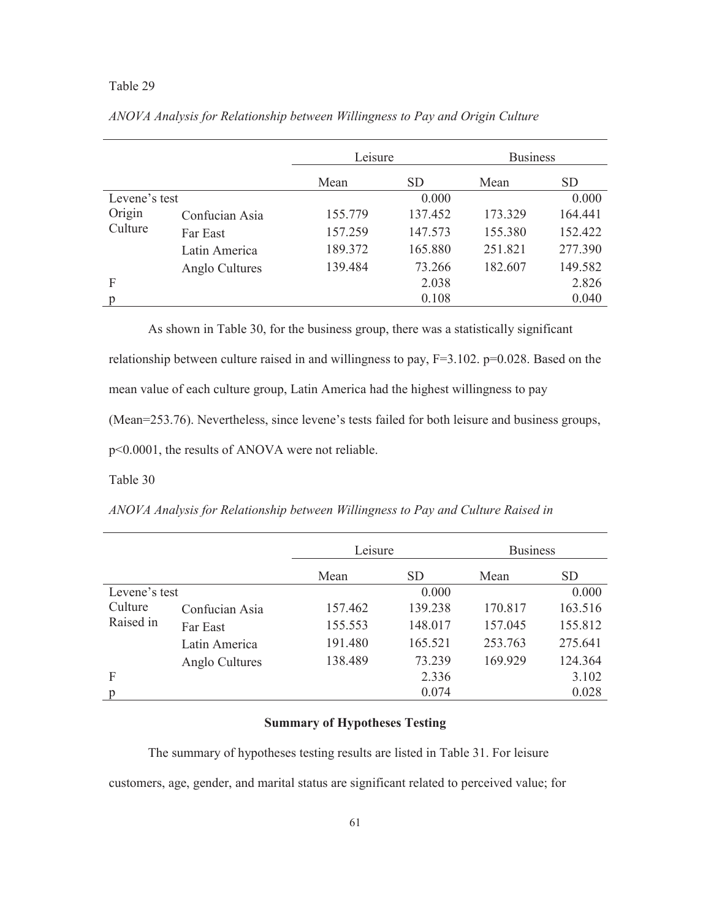#### Table 29

|                   |                | Leisure |           | <b>Business</b> |                 |
|-------------------|----------------|---------|-----------|-----------------|-----------------|
|                   |                | Mean    | <b>SD</b> | Mean            | SD <sub>1</sub> |
| Levene's test     |                |         | 0.000     |                 | 0.000           |
| Origin<br>Culture | Confucian Asia | 155.779 | 137.452   | 173.329         | 164.441         |
|                   | Far East       | 157.259 | 147.573   | 155.380         | 152.422         |
|                   | Latin America  | 189.372 | 165.880   | 251.821         | 277.390         |
|                   | Anglo Cultures | 139.484 | 73.266    | 182.607         | 149.582         |
| F                 |                |         | 2.038     |                 | 2.826           |
|                   |                |         | 0.108     |                 | 0.040           |

*ANOVA Analysis for Relationship between Willingness to Pay and Origin Culture* 

As shown in Table 30, for the business group, there was a statistically significant relationship between culture raised in and willingness to pay, F=3.102. p=0.028. Based on the mean value of each culture group, Latin America had the highest willingness to pay (Mean=253.76). Nevertheless, since levene's tests failed for both leisure and business groups, p<0.0001, the results of ANOVA were not reliable.

Table 30

*ANOVA Analysis for Relationship between Willingness to Pay and Culture Raised in* 

|                      |                | Leisure |           | <b>Business</b> |           |
|----------------------|----------------|---------|-----------|-----------------|-----------|
|                      |                | Mean    | <b>SD</b> | Mean            | <b>SD</b> |
| Levene's test        |                |         | 0.000     |                 | 0.000     |
| Culture<br>Raised in | Confucian Asia | 157.462 | 139.238   | 170.817         | 163.516   |
|                      | Far East       | 155.553 | 148.017   | 157.045         | 155.812   |
|                      | Latin America  | 191.480 | 165.521   | 253.763         | 275.641   |
|                      | Anglo Cultures | 138.489 | 73.239    | 169.929         | 124.364   |
| F                    |                |         | 2.336     |                 | 3.102     |
| p                    |                |         | 0.074     |                 | 0.028     |

## **Summary of Hypotheses Testing**

The summary of hypotheses testing results are listed in Table 31. For leisure

customers, age, gender, and marital status are significant related to perceived value; for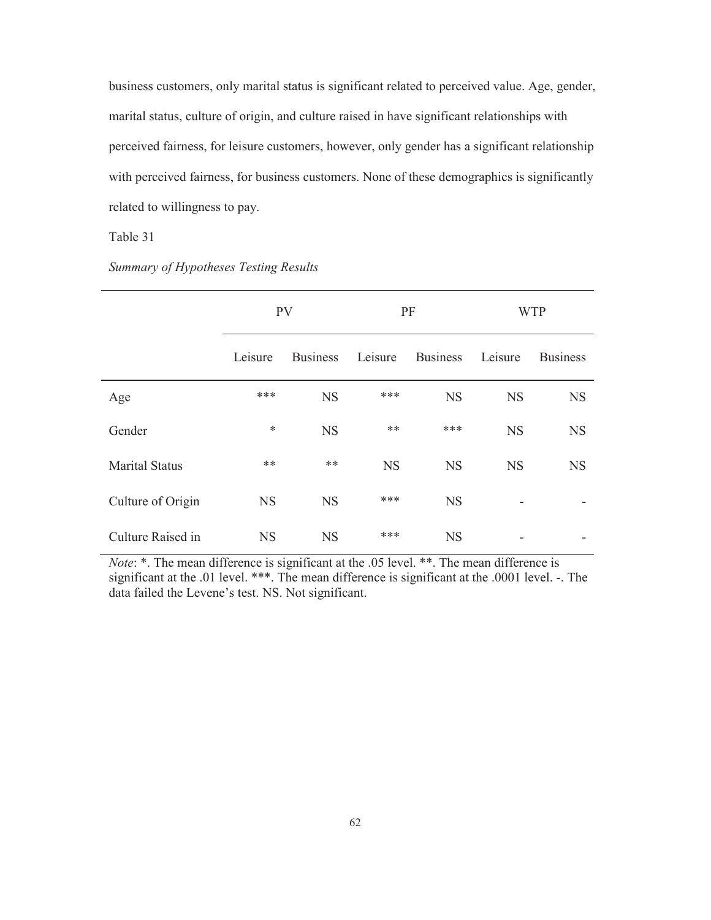business customers, only marital status is significant related to perceived value. Age, gender, marital status, culture of origin, and culture raised in have significant relationships with perceived fairness, for leisure customers, however, only gender has a significant relationship with perceived fairness, for business customers. None of these demographics is significantly related to willingness to pay.

## Table 31

|                       | <b>PV</b> |                 | PF        |                 | <b>WTP</b> |                 |
|-----------------------|-----------|-----------------|-----------|-----------------|------------|-----------------|
|                       | Leisure   | <b>Business</b> | Leisure   | <b>Business</b> | Leisure    | <b>Business</b> |
| Age                   | ***       | <b>NS</b>       | ***       | <b>NS</b>       | <b>NS</b>  | <b>NS</b>       |
| Gender                | $\ast$    | <b>NS</b>       | **        | ***             | <b>NS</b>  | <b>NS</b>       |
| <b>Marital Status</b> | $***$     | $***$           | <b>NS</b> | <b>NS</b>       | <b>NS</b>  | <b>NS</b>       |
| Culture of Origin     | <b>NS</b> | <b>NS</b>       | ***       | <b>NS</b>       |            |                 |
| Culture Raised in     | <b>NS</b> | <b>NS</b>       | ***       | <b>NS</b>       |            |                 |

*Summary of Hypotheses Testing Results* 

*Note*: \*. The mean difference is significant at the .05 level. \*\*. The mean difference is significant at the .01 level. \*\*\*. The mean difference is significant at the .0001 level. -. The data failed the Levene's test. NS. Not significant.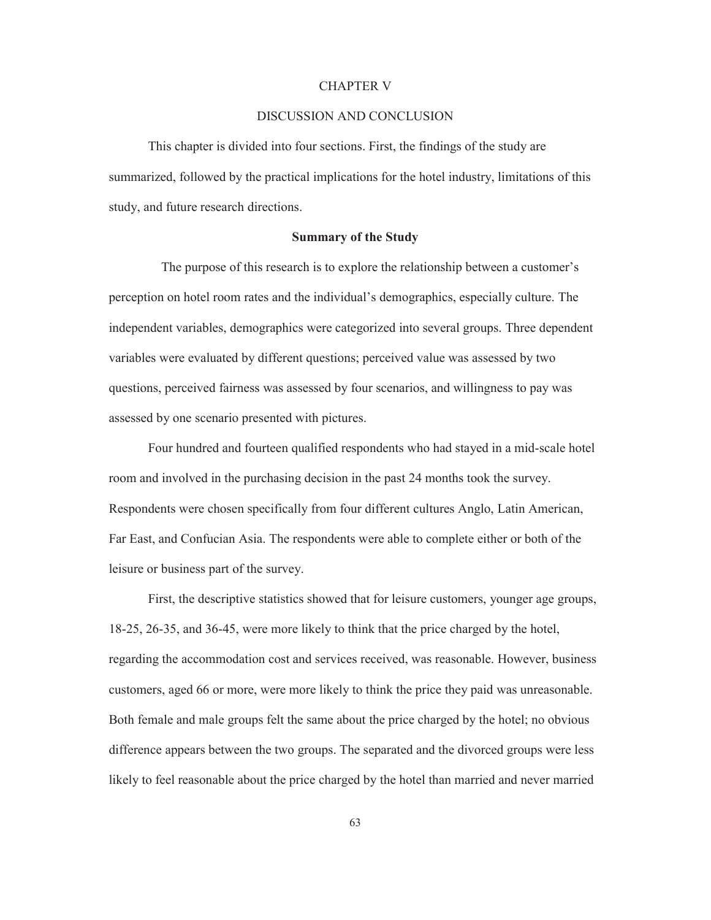#### CHAPTER V

#### DISCUSSION AND CONCLUSION

This chapter is divided into four sections. First, the findings of the study are summarized, followed by the practical implications for the hotel industry, limitations of this study, and future research directions.

#### **Summary of the Study**

The purpose of this research is to explore the relationship between a customer's perception on hotel room rates and the individual's demographics, especially culture. The independent variables, demographics were categorized into several groups. Three dependent variables were evaluated by different questions; perceived value was assessed by two questions, perceived fairness was assessed by four scenarios, and willingness to pay was assessed by one scenario presented with pictures.

Four hundred and fourteen qualified respondents who had stayed in a mid-scale hotel room and involved in the purchasing decision in the past 24 months took the survey. Respondents were chosen specifically from four different cultures Anglo, Latin American, Far East, and Confucian Asia. The respondents were able to complete either or both of the leisure or business part of the survey.

First, the descriptive statistics showed that for leisure customers, younger age groups, 18-25, 26-35, and 36-45, were more likely to think that the price charged by the hotel, regarding the accommodation cost and services received, was reasonable. However, business customers, aged 66 or more, were more likely to think the price they paid was unreasonable. Both female and male groups felt the same about the price charged by the hotel; no obvious difference appears between the two groups. The separated and the divorced groups were less likely to feel reasonable about the price charged by the hotel than married and never married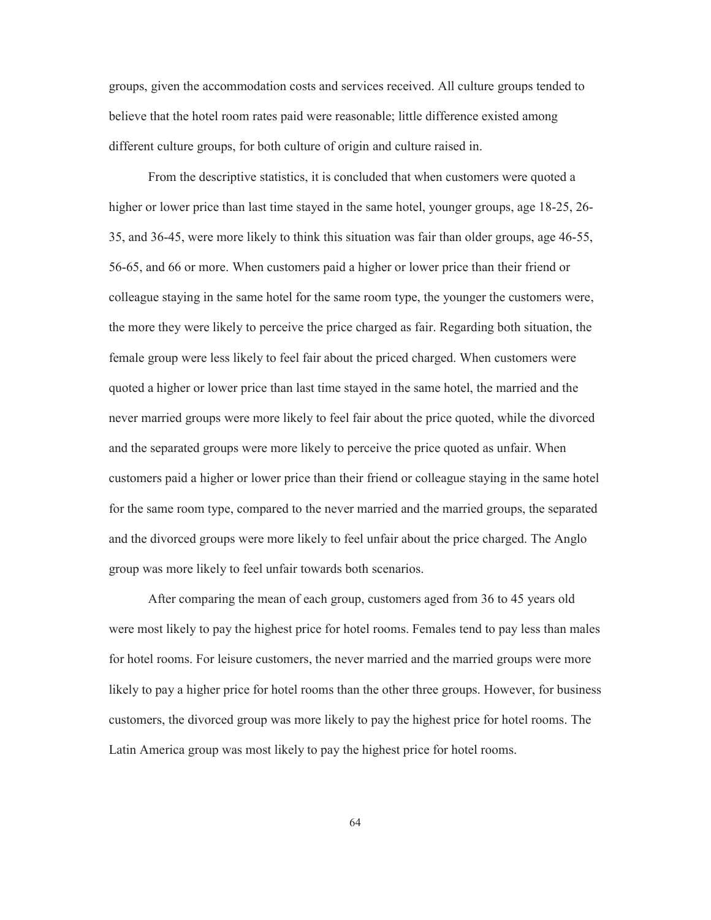groups, given the accommodation costs and services received. All culture groups tended to believe that the hotel room rates paid were reasonable; little difference existed among different culture groups, for both culture of origin and culture raised in.

From the descriptive statistics, it is concluded that when customers were quoted a higher or lower price than last time stayed in the same hotel, younger groups, age 18-25, 26-35, and 36-45, were more likely to think this situation was fair than older groups, age 46-55, 56-65, and 66 or more. When customers paid a higher or lower price than their friend or colleague staying in the same hotel for the same room type, the younger the customers were, the more they were likely to perceive the price charged as fair. Regarding both situation, the female group were less likely to feel fair about the priced charged. When customers were quoted a higher or lower price than last time stayed in the same hotel, the married and the never married groups were more likely to feel fair about the price quoted, while the divorced and the separated groups were more likely to perceive the price quoted as unfair. When customers paid a higher or lower price than their friend or colleague staying in the same hotel for the same room type, compared to the never married and the married groups, the separated and the divorced groups were more likely to feel unfair about the price charged. The Anglo group was more likely to feel unfair towards both scenarios.

After comparing the mean of each group, customers aged from 36 to 45 years old were most likely to pay the highest price for hotel rooms. Females tend to pay less than males for hotel rooms. For leisure customers, the never married and the married groups were more likely to pay a higher price for hotel rooms than the other three groups. However, for business customers, the divorced group was more likely to pay the highest price for hotel rooms. The Latin America group was most likely to pay the highest price for hotel rooms.

64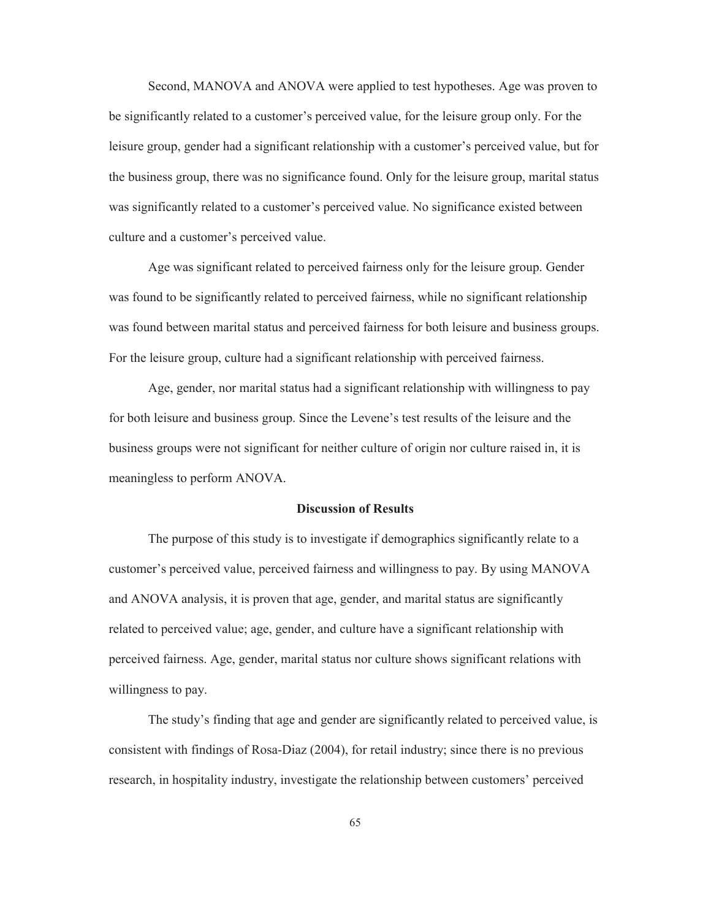Second, MANOVA and ANOVA were applied to test hypotheses. Age was proven to be significantly related to a customer's perceived value, for the leisure group only. For the leisure group, gender had a significant relationship with a customer's perceived value, but for the business group, there was no significance found. Only for the leisure group, marital status was significantly related to a customer's perceived value. No significance existed between culture and a customer's perceived value.

Age was significant related to perceived fairness only for the leisure group. Gender was found to be significantly related to perceived fairness, while no significant relationship was found between marital status and perceived fairness for both leisure and business groups. For the leisure group, culture had a significant relationship with perceived fairness.

Age, gender, nor marital status had a significant relationship with willingness to pay for both leisure and business group. Since the Levene's test results of the leisure and the business groups were not significant for neither culture of origin nor culture raised in, it is meaningless to perform ANOVA.

#### **Discussion of Results**

The purpose of this study is to investigate if demographics significantly relate to a customer's perceived value, perceived fairness and willingness to pay. By using MANOVA and ANOVA analysis, it is proven that age, gender, and marital status are significantly related to perceived value; age, gender, and culture have a significant relationship with perceived fairness. Age, gender, marital status nor culture shows significant relations with willingness to pay.

The study's finding that age and gender are significantly related to perceived value, is consistent with findings of Rosa-Diaz (2004), for retail industry; since there is no previous research, in hospitality industry, investigate the relationship between customers' perceived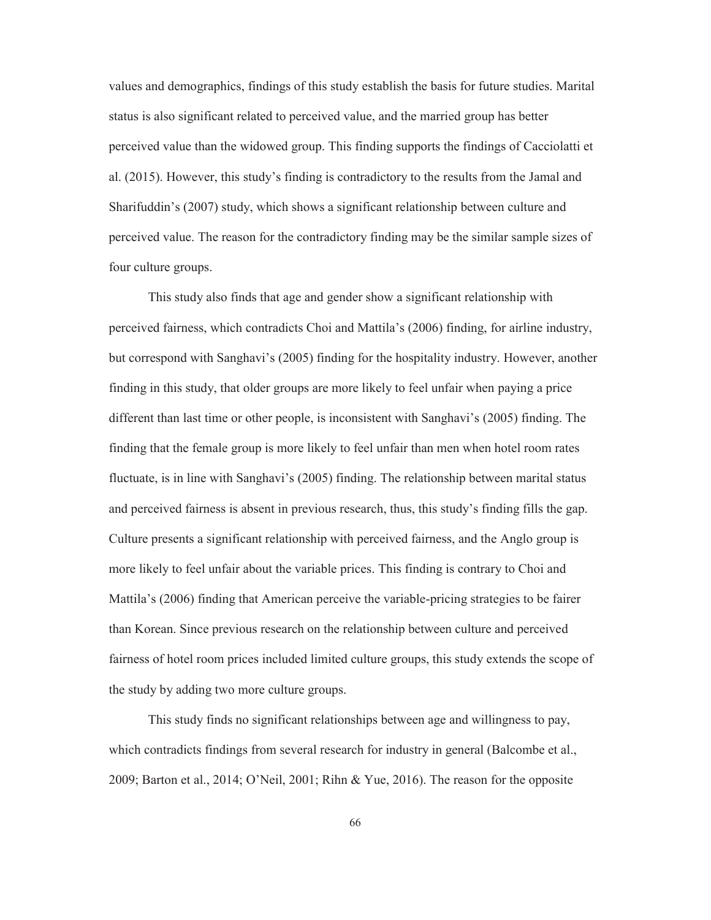values and demographics, findings of this study establish the basis for future studies. Marital status is also significant related to perceived value, and the married group has better perceived value than the widowed group. This finding supports the findings of Cacciolatti et al. (2015). However, this study's finding is contradictory to the results from the Jamal and Sharifuddin's (2007) study, which shows a significant relationship between culture and perceived value. The reason for the contradictory finding may be the similar sample sizes of four culture groups.

This study also finds that age and gender show a significant relationship with perceived fairness, which contradicts Choi and Mattila's (2006) finding, for airline industry, but correspond with Sanghavi's (2005) finding for the hospitality industry. However, another finding in this study, that older groups are more likely to feel unfair when paying a price different than last time or other people, is inconsistent with Sanghavi's (2005) finding. The finding that the female group is more likely to feel unfair than men when hotel room rates fluctuate, is in line with Sanghavi's (2005) finding. The relationship between marital status and perceived fairness is absent in previous research, thus, this study's finding fills the gap. Culture presents a significant relationship with perceived fairness, and the Anglo group is more likely to feel unfair about the variable prices. This finding is contrary to Choi and Mattila's (2006) finding that American perceive the variable-pricing strategies to be fairer than Korean. Since previous research on the relationship between culture and perceived fairness of hotel room prices included limited culture groups, this study extends the scope of the study by adding two more culture groups.

This study finds no significant relationships between age and willingness to pay, which contradicts findings from several research for industry in general (Balcombe et al., 2009; Barton et al., 2014; O'Neil, 2001; Rihn & Yue, 2016). The reason for the opposite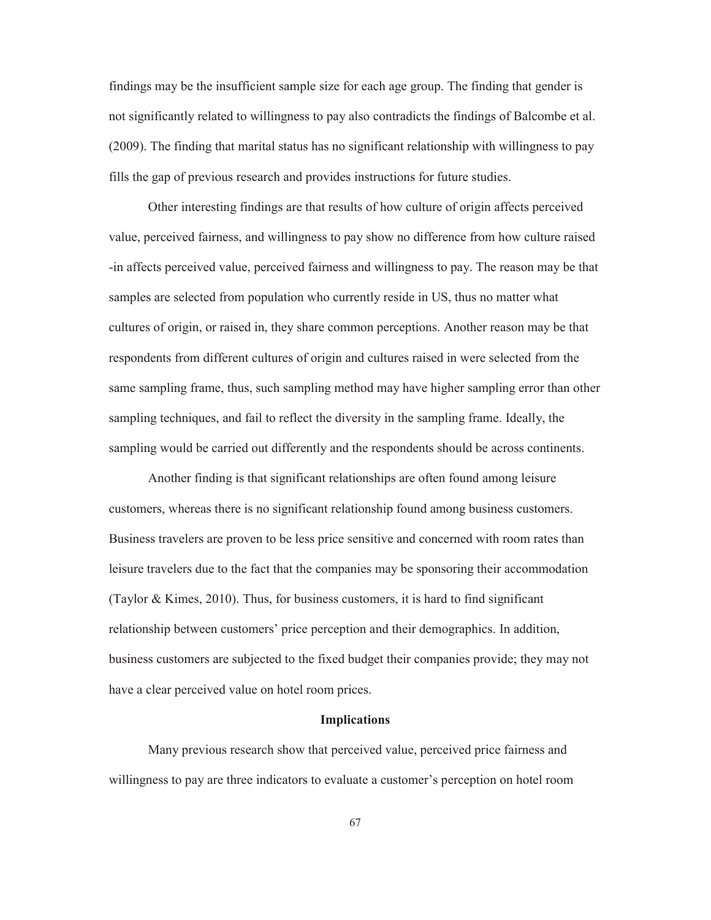findings may be the insufficient sample size for each age group. The finding that gender is not significantly related to willingness to pay also contradicts the findings of Balcombe et al. (2009). The finding that marital status has no significant relationship with willingness to pay fills the gap of previous research and provides instructions for future studies.

Other interesting findings are that results of how culture of origin affects perceived value, perceived fairness, and willingness to pay show no difference from how culture raised -in affects perceived value, perceived fairness and willingness to pay. The reason may be that samples are selected from population who currently reside in US, thus no matter what cultures of origin, or raised in, they share common perceptions. Another reason may be that respondents from different cultures of origin and cultures raised in were selected from the same sampling frame, thus, such sampling method may have higher sampling error than other sampling techniques, and fail to reflect the diversity in the sampling frame. Ideally, the sampling would be carried out differently and the respondents should be across continents.

Another finding is that significant relationships are often found among leisure customers, whereas there is no significant relationship found among business customers. Business travelers are proven to be less price sensitive and concerned with room rates than leisure travelers due to the fact that the companies may be sponsoring their accommodation (Taylor & Kimes, 2010). Thus, for business customers, it is hard to find significant relationship between customers' price perception and their demographics. In addition, business customers are subjected to the fixed budget their companies provide; they may not have a clear perceived value on hotel room prices.

#### **Implications**

Many previous research show that perceived value, perceived price fairness and willingness to pay are three indicators to evaluate a customer's perception on hotel room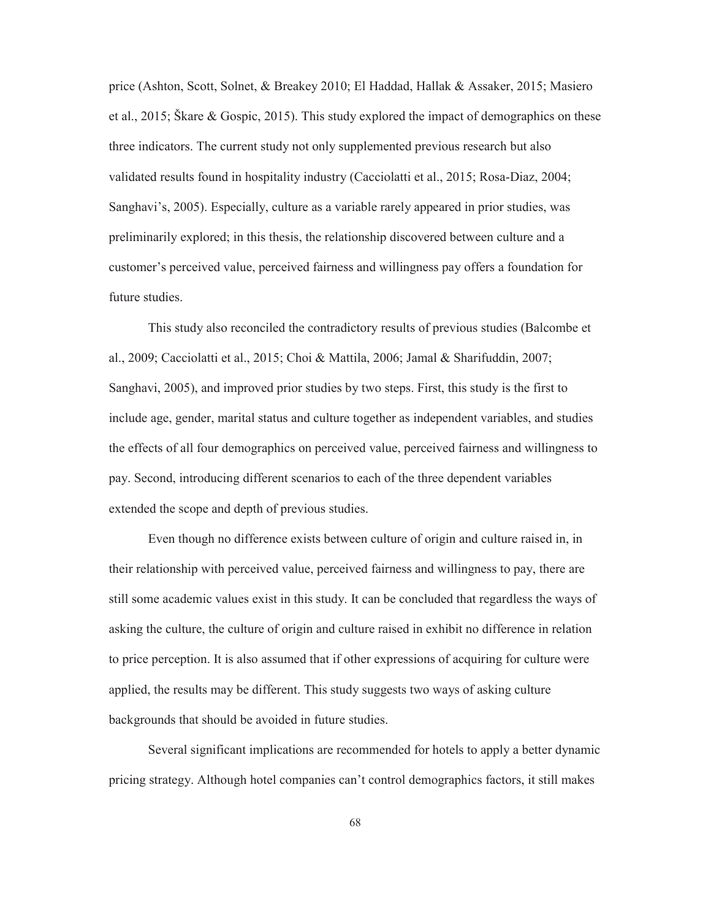price (Ashton, Scott, Solnet, & Breakey 2010; El Haddad, Hallak & Assaker, 2015; Masiero et al., 2015; Škare & Gospic, 2015). This study explored the impact of demographics on these three indicators. The current study not only supplemented previous research but also validated results found in hospitality industry (Cacciolatti et al., 2015; Rosa-Diaz, 2004; Sanghavi's, 2005). Especially, culture as a variable rarely appeared in prior studies, was preliminarily explored; in this thesis, the relationship discovered between culture and a customer's perceived value, perceived fairness and willingness pay offers a foundation for future studies.

This study also reconciled the contradictory results of previous studies (Balcombe et al., 2009; Cacciolatti et al., 2015; Choi & Mattila, 2006; Jamal & Sharifuddin, 2007; Sanghavi, 2005), and improved prior studies by two steps. First, this study is the first to include age, gender, marital status and culture together as independent variables, and studies the effects of all four demographics on perceived value, perceived fairness and willingness to pay. Second, introducing different scenarios to each of the three dependent variables extended the scope and depth of previous studies.

Even though no difference exists between culture of origin and culture raised in, in their relationship with perceived value, perceived fairness and willingness to pay, there are still some academic values exist in this study. It can be concluded that regardless the ways of asking the culture, the culture of origin and culture raised in exhibit no difference in relation to price perception. It is also assumed that if other expressions of acquiring for culture were applied, the results may be different. This study suggests two ways of asking culture backgrounds that should be avoided in future studies.

Several significant implications are recommended for hotels to apply a better dynamic pricing strategy. Although hotel companies can't control demographics factors, it still makes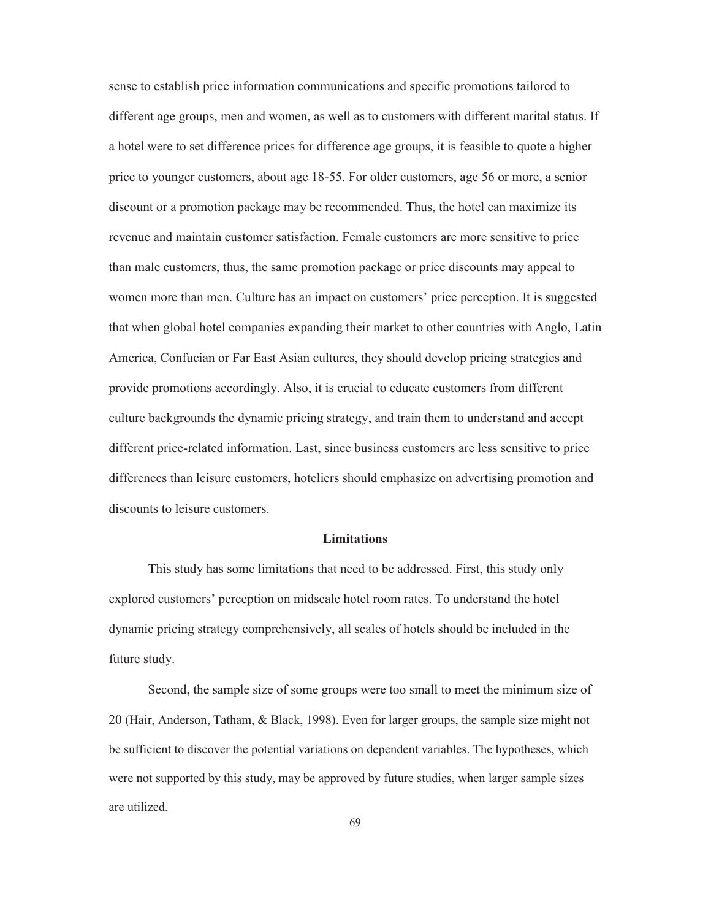sense to establish price information communications and specific promotions tailored to different age groups, men and women, as well as to customers with different marital status. If a hotel were to set difference prices for difference age groups, it is feasible to quote a higher price to younger customers, about age 18-55. For older customers, age 56 or more, a senior discount or a promotion package may be recommended. Thus, the hotel can maximize its revenue and maintain customer satisfaction. Female customers are more sensitive to price than male customers, thus, the same promotion package or price discounts may appeal to women more than men. Culture has an impact on customers' price perception. It is suggested that when global hotel companies expanding their market to other countries with Anglo, Latin America, Confucian or Far East Asian cultures, they should develop pricing strategies and provide promotions accordingly. Also, it is crucial to educate customers from different culture backgrounds the dynamic pricing strategy, and train them to understand and accept different price-related information. Last, since business customers are less sensitive to price differences than leisure customers, hoteliers should emphasize on advertising promotion and discounts to leisure customers.

#### **Limitations**

 This study has some limitations that need to be addressed. First, this study only explored customers' perception on midscale hotel room rates. To understand the hotel dynamic pricing strategy comprehensively, all scales of hotels should be included in the future study.

 Second, the sample size of some groups were too small to meet the minimum size of 20 (Hair, Anderson, Tatham, & Black, 1998). Even for larger groups, the sample size might not be sufficient to discover the potential variations on dependent variables. The hypotheses, which were not supported by this study, may be approved by future studies, when larger sample sizes are utilized.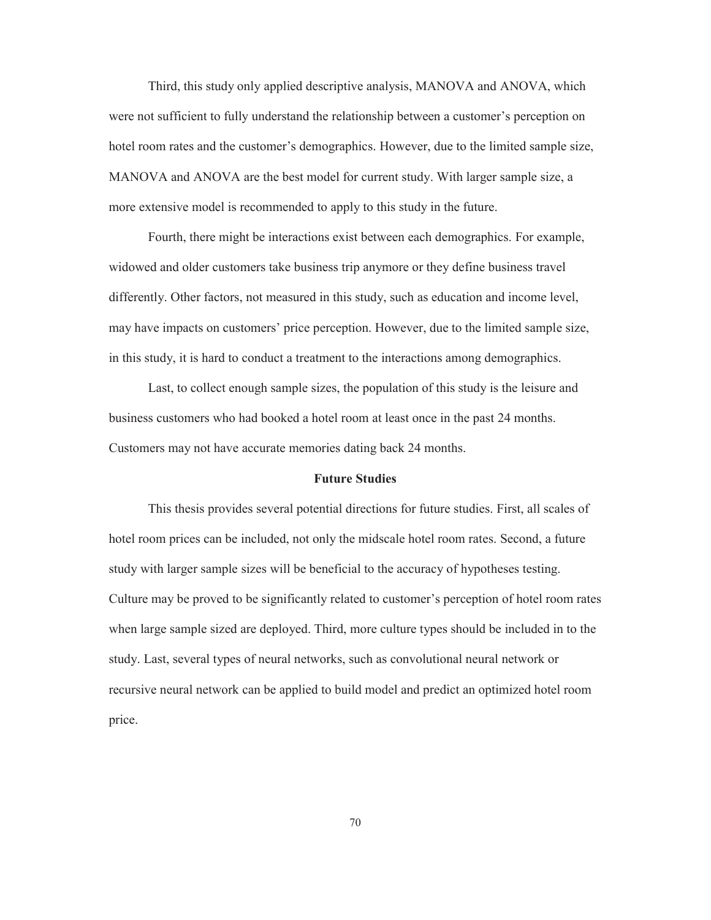Third, this study only applied descriptive analysis, MANOVA and ANOVA, which were not sufficient to fully understand the relationship between a customer's perception on hotel room rates and the customer's demographics. However, due to the limited sample size, MANOVA and ANOVA are the best model for current study. With larger sample size, a more extensive model is recommended to apply to this study in the future.

Fourth, there might be interactions exist between each demographics. For example, widowed and older customers take business trip anymore or they define business travel differently. Other factors, not measured in this study, such as education and income level, may have impacts on customers' price perception. However, due to the limited sample size, in this study, it is hard to conduct a treatment to the interactions among demographics.

Last, to collect enough sample sizes, the population of this study is the leisure and business customers who had booked a hotel room at least once in the past 24 months. Customers may not have accurate memories dating back 24 months.

#### **Future Studies**

This thesis provides several potential directions for future studies. First, all scales of hotel room prices can be included, not only the midscale hotel room rates. Second, a future study with larger sample sizes will be beneficial to the accuracy of hypotheses testing. Culture may be proved to be significantly related to customer's perception of hotel room rates when large sample sized are deployed. Third, more culture types should be included in to the study. Last, several types of neural networks, such as convolutional neural network or recursive neural network can be applied to build model and predict an optimized hotel room price.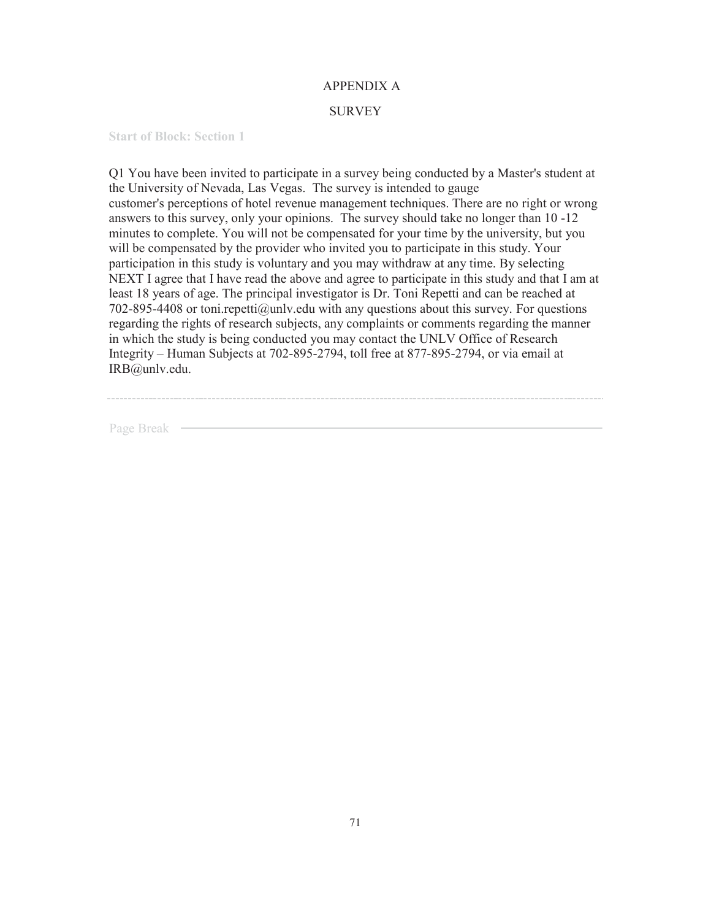#### APPENDIX A

#### SURVEY

**Start of Block: Section 1**

Q1 You have been invited to participate in a survey being conducted by a Master's student at the University of Nevada, Las Vegas. The survey is intended to gauge customer's perceptions of hotel revenue management techniques. There are no right or wrong answers to this survey, only your opinions. The survey should take no longer than 10 -12 minutes to complete. You will not be compensated for your time by the university, but you will be compensated by the provider who invited you to participate in this study. Your participation in this study is voluntary and you may withdraw at any time. By selecting NEXT I agree that I have read the above and agree to participate in this study and that I am at least 18 years of age. The principal investigator is Dr. Toni Repetti and can be reached at 702-895-4408 or toni.repetti@unlv.edu with any questions about this survey. For questions regarding the rights of research subjects, any complaints or comments regarding the manner in which the study is being conducted you may contact the UNLV Office of Research Integrity – Human Subjects at 702-895-2794, toll free at 877-895-2794, or via email at IRB@unlv.edu.

Page Break —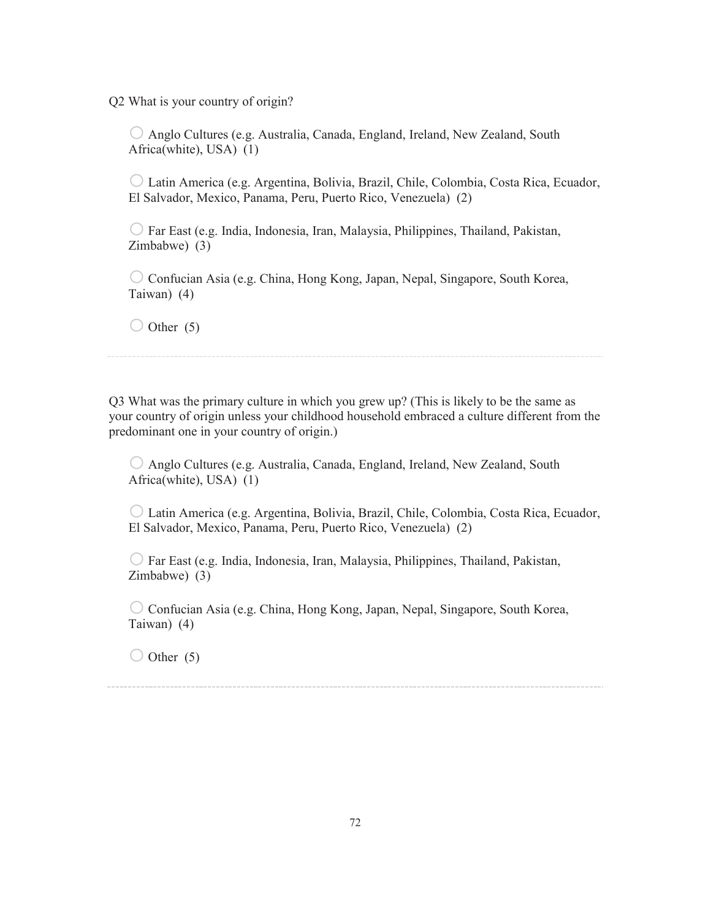Q2 What is your country of origin?

o Anglo Cultures (e.g. Australia, Canada, England, Ireland, New Zealand, South Africa(white), USA) (1)

o Latin America (e.g. Argentina, Bolivia, Brazil, Chile, Colombia, Costa Rica, Ecuador, El Salvador, Mexico, Panama, Peru, Puerto Rico, Venezuela) (2)

 $\bigcirc$  Far East (e.g. India, Indonesia, Iran, Malaysia, Philippines, Thailand, Pakistan, Zimbabwe) (3)

 $\circ$  Confucian Asia (e.g. China, Hong Kong, Japan, Nepal, Singapore, South Korea, Taiwan) (4)

 $\bigcirc$  Other (5)

Q3 What was the primary culture in which you grew up? (This is likely to be the same as your country of origin unless your childhood household embraced a culture different from the predominant one in your country of origin.)

o Anglo Cultures (e.g. Australia, Canada, England, Ireland, New Zealand, South Africa(white), USA) (1)

o Latin America (e.g. Argentina, Bolivia, Brazil, Chile, Colombia, Costa Rica, Ecuador, El Salvador, Mexico, Panama, Peru, Puerto Rico, Venezuela) (2)

 $\bigcirc$  Far East (e.g. India, Indonesia, Iran, Malaysia, Philippines, Thailand, Pakistan, Zimbabwe) (3)

 $\circ$  Confucian Asia (e.g. China, Hong Kong, Japan, Nepal, Singapore, South Korea, Taiwan) (4)

 $\bigcirc$  Other (5)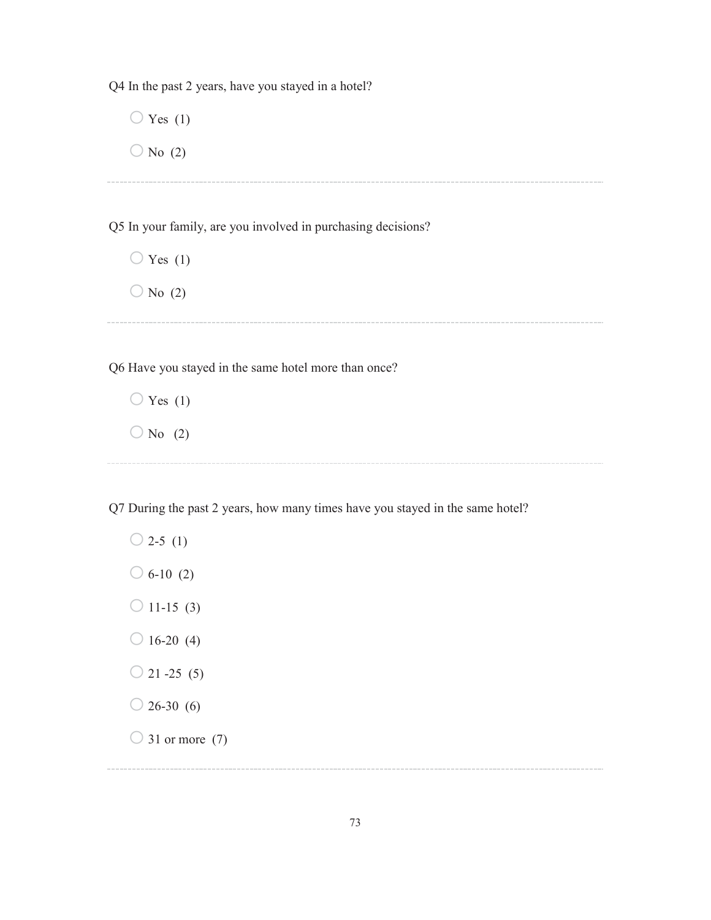Q4 In the past 2 years, have you stayed in a hotel?

 $\bigcirc$  Yes (1)  $\bigcirc$  No (2)

Q5 In your family, are you involved in purchasing decisions?

 $\bigcirc$  Yes (1)  $\bigcirc$  No (2)

Q6 Have you stayed in the same hotel more than once?

 $\bigcirc$  Yes (1)  $\bigcirc$  No (2)

Q7 During the past 2 years, how many times have you stayed in the same hotel?

 $\bigcirc$  2-5 (1)  $\bigcirc$  6-10 (2)  $\bigcirc$  11-15 (3)  $\bigcirc$  16-20 (4)  $\bigcirc$  21 -25 (5)  $\bigcirc$  26-30 (6)  $\bigcirc$  31 or more (7)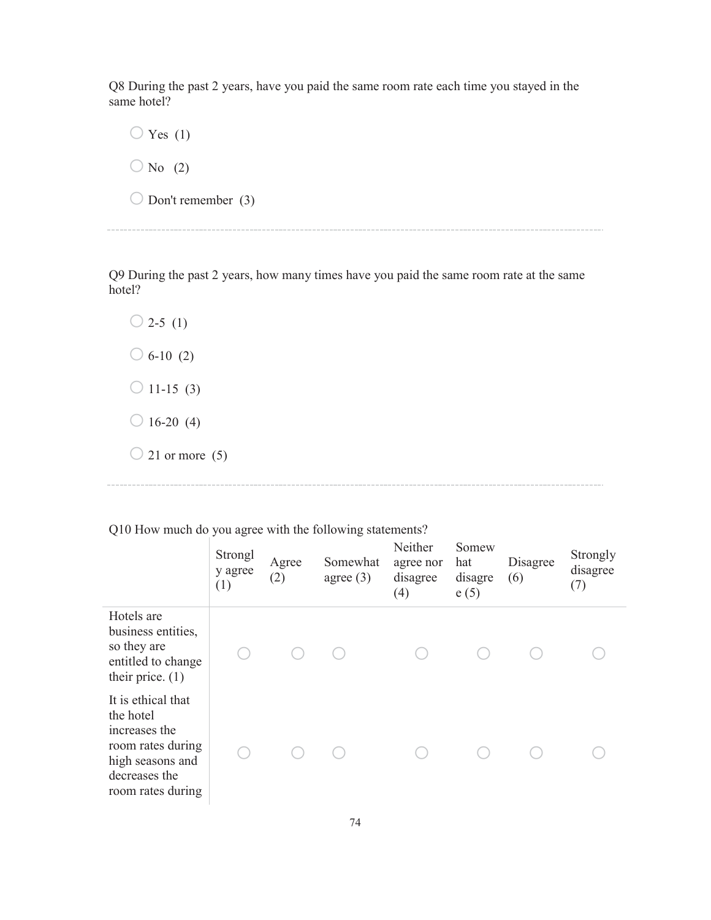Q8 During the past 2 years, have you paid the same room rate each time you stayed in the same hotel?

 $\bigcirc$  Yes (1)  $\bigcirc$  No (2)  $\bigcirc$  Don't remember (3)

Q9 During the past 2 years, how many times have you paid the same room rate at the same hotel?

 $\bigcirc$  2-5 (1)  $\bigcirc$  6-10 (2)  $\bigcirc$  11-15 (3)  $\bigcirc$  16-20 (4)  $\bigcirc$  21 or more (5)

Strongl y agree (1) Agree (2) Somewhat agree (3) Neither agree nor disagree (4) Somew hat disagre e (5) Disagree (6) Strongly disagree (7) Hotels are business entities, so they are entitled to change their price. (1) o o o o o o o It is ethical that the hotel increases the room rates during high seasons and decreases the room rates during o o o o o o o

Q10 How much do you agree with the following statements?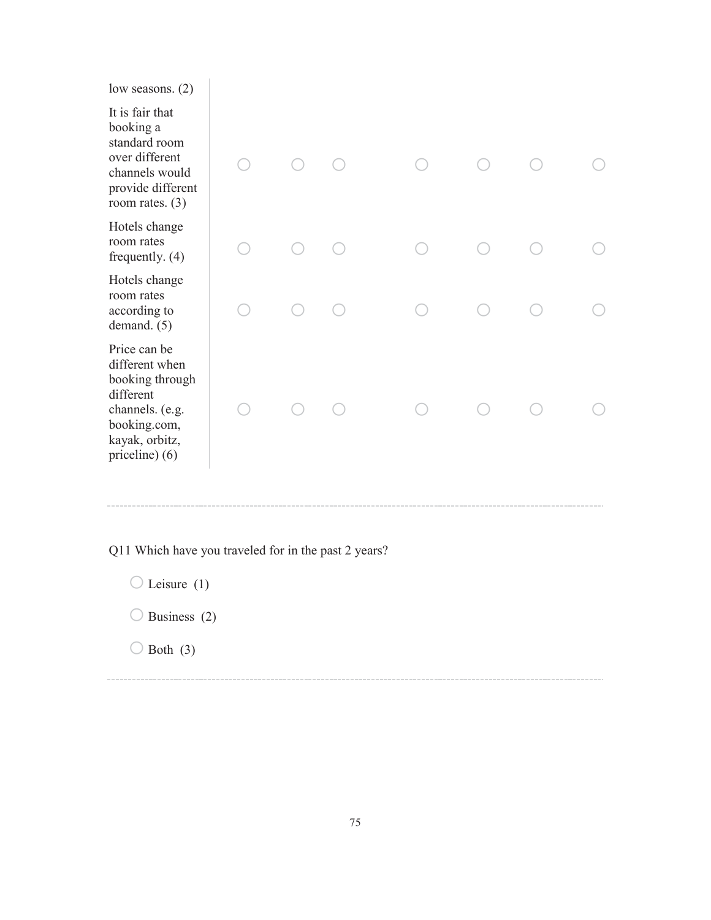low seasons. (2)

It is fair that booking a standard room over different channels wou provide differ room rates. (3)

| It is fair that<br>booking a<br>standard room<br>over different<br>channels would<br>provide different<br>room rates. $(3)$           |  |  |  |  |
|---------------------------------------------------------------------------------------------------------------------------------------|--|--|--|--|
| Hotels change<br>room rates<br>frequently. $(4)$                                                                                      |  |  |  |  |
| Hotels change<br>room rates<br>according to<br>demand. (5)                                                                            |  |  |  |  |
| Price can be<br>different when<br>booking through<br>different<br>channels. (e.g.<br>booking.com,<br>kayak, orbitz,<br>priceline) (6) |  |  |  |  |

Q11 Which have you traveled for in the past 2 years?

 $\bigcirc$  Leisure (1)

 $\bigcirc$  Business (2)

 $\bigcirc$  Both (3)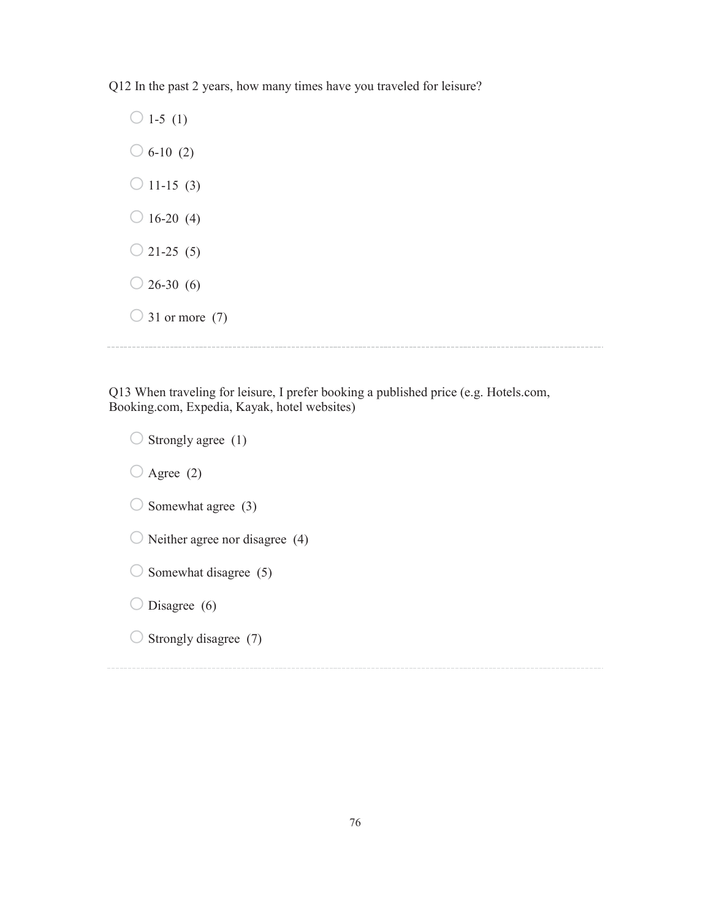Q12 In the past 2 years, how many times have you traveled for leisure?

 $\bigcirc$  1-5 (1)  $\bigcirc$  6-10 (2)  $\bigcirc$  11-15 (3)  $\bigcirc$  16-20 (4)  $\bigcirc$  21-25 (5)  $\bigcirc$  26-30 (6)  $\bigcirc$  31 or more (7)

Q13 When traveling for leisure, I prefer booking a published price (e.g. Hotels.com, Booking.com, Expedia, Kayak, hotel websites)

 $\bigcirc$  Strongly agree (1)  $\bigcirc$  Agree (2)  $\bigcirc$  Somewhat agree (3)  $\bigcirc$  Neither agree nor disagree (4)  $\bigcirc$  Somewhat disagree (5)  $\bigcirc$  Disagree (6)  $\bigcirc$  Strongly disagree (7)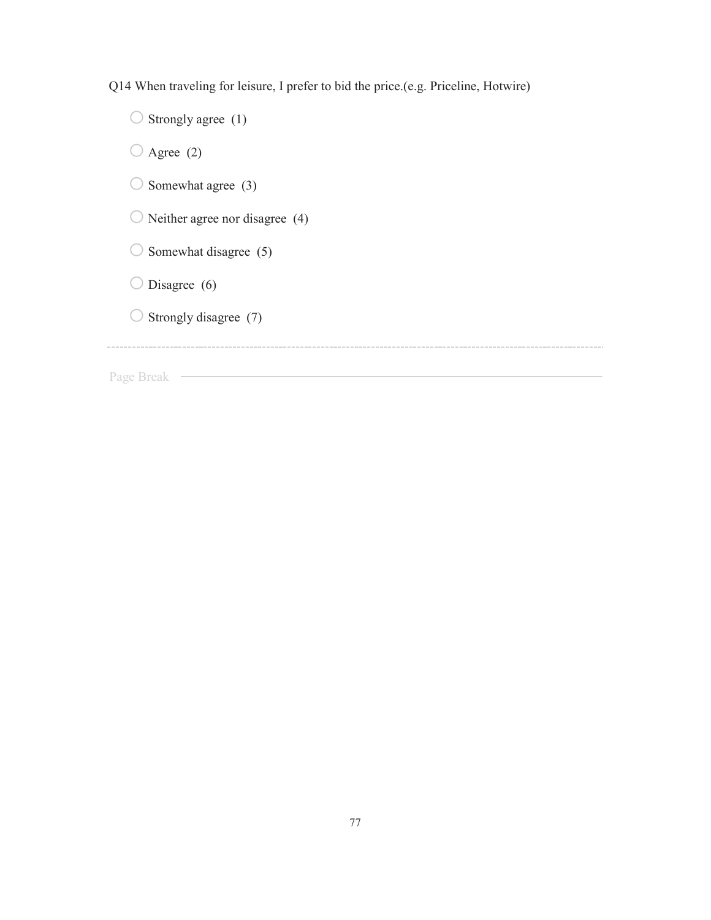Q14 When traveling for leisure, I prefer to bid the price.(e.g. Priceline, Hotwire)

 $\bigcirc$  Strongly agree (1)  $\bigcirc$  Agree (2)  $\bigcirc$  Somewhat agree (3)  $\bigcirc$  Neither agree nor disagree (4)  $\bigcirc$  Somewhat disagree (5)  $\bigcirc$  Disagree (6)  $\bigcirc$  Strongly disagree (7) Page Break —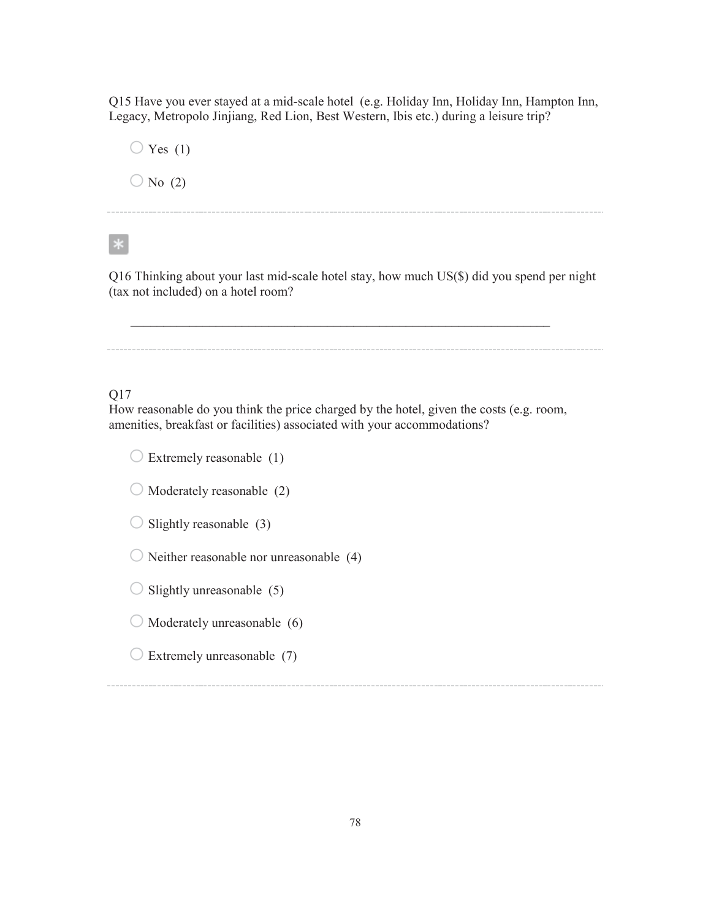Q15 Have you ever stayed at a mid-scale hotel (e.g. Holiday Inn, Holiday Inn, Hampton Inn, Legacy, Metropolo Jinjiang, Red Lion, Best Western, Ibis etc.) during a leisure trip?

 $\bigcirc$  Yes (1)  $\bigcirc$  No (2)

 $*$ 

Q16 Thinking about your last mid-scale hotel stay, how much US(\$) did you spend per night (tax not included) on a hotel room?

 $\mathcal{L}_\text{max} = \mathcal{L}_\text{max} = \mathcal{L}_\text{max} = \mathcal{L}_\text{max} = \mathcal{L}_\text{max} = \mathcal{L}_\text{max} = \mathcal{L}_\text{max} = \mathcal{L}_\text{max} = \mathcal{L}_\text{max} = \mathcal{L}_\text{max} = \mathcal{L}_\text{max} = \mathcal{L}_\text{max} = \mathcal{L}_\text{max} = \mathcal{L}_\text{max} = \mathcal{L}_\text{max} = \mathcal{L}_\text{max} = \mathcal{L}_\text{max} = \mathcal{L}_\text{max} = \mathcal{$ 

Q17

How reasonable do you think the price charged by the hotel, given the costs (e.g. room, amenities, breakfast or facilities) associated with your accommodations?

 $\bigcirc$  Extremely reasonable (1)

 $\bigcirc$  Moderately reasonable (2)

 $\bigcirc$  Slightly reasonable (3)

 $\bigcirc$  Neither reasonable nor unreasonable (4)

 $\bigcirc$  Slightly unreasonable (5)

 $\bigcirc$  Moderately unreasonable (6)

 $\bigcirc$  Extremely unreasonable (7)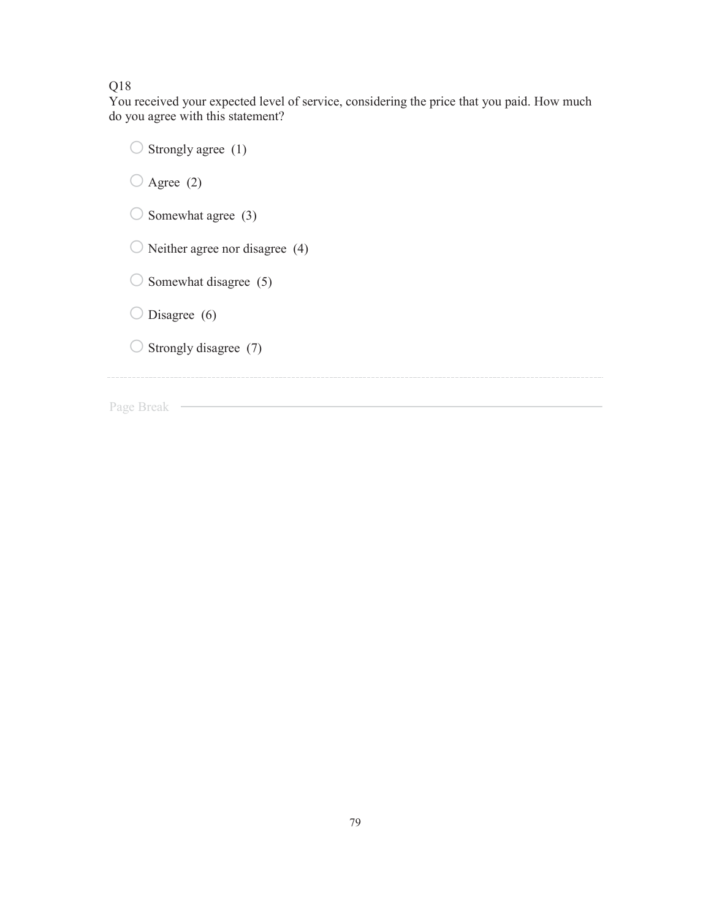### Q18

You received your expected level of service, considering the price that you paid. How much do you agree with this statement?

| Strongly agree (1)             |
|--------------------------------|
| Agree $(2)$                    |
| Somewhat agree (3)             |
| Neither agree nor disagree (4) |
| Somewhat disagree (5)          |
| Disagree $(6)$                 |
| Strongly disagree (7)          |
|                                |
| Page Break                     |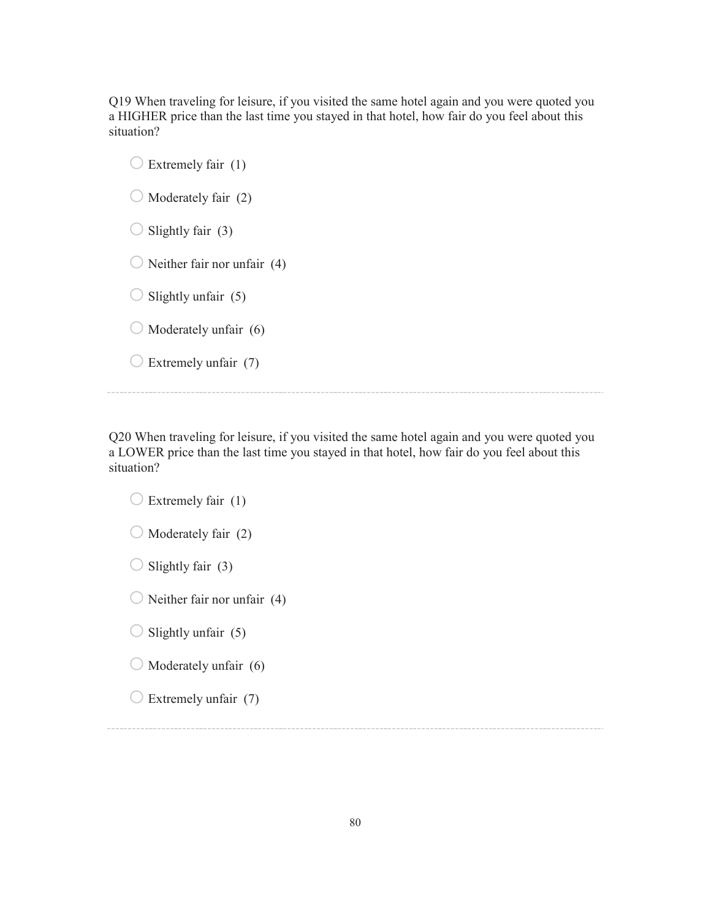Q19 When traveling for leisure, if you visited the same hotel again and you were quoted you a HIGHER price than the last time you stayed in that hotel, how fair do you feel about this situation?

 $\bigcirc$  Extremely fair (1)  $\bigcirc$  Moderately fair (2)  $\bigcirc$  Slightly fair (3)  $\bigcirc$  Neither fair nor unfair (4)  $\bigcirc$  Slightly unfair (5)  $\bigcirc$  Moderately unfair (6)  $\bigcirc$  Extremely unfair (7)

Q20 When traveling for leisure, if you visited the same hotel again and you were quoted you a LOWER price than the last time you stayed in that hotel, how fair do you feel about this situation?

 $\bigcirc$  Extremely fair (1)  $\bigcirc$  Moderately fair (2)  $\bigcirc$  Slightly fair (3)  $\bigcirc$  Neither fair nor unfair (4)  $\bigcirc$  Slightly unfair (5)  $\bigcirc$  Moderately unfair (6)  $\bigcirc$  Extremely unfair (7)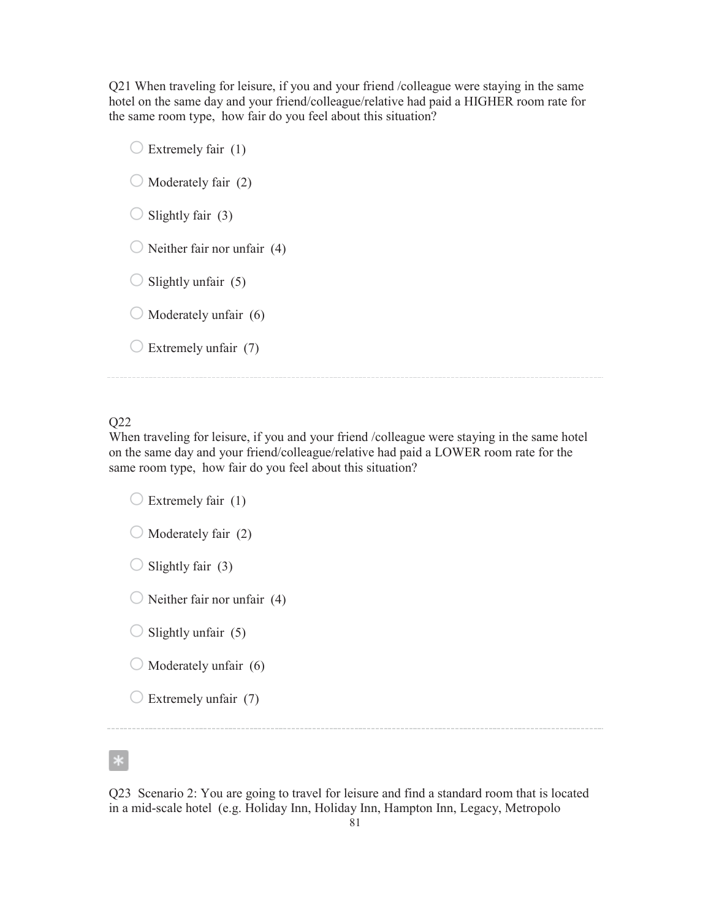Q21 When traveling for leisure, if you and your friend /colleague were staying in the same hotel on the same day and your friend/colleague/relative had paid a HIGHER room rate for the same room type, how fair do you feel about this situation?

 $\bigcirc$  Extremely fair (1)  $\bigcirc$  Moderately fair (2)  $\bigcirc$  Slightly fair (3)  $\bigcirc$  Neither fair nor unfair (4)  $\bigcirc$  Slightly unfair (5)  $\bigcirc$  Moderately unfair (6)  $\bigcirc$  Extremely unfair (7)

## Q22

When traveling for leisure, if you and your friend /colleague were staying in the same hotel on the same day and your friend/colleague/relative had paid a LOWER room rate for the same room type, how fair do you feel about this situation?

 $\bigcirc$  Extremely fair (1)  $\bigcirc$  Moderately fair (2)  $\bigcirc$  Slightly fair (3)  $\bigcirc$  Neither fair nor unfair (4)  $\bigcirc$  Slightly unfair (5)  $\bigcirc$  Moderately unfair (6)  $\bigcirc$  Extremely unfair (7)

Q23 Scenario 2: You are going to travel for leisure and find a standard room that is located in a mid-scale hotel (e.g. Holiday Inn, Holiday Inn, Hampton Inn, Legacy, Metropolo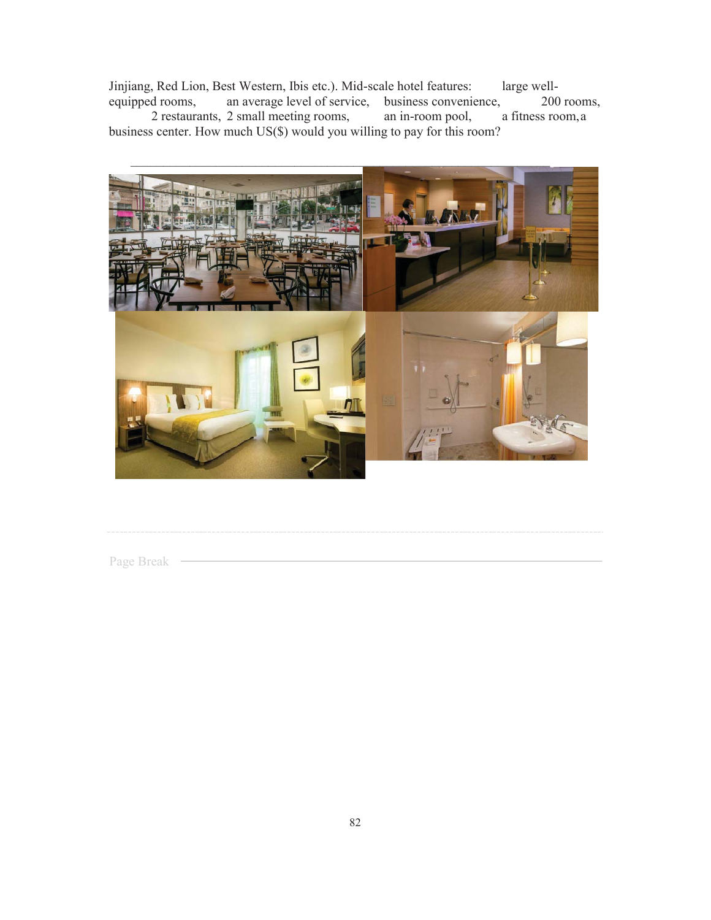Jinjiang, Red Lion, Best Western, Ibis etc.). Mid-scale hotel features: large well-<br>equipped rooms, an average level of service, business convenience, 200 an average level of service, business convenience, 200 rooms, 2 small meeting rooms, an in-room pool, a fitness room, a

2 restaurants, 2 small meeting rooms, business center. How much US(\$) would you willing to pay for this room?



Page Break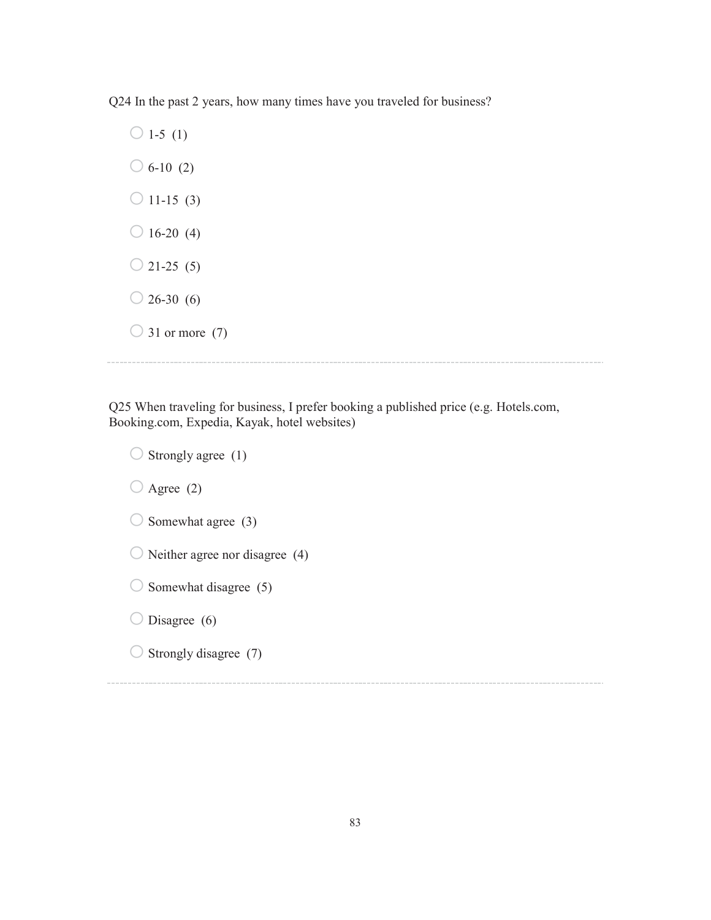Q24 In the past 2 years, how many times have you traveled for business?

 $\bigcirc$  1-5 (1)  $\bigcirc$  6-10 (2)  $\bigcirc$  11-15 (3)  $\bigcirc$  16-20 (4)  $\bigcirc$  21-25 (5)  $\bigcirc$  26-30 (6)  $\bigcirc$  31 or more (7)

Q25 When traveling for business, I prefer booking a published price (e.g. Hotels.com, Booking.com, Expedia, Kayak, hotel websites)

 $\bigcirc$  Strongly agree (1)  $\bigcirc$  Agree (2)  $\bigcirc$  Somewhat agree (3)  $\bigcirc$  Neither agree nor disagree (4)  $\bigcirc$  Somewhat disagree (5)  $\bigcirc$  Disagree (6)  $\bigcirc$  Strongly disagree (7)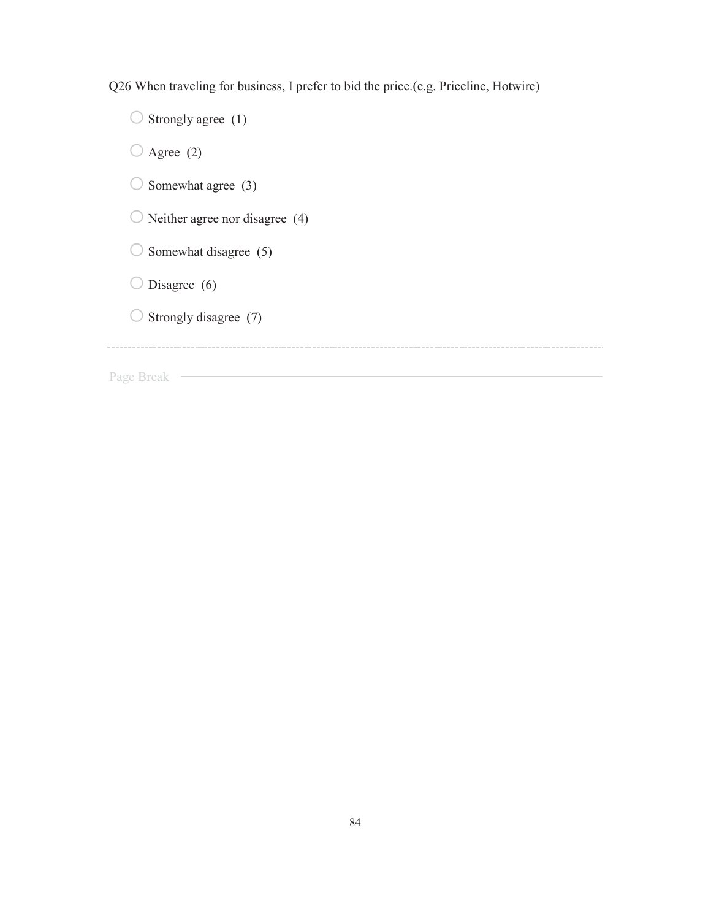Q26 When traveling for business, I prefer to bid the price.(e.g. Priceline, Hotwire)

 $\bigcirc$  Strongly agree (1)  $\bigcirc$  Agree (2)  $\bigcirc$  Somewhat agree (3)  $\bigcirc$  Neither agree nor disagree (4)  $\bigcirc$  Somewhat disagree (5)  $\bigcirc$  Disagree (6)  $\bigcirc$  Strongly disagree (7) Page Break —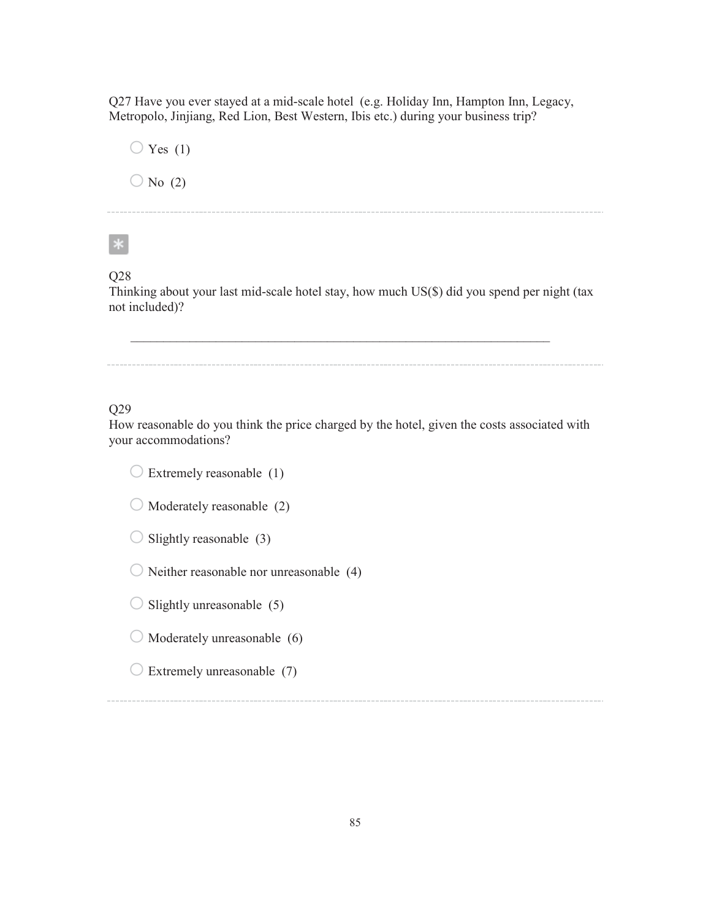Q27 Have you ever stayed at a mid-scale hotel (e.g. Holiday Inn, Hampton Inn, Legacy, Metropolo, Jinjiang, Red Lion, Best Western, Ibis etc.) during your business trip?

 $\bigcirc$  Yes (1)  $\bigcirc$  No (2)

 $\ast$ 

## Q28

Thinking about your last mid-scale hotel stay, how much US(\$) did you spend per night (tax not included)?

 $\mathcal{L}_\text{max} = \frac{1}{2} \sum_{i=1}^n \mathcal{L}_\text{max}(\mathbf{z}_i - \mathbf{z}_i)$ 

Q29

How reasonable do you think the price charged by the hotel, given the costs associated with your accommodations?

 $\bigcirc$  Extremely reasonable (1)

 $\bigcirc$  Moderately reasonable (2)

 $\bigcirc$  Slightly reasonable (3)

 $\bigcirc$  Neither reasonable nor unreasonable (4)

 $\bigcirc$  Slightly unreasonable (5)

 $\bigcirc$  Moderately unreasonable (6)

 $\bigcirc$  Extremely unreasonable (7)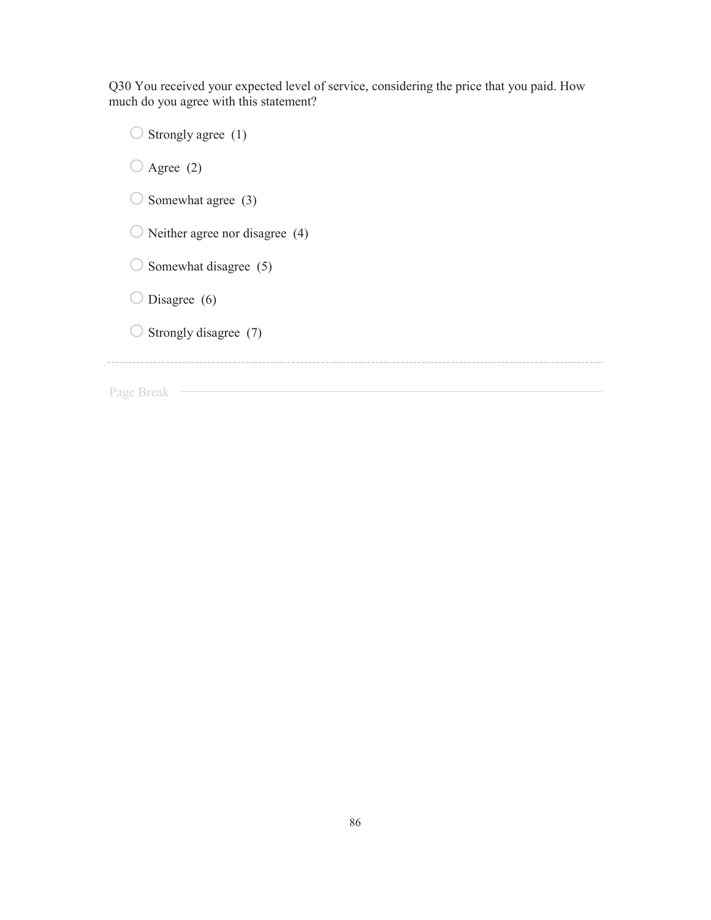Q30 You received your expected level of service, considering the price that you paid. How much do you agree with this statement?

 $\bigcirc$  Strongly agree (1)  $\bigcirc$  Agree (2)  $\bigcirc$  Somewhat agree (3)  $\bigcirc$  Neither agree nor disagree (4)  $\bigcirc$  Somewhat disagree (5)  $\bigcirc$  Disagree (6)  $\bigcirc$  Strongly disagree (7) Page Break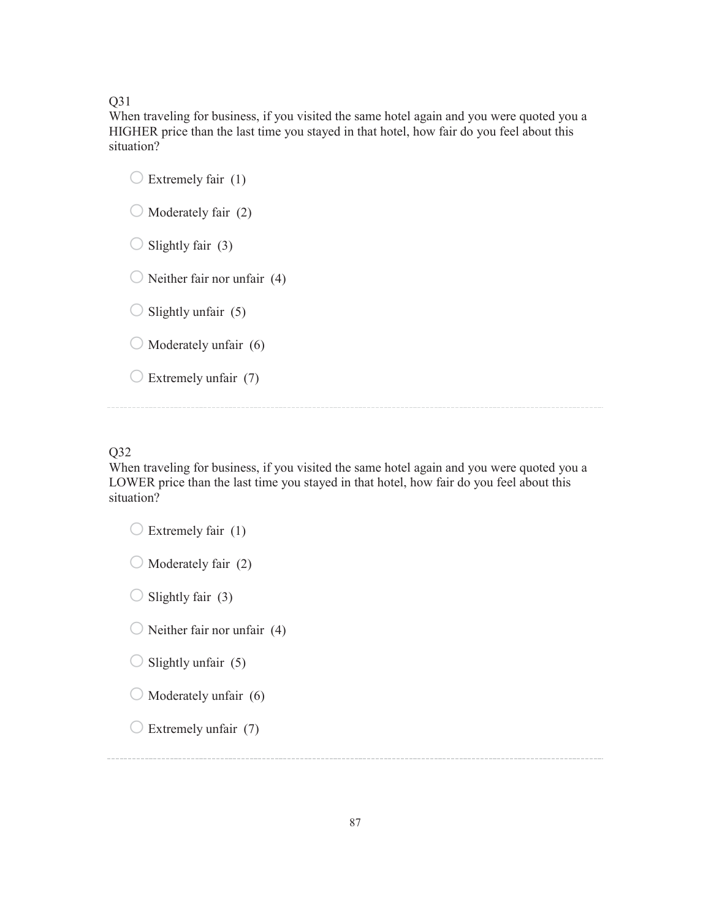Q31

When traveling for business, if you visited the same hotel again and you were quoted you a HIGHER price than the last time you stayed in that hotel, how fair do you feel about this situation?

 $\bigcirc$  Extremely fair (1)  $\bigcirc$  Moderately fair (2)  $\bigcirc$  Slightly fair (3)  $\bigcirc$  Neither fair nor unfair (4)  $\bigcirc$  Slightly unfair (5)  $\bigcirc$  Moderately unfair (6)  $\bigcirc$  Extremely unfair (7)

## Q32

When traveling for business, if you visited the same hotel again and you were quoted you a LOWER price than the last time you stayed in that hotel, how fair do you feel about this situation?

 $\bigcirc$  Extremely fair (1)  $\bigcirc$  Moderately fair (2)  $\bigcirc$  Slightly fair (3)  $\bigcirc$  Neither fair nor unfair (4)  $\bigcirc$  Slightly unfair (5)  $\bigcirc$  Moderately unfair (6)  $\bigcirc$  Extremely unfair (7)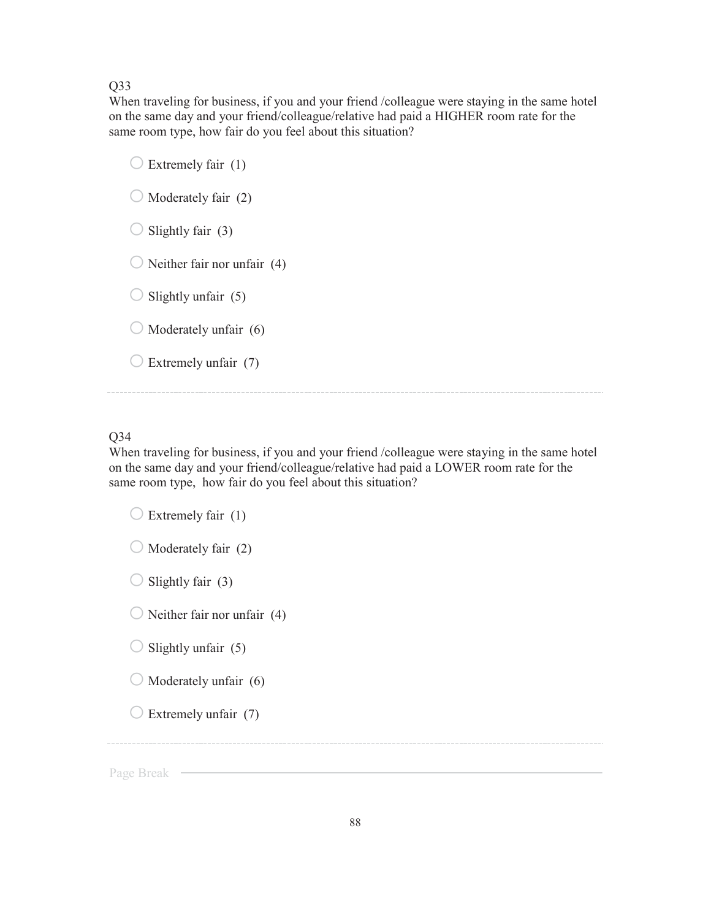## Q33

When traveling for business, if you and your friend /colleague were staying in the same hotel on the same day and your friend/colleague/relative had paid a HIGHER room rate for the same room type, how fair do you feel about this situation?

|                   | Extremely fair (1)          |  |  |
|-------------------|-----------------------------|--|--|
|                   | Moderately fair (2)         |  |  |
| Slightly fair (3) |                             |  |  |
|                   | Neither fair nor unfair (4) |  |  |
|                   | Slightly unfair (5)         |  |  |
|                   | Moderately unfair (6)       |  |  |
|                   | Extremely unfair (7)        |  |  |
|                   |                             |  |  |

## Q34

When traveling for business, if you and your friend /colleague were staying in the same hotel on the same day and your friend/colleague/relative had paid a LOWER room rate for the same room type, how fair do you feel about this situation?

| $\bigcirc$ Extremely fair (1)          |
|----------------------------------------|
| $\bigcirc$ Moderately fair (2)         |
| $\bigcirc$ Slightly fair (3)           |
| $\bigcirc$ Neither fair nor unfair (4) |
| $\bigcirc$ Slightly unfair (5)         |
| $\bigcirc$ Moderately unfair (6)       |
| $\bigcirc$ Extremely unfair (7)        |
|                                        |

Page Break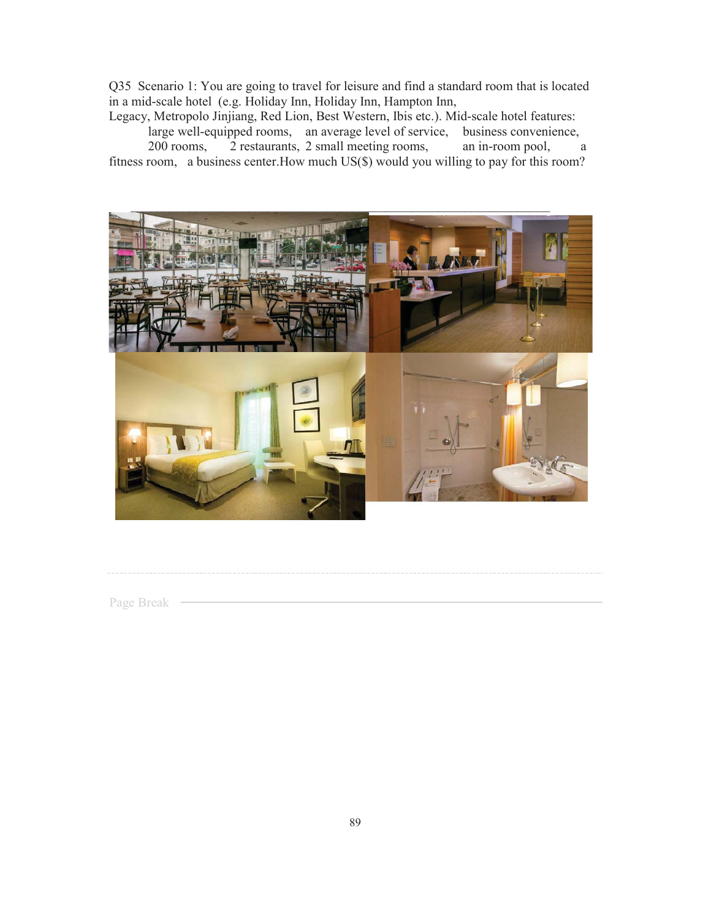Q35 Scenario 1: You are going to travel for leisure and find a standard room that is located in a mid-scale hotel (e.g. Holiday Inn, Holiday Inn, Hampton Inn,

Legacy, Metropolo Jinjiang, Red Lion, Best Western, Ibis etc.). Mid-scale hotel features:

large well-equipped rooms, an average level of service, business convenience, 200 rooms, 2 restaurants, 2 small meeting rooms, an in-room pool, a fitness room, a business center.How much US(\$) would you willing to pay for this room?



Page Break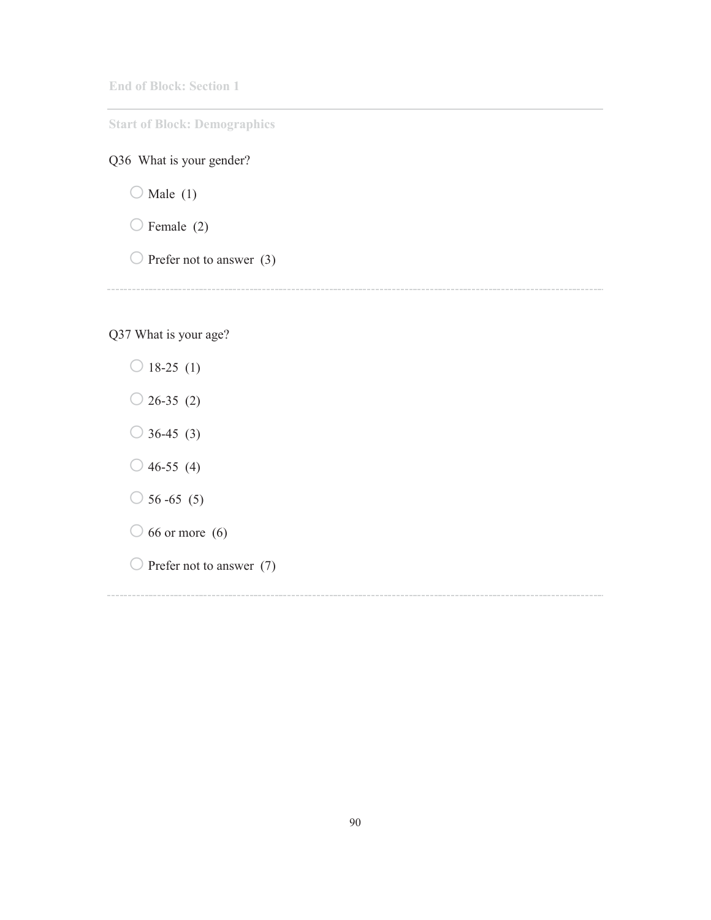**End of Block: Section 1** 

**Start of Block: Demographics** 

# Q36 What is your gender?

 $\bigcirc$  Male (1)

 $\bigcirc$  Female (2)

 $\bigcirc$  Prefer not to answer (3)

Q37 What is your age?

 $\bigcirc$  18-25 (1)  $\bigcirc$  26-35 (2)  $\bigcirc$  36-45 (3)  $\bigcirc$  46-55 (4)  $\bigcirc$  56 -65 (5)  $\bigcirc$  66 or more (6)  $\bigcirc$  Prefer not to answer (7)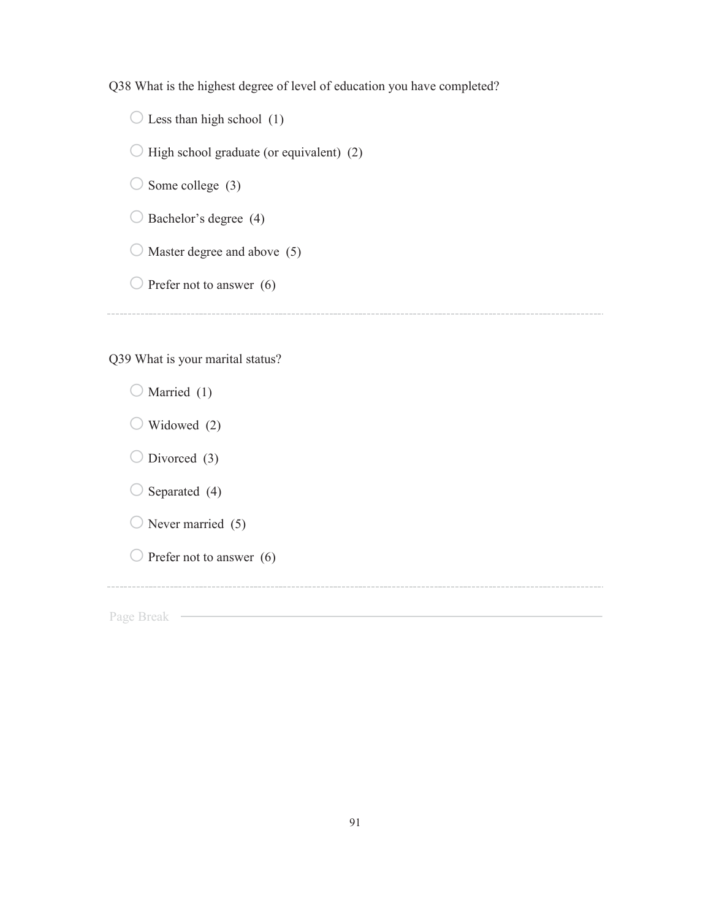Q38 What is the highest degree of level of education you have completed?

 $\bigcirc$  Less than high school (1)

 $\bigcirc$  High school graduate (or equivalent) (2)

 $\bigcirc$  Some college (3)

 $\bigcirc$  Bachelor's degree (4)

 $\bigcirc$  Master degree and above (5)

 $\bigcirc$  Prefer not to answer (6)

Q39 What is your marital status?

|            | Married (1)                |
|------------|----------------------------|
|            | Widowed (2)                |
|            | Divorced $(3)$             |
|            | Separated (4)              |
|            | Never married (5)          |
|            | Prefer not to answer $(6)$ |
|            |                            |
| Page Break |                            |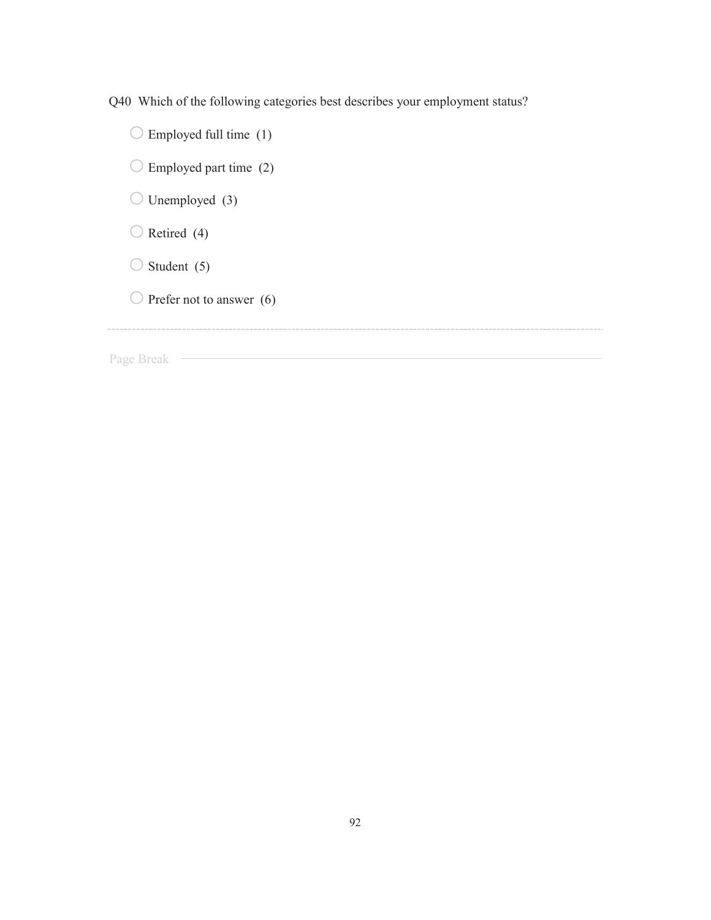Q40 Which of the following categories best describes your employment status?

 $\bigcirc$  Employed full time (1)  $\bigcirc$  Employed part time (2)  $\bigcirc$  Unemployed (3)  $\bigcirc$  Retired (4)  $\bigcirc$  Student (5)  $\bigcirc$  Prefer not to answer (6) Page Break —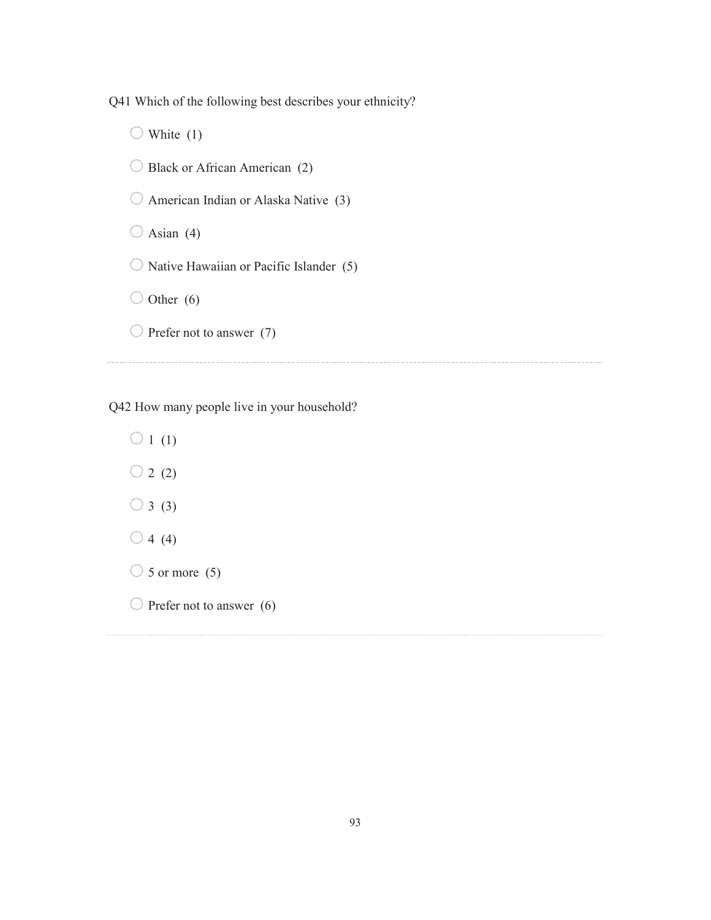Q41 Which of the following best describes your ethnicity?

 $\bigcirc$  White (1)  $\bigcirc$  Black or African American (2)  $\bigcirc$  American Indian or Alaska Native (3)  $\bigcirc$  Asian (4)  $\bigcirc$  Native Hawaiian or Pacific Islander (5)  $\bigcirc$  Other (6)  $\bigcirc$  Prefer not to answer (7)

Q42 How many people live in your household?

 $\bigcirc$  1 (1)  $\bigcirc$  2 (2)  $\bigcirc$  3 (3)  $\bigcirc$  4 (4)  $\bigcirc$  5 or more (5)  $\bigcirc$  Prefer not to answer (6)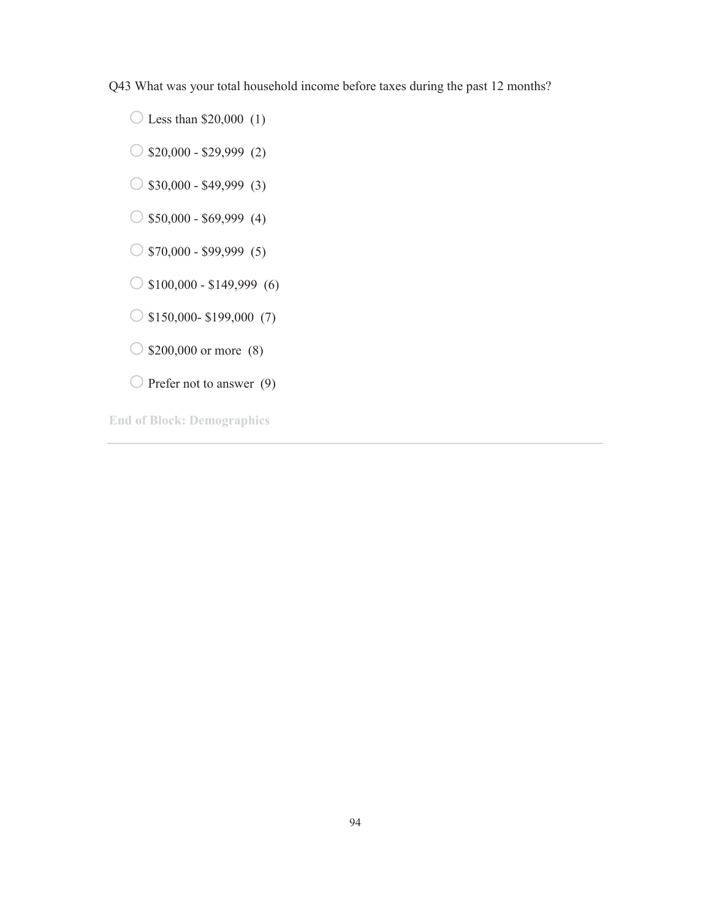Q43 What was your total household income before taxes during the past 12 months?

 $\bigcirc$  Less than \$20,000 (1)

 $\bigcirc$  \$20,000 - \$29,999 (2)

 $\bigcirc$  \$30,000 - \$49,999 (3)

 $\circ$  \$50,000 - \$69,999 (4)

 $\circ$  \$70,000 - \$99,999 (5)

 $\bigcirc$  \$100,000 - \$149,999 (6)

 $\bigcirc$  \$150,000- \$199,000 (7)

 $\bigcirc$  \$200,000 or more (8)

 $\bigcirc$  Prefer not to answer (9)

**End of Block: Demographics**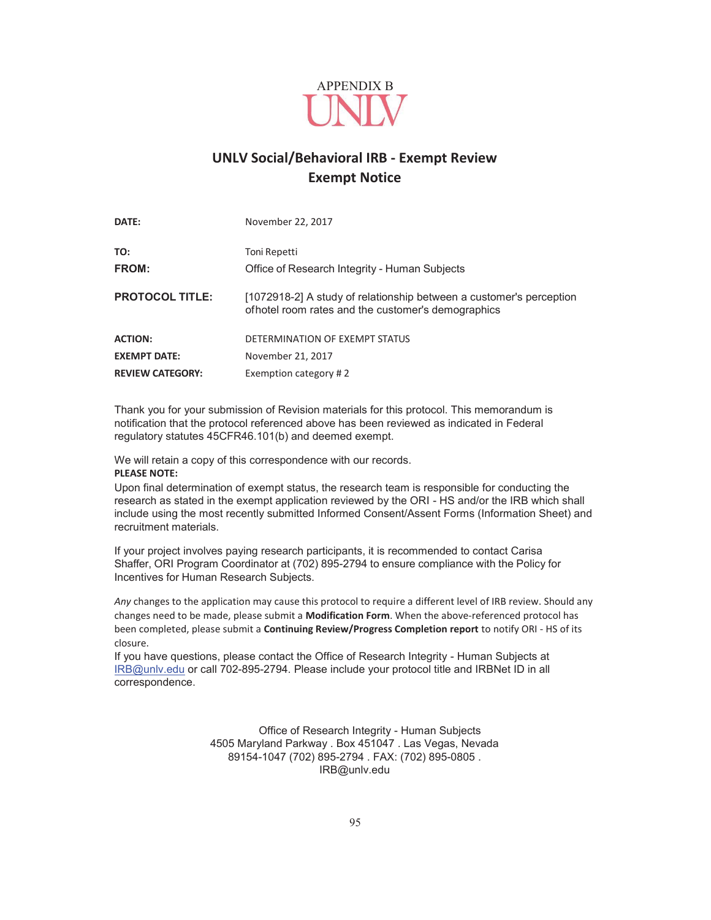

## **UNLV Social/Behavioral IRB - Exempt Review Exempt Notice**

| DATE:                   | November 22, 2017                                                                                                          |
|-------------------------|----------------------------------------------------------------------------------------------------------------------------|
| TO:<br>FROM:            | Toni Repetti<br>Office of Research Integrity - Human Subjects                                                              |
| <b>PROTOCOL TITLE:</b>  | [1072918-2] A study of relationship between a customer's perception<br>of hotel room rates and the customer's demographics |
| <b>ACTION:</b>          | DETERMINATION OF EXEMPT STATUS                                                                                             |
| <b>EXEMPT DATE:</b>     | November 21, 2017                                                                                                          |
| <b>REVIEW CATEGORY:</b> | Exemption category #2                                                                                                      |

Thank you for your submission of Revision materials for this protocol. This memorandum is notification that the protocol referenced above has been reviewed as indicated in Federal regulatory statutes 45CFR46.101(b) and deemed exempt.

We will retain a copy of this correspondence with our records. **PLEASE NOTE:** 

Upon final determination of exempt status, the research team is responsible for conducting the research as stated in the exempt application reviewed by the ORI - HS and/or the IRB which shall include using the most recently submitted Informed Consent/Assent Forms (Information Sheet) and recruitment materials.

If your project involves paying research participants, it is recommended to contact Carisa Shaffer, ORI Program Coordinator at (702) 895-2794 to ensure compliance with the Policy for Incentives for Human Research Subjects.

*Any* changes to the application may cause this protocol to require a different level of IRB review. Should any changes need to be made, please submit a **Modification Form**. When the above-referenced protocol has been completed, please submit a **Continuing Review/Progress Completion report** to notify ORI - HS of its closure.

If you have questions, please contact the Office of Research Integrity - Human Subjects at IRB@unlv.edu or call 702-895-2794. Please include your protocol title and IRBNet ID in all correspondence.

> Office of Research Integrity - Human Subjects 4505 Maryland Parkway . Box 451047 . Las Vegas, Nevada 89154-1047 (702) 895-2794 . FAX: (702) 895-0805 . IRB@unlv.edu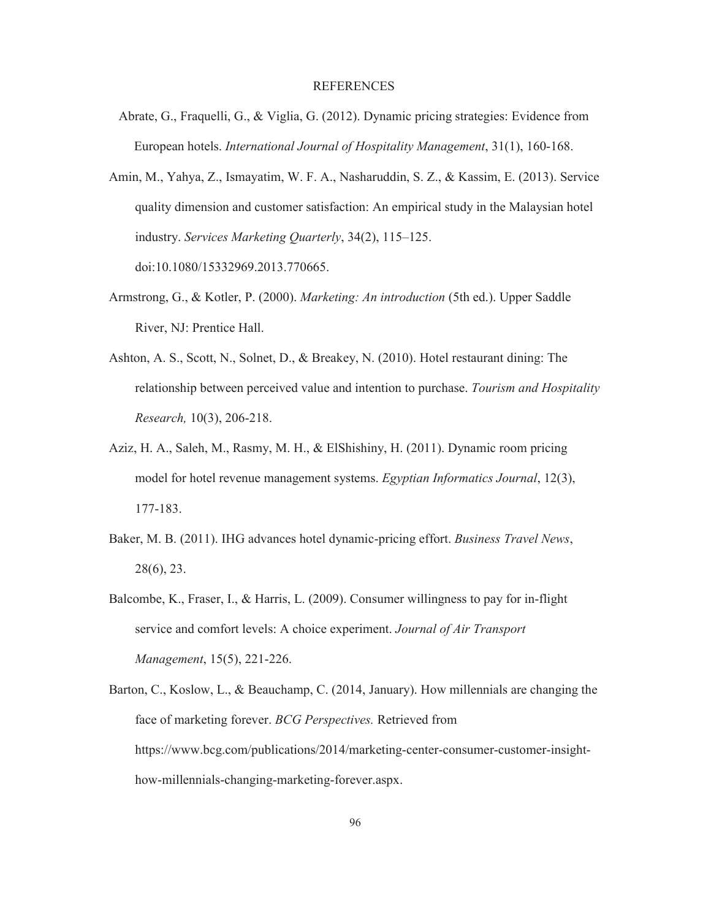#### REFERENCES

- Abrate, G., Fraquelli, G., & Viglia, G. (2012). Dynamic pricing strategies: Evidence from European hotels. *International Journal of Hospitality Management*, 31(1), 160-168.
- Amin, M., Yahya, Z., Ismayatim, W. F. A., Nasharuddin, S. Z., & Kassim, E. (2013). Service quality dimension and customer satisfaction: An empirical study in the Malaysian hotel industry. *Services Marketing Quarterly*, 34(2), 115–125.

doi:10.1080/15332969.2013.770665.

- Armstrong, G., & Kotler, P. (2000). *Marketing: An introduction* (5th ed.). Upper Saddle River, NJ: Prentice Hall.
- Ashton, A. S., Scott, N., Solnet, D., & Breakey, N. (2010). Hotel restaurant dining: The relationship between perceived value and intention to purchase. *Tourism and Hospitality Research,* 10(3), 206-218.
- Aziz, H. A., Saleh, M., Rasmy, M. H., & ElShishiny, H. (2011). Dynamic room pricing model for hotel revenue management systems. *Egyptian Informatics Journal*, 12(3), 177-183.
- Baker, M. B. (2011). IHG advances hotel dynamic-pricing effort. *Business Travel News*, 28(6), 23.
- Balcombe, K., Fraser, I., & Harris, L. (2009). Consumer willingness to pay for in-flight service and comfort levels: A choice experiment. *Journal of Air Transport Management*, 15(5), 221-226.
- Barton, C., Koslow, L., & Beauchamp, C. (2014, January). How millennials are changing the face of marketing forever. *BCG Perspectives.* Retrieved from https://www.bcg.com/publications/2014/marketing-center-consumer-customer-insighthow-millennials-changing-marketing-forever.aspx.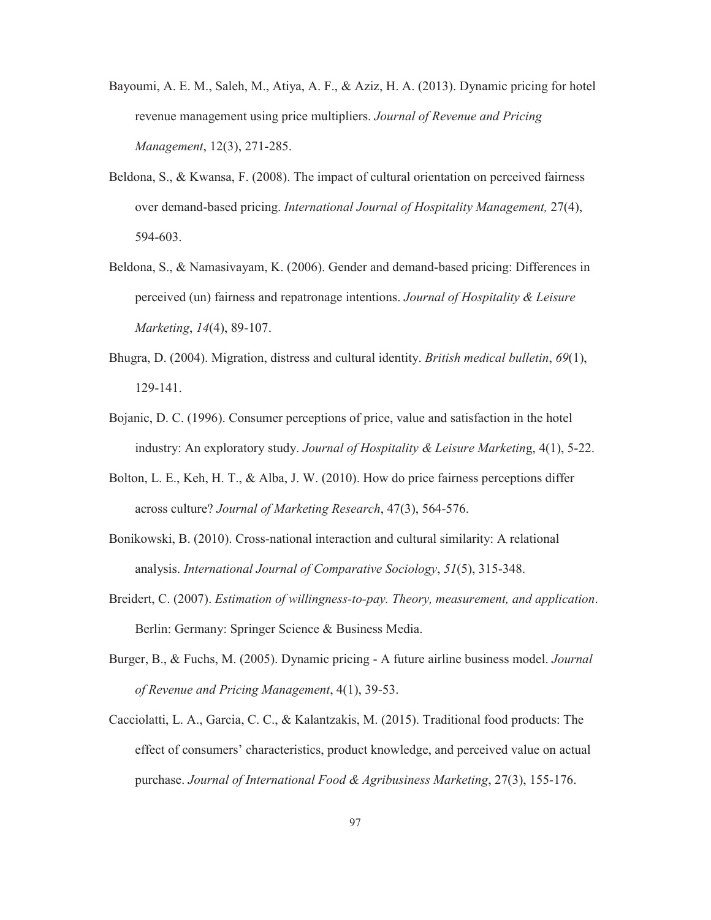- Bayoumi, A. E. M., Saleh, M., Atiya, A. F., & Aziz, H. A. (2013). Dynamic pricing for hotel revenue management using price multipliers. *Journal of Revenue and Pricing Management*, 12(3), 271-285.
- Beldona, S., & Kwansa, F. (2008). The impact of cultural orientation on perceived fairness over demand-based pricing. *International Journal of Hospitality Management,* 27(4), 594-603.
- Beldona, S., & Namasivayam, K. (2006). Gender and demand-based pricing: Differences in perceived (un) fairness and repatronage intentions. *Journal of Hospitality & Leisure Marketing*, *14*(4), 89-107.
- Bhugra, D. (2004). Migration, distress and cultural identity. *British medical bulletin*, *69*(1), 129-141.
- Bojanic, D. C. (1996). Consumer perceptions of price, value and satisfaction in the hotel industry: An exploratory study. *Journal of Hospitality & Leisure Marketin*g, 4(1), 5-22.
- Bolton, L. E., Keh, H. T., & Alba, J. W. (2010). How do price fairness perceptions differ across culture? *Journal of Marketing Research*, 47(3), 564-576.
- Bonikowski, B. (2010). Cross-national interaction and cultural similarity: A relational analysis. *International Journal of Comparative Sociology*, *51*(5), 315-348.
- Breidert, C. (2007). *Estimation of willingness-to-pay. Theory, measurement, and application*. Berlin: Germany: Springer Science & Business Media.
- Burger, B., & Fuchs, M. (2005). Dynamic pricing A future airline business model. *Journal of Revenue and Pricing Management*, 4(1), 39-53.
- Cacciolatti, L. A., Garcia, C. C., & Kalantzakis, M. (2015). Traditional food products: The effect of consumers' characteristics, product knowledge, and perceived value on actual purchase. *Journal of International Food & Agribusiness Marketing*, 27(3), 155-176.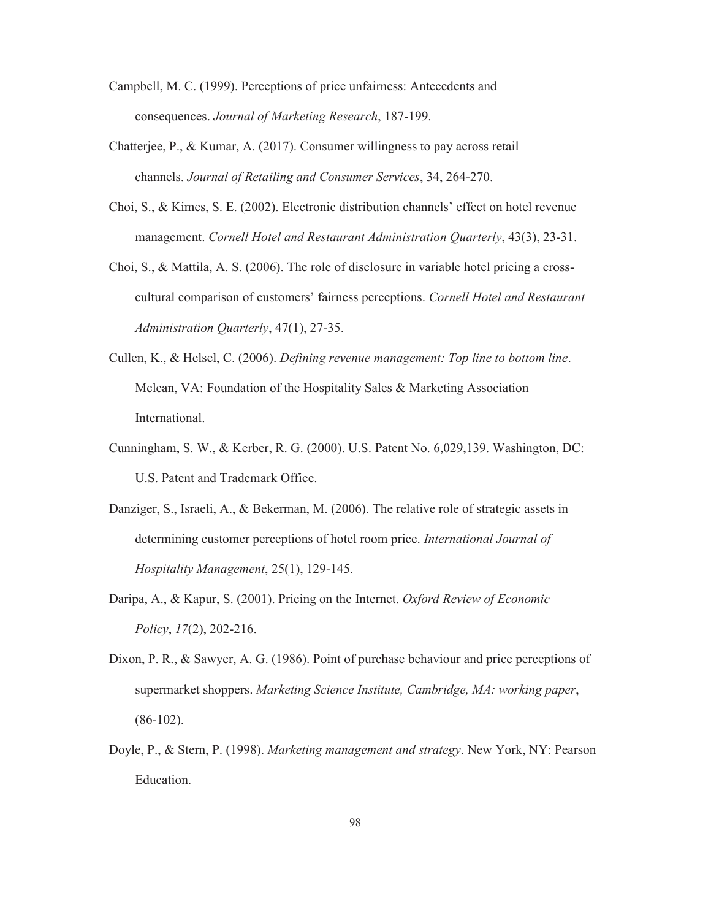- Campbell, M. C. (1999). Perceptions of price unfairness: Antecedents and consequences. *Journal of Marketing Research*, 187-199.
- Chatterjee, P., & Kumar, A. (2017). Consumer willingness to pay across retail channels. *Journal of Retailing and Consumer Services*, 34, 264-270.
- Choi, S., & Kimes, S. E. (2002). Electronic distribution channels' effect on hotel revenue management. *Cornell Hotel and Restaurant Administration Quarterly*, 43(3), 23-31.
- Choi, S., & Mattila, A. S. (2006). The role of disclosure in variable hotel pricing a crosscultural comparison of customers' fairness perceptions. *Cornell Hotel and Restaurant Administration Quarterly*, 47(1), 27-35.
- Cullen, K., & Helsel, C. (2006). *Defining revenue management: Top line to bottom line*. Mclean, VA: Foundation of the Hospitality Sales & Marketing Association International.
- Cunningham, S. W., & Kerber, R. G. (2000). U.S. Patent No. 6,029,139. Washington, DC: U.S. Patent and Trademark Office.
- Danziger, S., Israeli, A., & Bekerman, M. (2006). The relative role of strategic assets in determining customer perceptions of hotel room price. *International Journal of Hospitality Management*, 25(1), 129-145.
- Daripa, A., & Kapur, S. (2001). Pricing on the Internet. *Oxford Review of Economic Policy*, *17*(2), 202-216.
- Dixon, P. R., & Sawyer, A. G. (1986). Point of purchase behaviour and price perceptions of supermarket shoppers. *Marketing Science Institute, Cambridge, MA: working paper*, (86-102).
- Doyle, P., & Stern, P. (1998). *Marketing management and strategy*. New York, NY: Pearson Education.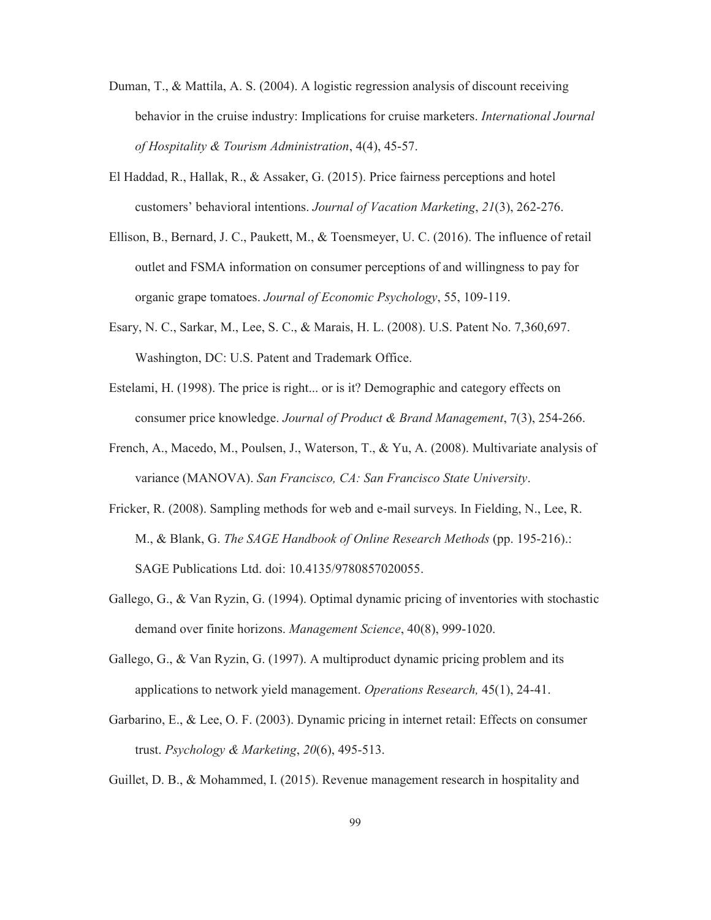- Duman, T., & Mattila, A. S. (2004). A logistic regression analysis of discount receiving behavior in the cruise industry: Implications for cruise marketers. *International Journal of Hospitality & Tourism Administration*, 4(4), 45-57.
- El Haddad, R., Hallak, R., & Assaker, G. (2015). Price fairness perceptions and hotel customers' behavioral intentions. *Journal of Vacation Marketing*, *21*(3), 262-276.
- Ellison, B., Bernard, J. C., Paukett, M., & Toensmeyer, U. C. (2016). The influence of retail outlet and FSMA information on consumer perceptions of and willingness to pay for organic grape tomatoes. *Journal of Economic Psychology*, 55, 109-119.
- Esary, N. C., Sarkar, M., Lee, S. C., & Marais, H. L. (2008). U.S. Patent No. 7,360,697. Washington, DC: U.S. Patent and Trademark Office.
- Estelami, H. (1998). The price is right... or is it? Demographic and category effects on consumer price knowledge. *Journal of Product & Brand Management*, 7(3), 254-266.
- French, A., Macedo, M., Poulsen, J., Waterson, T., & Yu, A. (2008). Multivariate analysis of variance (MANOVA). *San Francisco, CA: San Francisco State University*.
- Fricker, R. (2008). Sampling methods for web and e-mail surveys. In Fielding, N., Lee, R. M., & Blank, G. *The SAGE Handbook of Online Research Methods* (pp. 195-216).: SAGE Publications Ltd. doi: 10.4135/9780857020055.
- Gallego, G., & Van Ryzin, G. (1994). Optimal dynamic pricing of inventories with stochastic demand over finite horizons. *Management Science*, 40(8), 999-1020.
- Gallego, G., & Van Ryzin, G. (1997). A multiproduct dynamic pricing problem and its applications to network yield management. *Operations Research,* 45(1), 24-41.
- Garbarino, E., & Lee, O. F. (2003). Dynamic pricing in internet retail: Effects on consumer trust. *Psychology & Marketing*, *20*(6), 495-513.
- Guillet, D. B., & Mohammed, I. (2015). Revenue management research in hospitality and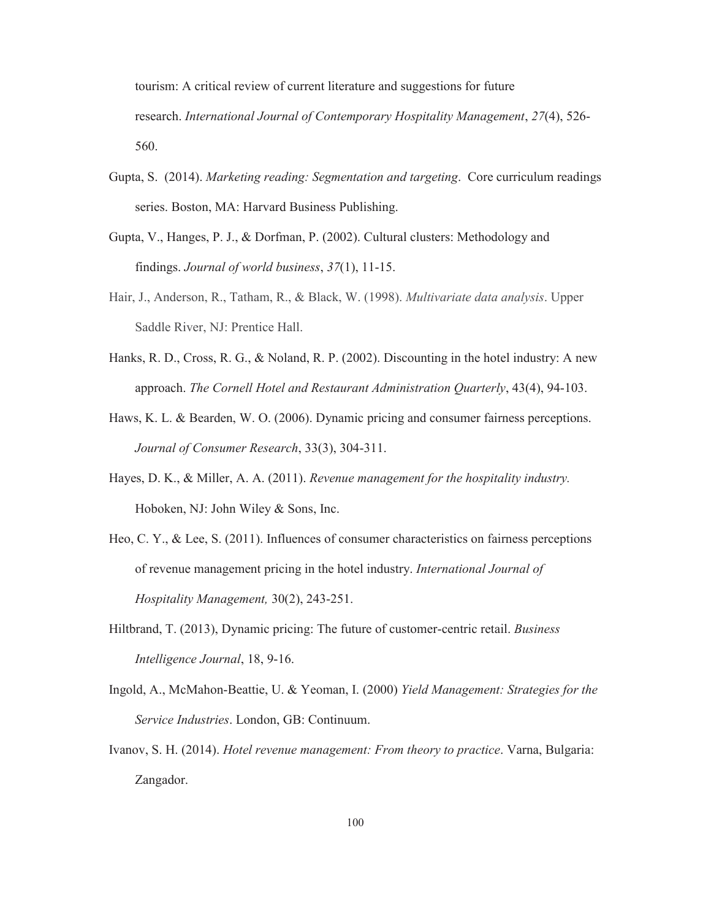tourism: A critical review of current literature and suggestions for future research. *International Journal of Contemporary Hospitality Management*, *27*(4), 526- 560.

- Gupta, S. (2014). *Marketing reading: Segmentation and targeting*. Core curriculum readings series. Boston, MA: Harvard Business Publishing.
- Gupta, V., Hanges, P. J., & Dorfman, P. (2002). Cultural clusters: Methodology and findings. *Journal of world business*, *37*(1), 11-15.
- Hair, J., Anderson, R., Tatham, R., & Black, W. (1998). *Multivariate data analysis*. Upper Saddle River, NJ: Prentice Hall.
- Hanks, R. D., Cross, R. G., & Noland, R. P. (2002). Discounting in the hotel industry: A new approach. *The Cornell Hotel and Restaurant Administration Quarterly*, 43(4), 94-103.
- Haws, K. L. & Bearden, W. O. (2006). Dynamic pricing and consumer fairness perceptions. *Journal of Consumer Research*, 33(3), 304-311.
- Hayes, D. K., & Miller, A. A. (2011). *Revenue management for the hospitality industry.*  Hoboken, NJ: John Wiley & Sons, Inc.
- Heo, C. Y., & Lee, S. (2011). Influences of consumer characteristics on fairness perceptions of revenue management pricing in the hotel industry. *International Journal of Hospitality Management,* 30(2), 243-251.
- Hiltbrand, T. (2013), Dynamic pricing: The future of customer-centric retail. *Business Intelligence Journal*, 18, 9-16.
- Ingold, A., McMahon-Beattie, U. & Yeoman, I. (2000) *Yield Management: Strategies for the Service Industries*. London, GB: Continuum.
- Ivanov, S. H. (2014). *Hotel revenue management: From theory to practice*. Varna, Bulgaria: Zangador.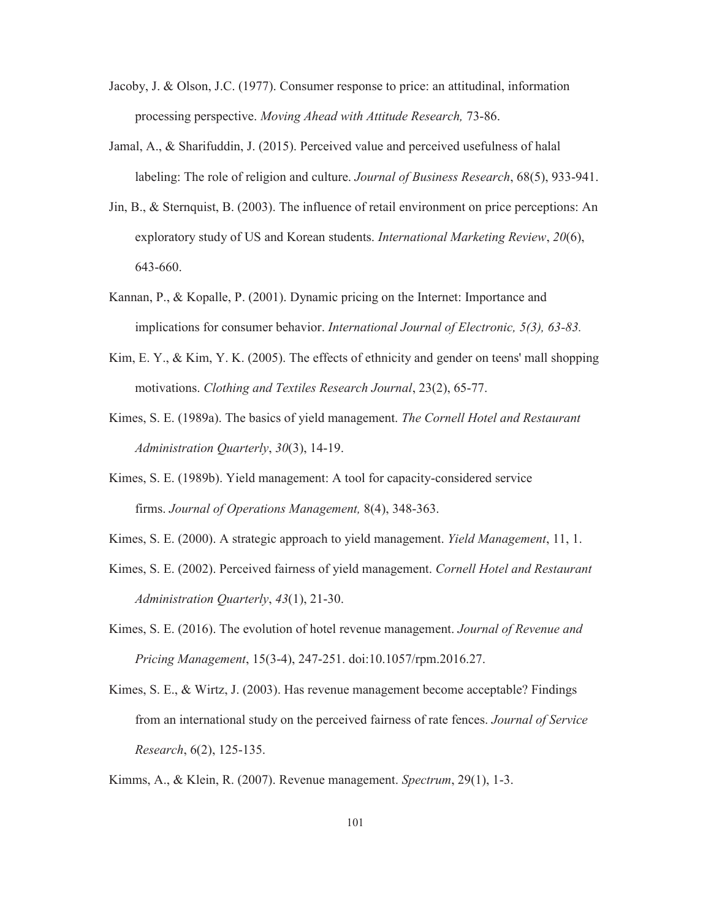- Jacoby, J. & Olson, J.C. (1977). Consumer response to price: an attitudinal, information processing perspective. *Moving Ahead with Attitude Research,* 73-86.
- Jamal, A., & Sharifuddin, J. (2015). Perceived value and perceived usefulness of halal labeling: The role of religion and culture. *Journal of Business Research*, 68(5), 933-941.
- Jin, B., & Sternquist, B. (2003). The influence of retail environment on price perceptions: An exploratory study of US and Korean students. *International Marketing Review*, *20*(6), 643-660.
- Kannan, P., & Kopalle, P. (2001). Dynamic pricing on the Internet: Importance and implications for consumer behavior. *International Journal of Electronic, 5(3), 63-83.*
- Kim, E. Y., & Kim, Y. K. (2005). The effects of ethnicity and gender on teens' mall shopping motivations. *Clothing and Textiles Research Journal*, 23(2), 65-77.
- Kimes, S. E. (1989a). The basics of yield management. *The Cornell Hotel and Restaurant Administration Quarterly*, *30*(3), 14-19.
- Kimes, S. E. (1989b). Yield management: A tool for capacity-considered service firms. *Journal of Operations Management,* 8(4), 348-363.
- Kimes, S. E. (2000). A strategic approach to yield management. *Yield Management*, 11, 1.
- Kimes, S. E. (2002). Perceived fairness of yield management. *Cornell Hotel and Restaurant Administration Quarterly*, *43*(1), 21-30.
- Kimes, S. E. (2016). The evolution of hotel revenue management. *Journal of Revenue and Pricing Management*, 15(3-4), 247-251. doi:10.1057/rpm.2016.27.
- Kimes, S. E., & Wirtz, J. (2003). Has revenue management become acceptable? Findings from an international study on the perceived fairness of rate fences. *Journal of Service Research*, 6(2), 125-135.
- Kimms, A., & Klein, R. (2007). Revenue management. *Spectrum*, 29(1), 1-3.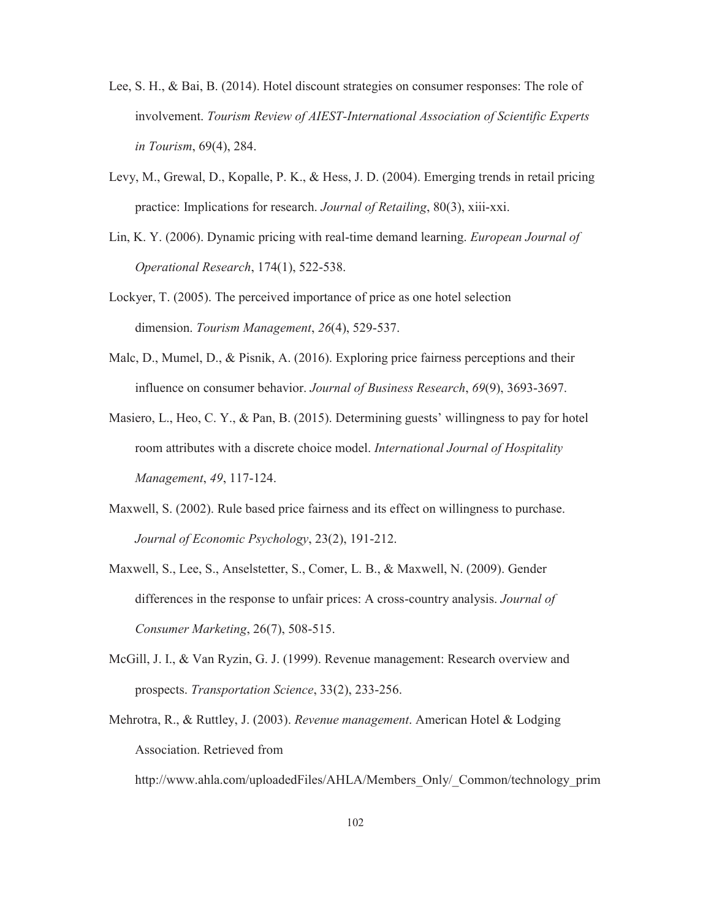- Lee, S. H., & Bai, B. (2014). Hotel discount strategies on consumer responses: The role of involvement. *Tourism Review of AIEST-International Association of Scientific Experts in Tourism*, 69(4), 284.
- Levy, M., Grewal, D., Kopalle, P. K., & Hess, J. D. (2004). Emerging trends in retail pricing practice: Implications for research. *Journal of Retailing*, 80(3), xiii-xxi.
- Lin, K. Y. (2006). Dynamic pricing with real-time demand learning. *European Journal of Operational Research*, 174(1), 522-538.
- Lockyer, T. (2005). The perceived importance of price as one hotel selection dimension. *Tourism Management*, *26*(4), 529-537.
- Malc, D., Mumel, D., & Pisnik, A. (2016). Exploring price fairness perceptions and their influence on consumer behavior. *Journal of Business Research*, *69*(9), 3693-3697.
- Masiero, L., Heo, C. Y., & Pan, B. (2015). Determining guests' willingness to pay for hotel room attributes with a discrete choice model. *International Journal of Hospitality Management*, *49*, 117-124.
- Maxwell, S. (2002). Rule based price fairness and its effect on willingness to purchase. *Journal of Economic Psychology*, 23(2), 191-212.
- Maxwell, S., Lee, S., Anselstetter, S., Comer, L. B., & Maxwell, N. (2009). Gender differences in the response to unfair prices: A cross-country analysis. *Journal of Consumer Marketing*, 26(7), 508-515.
- McGill, J. I., & Van Ryzin, G. J. (1999). Revenue management: Research overview and prospects. *Transportation Science*, 33(2), 233-256.
- Mehrotra, R., & Ruttley, J. (2003). *Revenue management*. American Hotel & Lodging Association. Retrieved from

http://www.ahla.com/uploadedFiles/AHLA/Members\_Only/\_Common/technology\_prim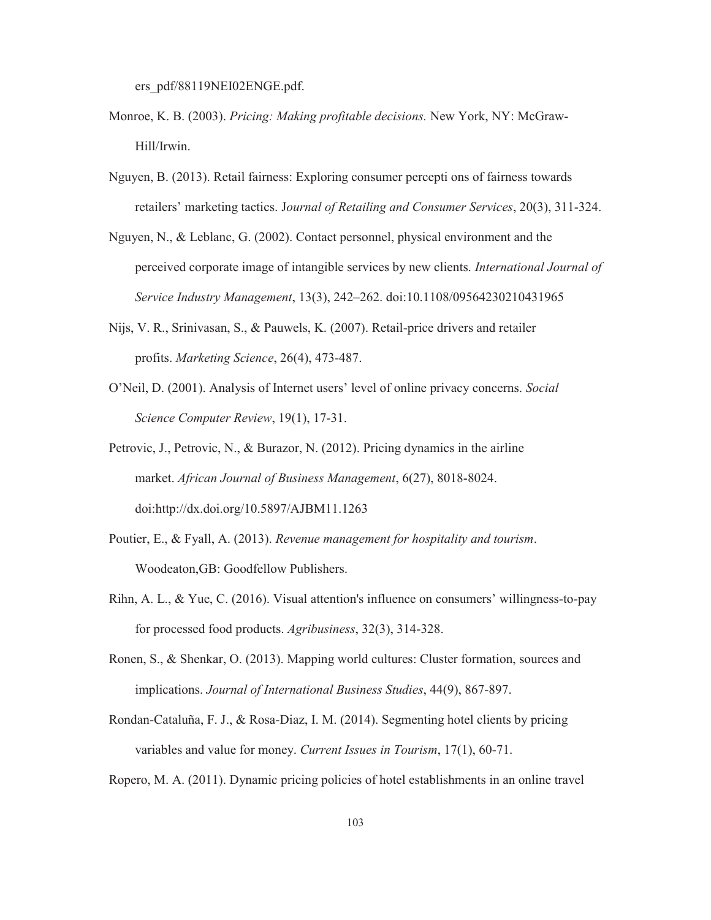ers\_pdf/88119NEI02ENGE.pdf.

- Monroe, K. B. (2003). *Pricing: Making profitable decisions.* New York, NY: McGraw-Hill/Irwin.
- Nguyen, B. (2013). Retail fairness: Exploring consumer percepti ons of fairness towards retailers' marketing tactics. J*ournal of Retailing and Consumer Services*, 20(3), 311-324.
- Nguyen, N., & Leblanc, G. (2002). Contact personnel, physical environment and the perceived corporate image of intangible services by new clients. *International Journal of Service Industry Management*, 13(3), 242–262. doi:10.1108/09564230210431965
- Nijs, V. R., Srinivasan, S., & Pauwels, K. (2007). Retail-price drivers and retailer profits. *Marketing Science*, 26(4), 473-487.
- O'Neil, D. (2001). Analysis of Internet users' level of online privacy concerns. *Social Science Computer Review*, 19(1), 17-31.
- Petrovic, J., Petrovic, N., & Burazor, N. (2012). Pricing dynamics in the airline market. *African Journal of Business Management*, 6(27), 8018-8024. doi:http://dx.doi.org/10.5897/AJBM11.1263
- Poutier, E., & Fyall, A. (2013). *Revenue management for hospitality and tourism*. Woodeaton,GB: Goodfellow Publishers.
- Rihn, A. L., & Yue, C. (2016). Visual attention's influence on consumers' willingness-to-pay for processed food products. *Agribusiness*, 32(3), 314-328.
- Ronen, S., & Shenkar, O. (2013). Mapping world cultures: Cluster formation, sources and implications. *Journal of International Business Studies*, 44(9), 867-897.
- Rondan-Cataluña, F. J., & Rosa-Diaz, I. M. (2014). Segmenting hotel clients by pricing variables and value for money. *Current Issues in Tourism*, 17(1), 60-71.

Ropero, M. A. (2011). Dynamic pricing policies of hotel establishments in an online travel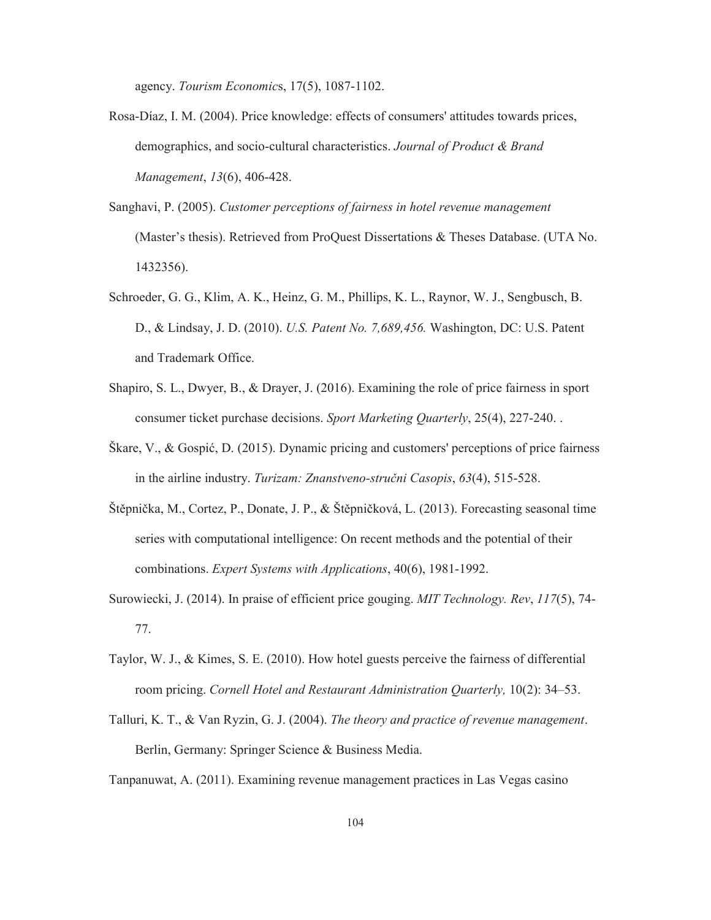agency. *Tourism Economic*s, 17(5), 1087-1102.

- Rosa-Díaz, I. M. (2004). Price knowledge: effects of consumers' attitudes towards prices, demographics, and socio-cultural characteristics. *Journal of Product & Brand Management*, *13*(6), 406-428.
- Sanghavi, P. (2005). *Customer perceptions of fairness in hotel revenue management*  (Master's thesis). Retrieved from ProQuest Dissertations & Theses Database. (UTA No. 1432356).
- Schroeder, G. G., Klim, A. K., Heinz, G. M., Phillips, K. L., Raynor, W. J., Sengbusch, B. D., & Lindsay, J. D. (2010). *U.S. Patent No. 7,689,456.* Washington, DC: U.S. Patent and Trademark Office.
- Shapiro, S. L., Dwyer, B., & Drayer, J. (2016). Examining the role of price fairness in sport consumer ticket purchase decisions. *Sport Marketing Quarterly*, 25(4), 227-240. .
- Škare, V., & Gospić, D. (2015). Dynamic pricing and customers' perceptions of price fairness in the airline industry. *Turizam: Znanstveno-stručni Casopis*, *63*(4), 515-528.
- Štěpnička, M., Cortez, P., Donate, J. P., & Štěpničková, L. (2013). Forecasting seasonal time series with computational intelligence: On recent methods and the potential of their combinations. *Expert Systems with Applications*, 40(6), 1981-1992.
- Surowiecki, J. (2014). In praise of efficient price gouging. *MIT Technology. Rev*, *117*(5), 74- 77.
- Taylor, W. J., & Kimes, S. E. (2010). How hotel guests perceive the fairness of differential room pricing. *Cornell Hotel and Restaurant Administration Quarterly,* 10(2): 34–53.
- Talluri, K. T., & Van Ryzin, G. J. (2004). *The theory and practice of revenue management*. Berlin, Germany: Springer Science & Business Media.

Tanpanuwat, A. (2011). Examining revenue management practices in Las Vegas casino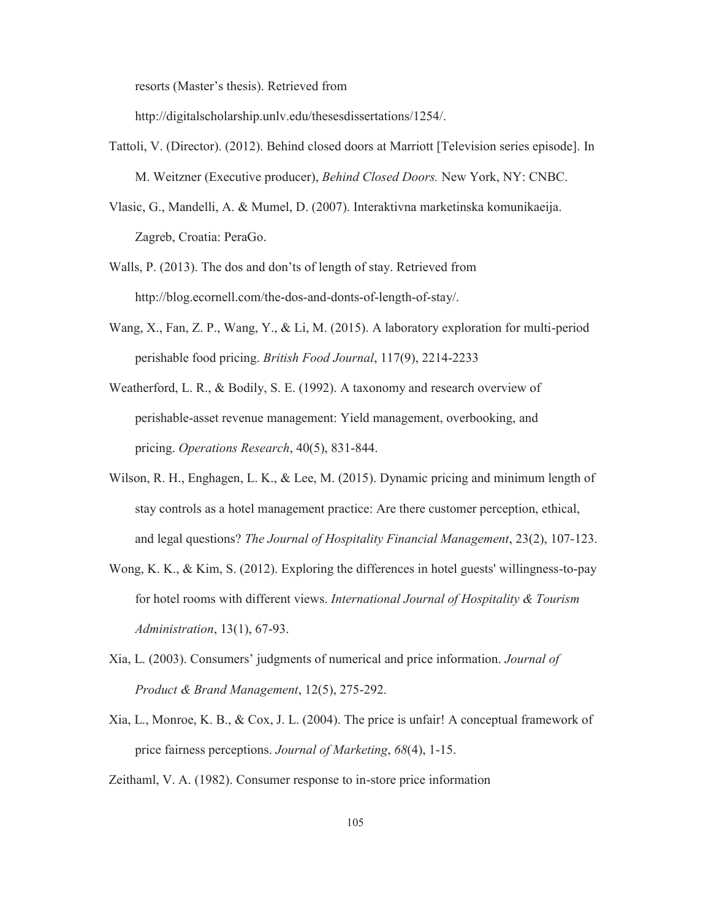resorts (Master's thesis). Retrieved from

http://digitalscholarship.unlv.edu/thesesdissertations/1254/.

- Tattoli, V. (Director). (2012). Behind closed doors at Marriott [Television series episode]. In M. Weitzner (Executive producer), *Behind Closed Doors.* New York, NY: CNBC.
- Vlasic, G., Mandelli, A. & Mumel, D. (2007). Interaktivna marketinska komunikaeija. Zagreb, Croatia: PeraGo.
- Walls, P. (2013). The dos and don'ts of length of stay. Retrieved from http://blog.ecornell.com/the-dos-and-donts-of-length-of-stay/.
- Wang, X., Fan, Z. P., Wang, Y., & Li, M. (2015). A laboratory exploration for multi-period perishable food pricing. *British Food Journal*, 117(9), 2214-2233
- Weatherford, L. R., & Bodily, S. E. (1992). A taxonomy and research overview of perishable-asset revenue management: Yield management, overbooking, and pricing. *Operations Research*, 40(5), 831-844.
- Wilson, R. H., Enghagen, L. K., & Lee, M. (2015). Dynamic pricing and minimum length of stay controls as a hotel management practice: Are there customer perception, ethical, and legal questions? *The Journal of Hospitality Financial Management*, 23(2), 107-123.
- Wong, K. K., & Kim, S. (2012). Exploring the differences in hotel guests' willingness-to-pay for hotel rooms with different views. *International Journal of Hospitality & Tourism Administration*, 13(1), 67-93.
- Xia, L. (2003). Consumers' judgments of numerical and price information. *Journal of Product & Brand Management*, 12(5), 275-292.
- Xia, L., Monroe, K. B., & Cox, J. L. (2004). The price is unfair! A conceptual framework of price fairness perceptions. *Journal of Marketing*, *68*(4), 1-15.

Zeithaml, V. A. (1982). Consumer response to in-store price information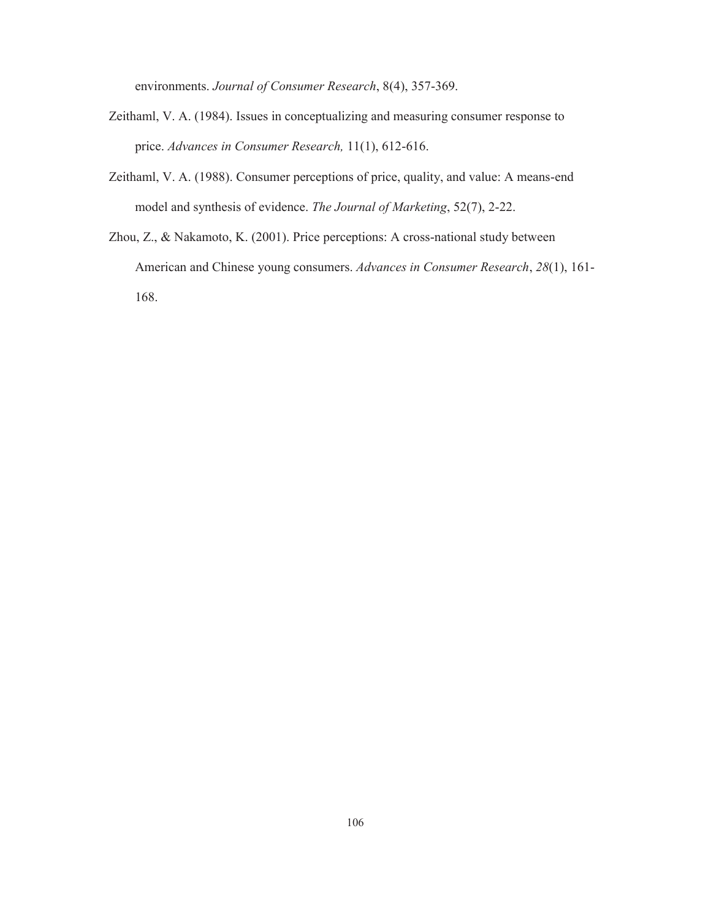environments. *Journal of Consumer Research*, 8(4), 357-369.

- Zeithaml, V. A. (1984). Issues in conceptualizing and measuring consumer response to price. *Advances in Consumer Research,* 11(1), 612-616.
- Zeithaml, V. A. (1988). Consumer perceptions of price, quality, and value: A means-end model and synthesis of evidence. *The Journal of Marketing*, 52(7), 2-22.
- Zhou, Z., & Nakamoto, K. (2001). Price perceptions: A cross-national study between American and Chinese young consumers. *Advances in Consumer Research*, *28*(1), 161- 168.